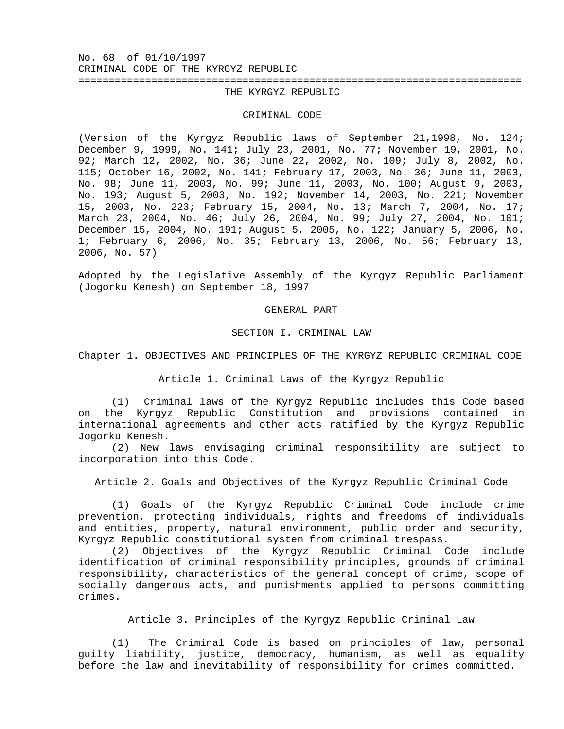## No. 68 of 01/10/1997 CRIMINAL CODE OF THE KYRGYZ REPUBLIC =========================================================================

### THE KYRGYZ REPUBLIC

#### CRIMINAL CODE

(Version of the Kyrgyz Republic laws of September 21,1998, No. 124; December 9, 1999, No. 141; July 23, 2001, No. 77; November 19, 2001, No. 92; March 12, 2002, No. 36; June 22, 2002, No. 109; July 8, 2002, No. 115; October 16, 2002, No. 141; February 17, 2003, No. 36; June 11, 2003, No. 98; June 11, 2003, No. 99; June 11, 2003, No. 100; August 9, 2003, No. 193; August 5, 2003, No. 192; November 14, 2003, No. 221; November 15, 2003, No. 223; February 15, 2004, No. 13; March 7, 2004, No. 17; March 23, 2004, No. 46; July 26, 2004, No. 99; July 27, 2004, No. 101; December 15, 2004, No. 191; August 5, 2005, No. 122; January 5, 2006, No. 1; February 6, 2006, No. 35; February 13, 2006, No. 56; February 13, 2006, No. 57)

Adopted by the Legislative Assembly of the Kyrgyz Republic Parliament (Jogorku Kenesh) on September 18, 1997

#### GENERAL PART

### SECTION I. CRIMINAL LAW

Chapter 1. OBJECTIVES AND PRINCIPLES OF THE KYRGYZ REPUBLIC CRIMINAL CODE

Article 1. Criminal Laws of the Kyrgyz Republic

(1) Criminal laws of the Kyrgyz Republic includes this Code based on the Kyrgyz Republic Constitution and provisions contained in international agreements and other acts ratified by the Kyrgyz Republic Jogorku Kenesh.

(2) New laws envisaging criminal responsibility are subject to incorporation into this Code.

Article 2. Goals and Objectives of the Kyrgyz Republic Criminal Code

(1) Goals of the Kyrgyz Republic Criminal Code include crime prevention, protecting individuals, rights and freedoms of individuals and entities, property, natural environment, public order and security, Kyrgyz Republic constitutional system from criminal trespass.

(2) Objectives of the Kyrgyz Republic Criminal Code include identification of criminal responsibility principles, grounds of criminal responsibility, characteristics of the general concept of crime, scope of socially dangerous acts, and punishments applied to persons committing crimes.

Article 3. Principles of the Kyrgyz Republic Criminal Law

(1) The Criminal Code is based on principles of law, personal guilty liability, justice, democracy, humanism, as well as equality before the law and inevitability of responsibility for crimes committed.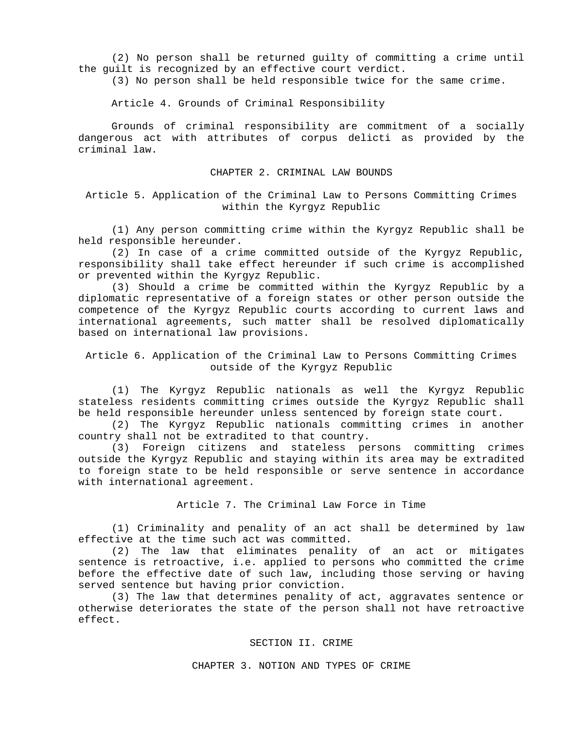(2) No person shall be returned guilty of committing a crime until the guilt is recognized by an effective court verdict.

(3) No person shall be held responsible twice for the same crime.

Article 4. Grounds of Criminal Responsibility

Grounds of criminal responsibility are commitment of a socially dangerous act with attributes of corpus delicti as provided by the criminal law.

## CHAPTER 2. CRIMINAL LAW BOUNDS

Article 5. Application of the Criminal Law to Persons Committing Crimes within the Kyrgyz Republic

(1) Any person committing crime within the Kyrgyz Republic shall be held responsible hereunder.

(2) In case of a crime committed outside of the Kyrgyz Republic, responsibility shall take effect hereunder if such crime is accomplished or prevented within the Kyrgyz Republic.

 (3) Should a crime be committed within the Kyrgyz Republic by a diplomatic representative of a foreign states or other person outside the competence of the Kyrgyz Republic courts according to current laws and international agreements, such matter shall be resolved diplomatically based on international law provisions.

# Article 6. Application of the Criminal Law to Persons Committing Crimes outside of the Kyrgyz Republic

(1) The Kyrgyz Republic nationals as well the Kyrgyz Republic stateless residents committing crimes outside the Kyrgyz Republic shall be held responsible hereunder unless sentenced by foreign state court.

(2) The Kyrgyz Republic nationals committing crimes in another country shall not be extradited to that country.

(3) Foreign citizens and stateless persons committing crimes outside the Kyrgyz Republic and staying within its area may be extradited to foreign state to be held responsible or serve sentence in accordance with international agreement.

Article 7. The Criminal Law Force in Time

(1) Criminality and penality of an act shall be determined by law effective at the time such act was committed.

(2) The law that eliminates penality of an act or mitigates sentence is retroactive, i.e. applied to persons who committed the crime before the effective date of such law, including those serving or having served sentence but having prior conviction.

(3) The law that determines penality of act, aggravates sentence or otherwise deteriorates the state of the person shall not have retroactive effect.

#### SECTION II. CRIME

CHAPTER 3. NOTION AND TYPES OF CRIME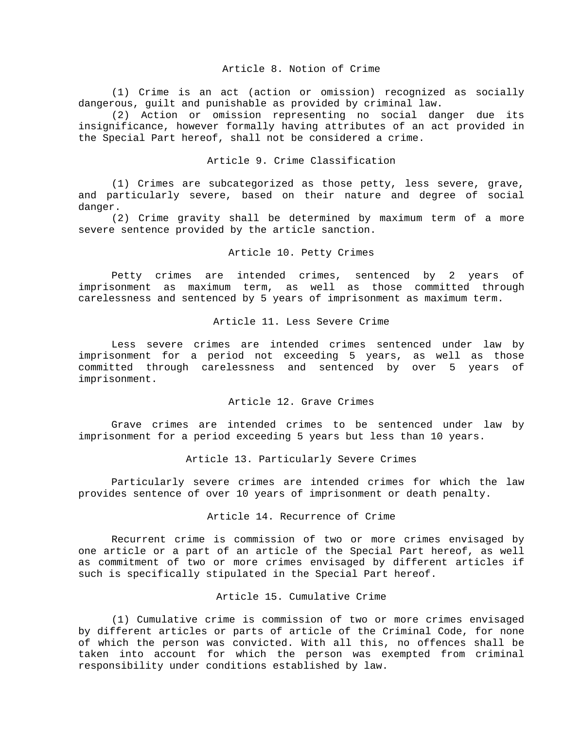#### Article 8. Notion of Crime

(1) Crime is an act (action or omission) recognized as socially dangerous, guilt and punishable as provided by criminal law.

(2) Action or omission representing no social danger due its insignificance, however formally having attributes of an act provided in the Special Part hereof, shall not be considered a crime.

### Article 9. Crime Classification

(1) Crimes are subcategorized as those petty, less severe, grave, and particularly severe, based on their nature and degree of social danger.

(2) Crime gravity shall be determined by maximum term of a more severe sentence provided by the article sanction.

### Article 10. Petty Crimes

Petty crimes are intended crimes, sentenced by 2 years of imprisonment as maximum term, as well as those committed through carelessness and sentenced by 5 years of imprisonment as maximum term.

#### Article 11. Less Severe Crime

Less severe crimes are intended crimes sentenced under law by imprisonment for a period not exceeding 5 years, as well as those committed through carelessness and sentenced by over 5 years of imprisonment.

### Article 12. Grave Crimes

Grave crimes are intended crimes to be sentenced under law by imprisonment for a period exceeding 5 years but less than 10 years.

Article 13. Particularly Severe Crimes

Particularly severe crimes are intended crimes for which the law provides sentence of over 10 years of imprisonment or death penalty.

### Article 14. Recurrence of Crime

Recurrent crime is commission of two or more crimes envisaged by one article or a part of an article of the Special Part hereof, as well as commitment of two or more crimes envisaged by different articles if such is specifically stipulated in the Special Part hereof.

### Article 15. Cumulative Crime

(1) Cumulative crime is commission of two or more crimes envisaged by different articles or parts of article of the Criminal Code, for none of which the person was convicted. With all this, no offences shall be taken into account for which the person was exempted from criminal responsibility under conditions established by law.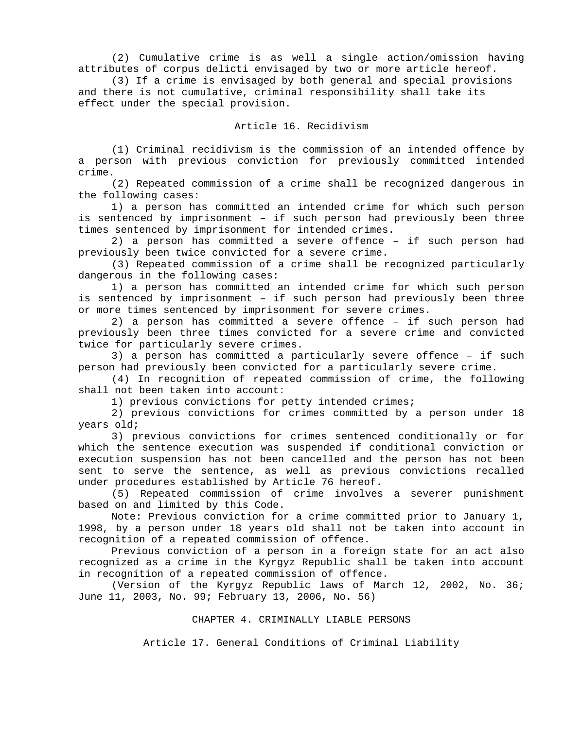(2) Cumulative crime is as well a single action/omission having attributes of corpus delicti envisaged by two or more article hereof.

(3) If a crime is envisaged by both general and special provisions and there is not cumulative, criminal responsibility shall take its effect under the special provision.

## Article 16. Recidivism

(1) Criminal recidivism is the commission of an intended offence by a person with previous conviction for previously committed intended crime.

(2) Repeated commission of a crime shall be recognized dangerous in the following cases:

1) a person has committed an intended crime for which such person is sentenced by imprisonment – if such person had previously been three times sentenced by imprisonment for intended crimes.

2) a person has committed a severe offence – if such person had previously been twice convicted for a severe crime.

(3) Repeated commission of a crime shall be recognized particularly dangerous in the following cases:

1) a person has committed an intended crime for which such person is sentenced by imprisonment – if such person had previously been three or more times sentenced by imprisonment for severe crimes.

2) a person has committed a severe offence – if such person had previously been three times convicted for a severe crime and convicted twice for particularly severe crimes.

3) a person has committed a particularly severe offence – if such person had previously been convicted for a particularly severe crime.

(4) In recognition of repeated commission of crime, the following shall not been taken into account:

1) previous convictions for petty intended crimes;

2) previous convictions for crimes committed by a person under 18 years old;

3) previous convictions for crimes sentenced conditionally or for which the sentence execution was suspended if conditional conviction or execution suspension has not been cancelled and the person has not been sent to serve the sentence, as well as previous convictions recalled under procedures established by Article 76 hereof.

(5) Repeated commission of crime involves a severer punishment based on and limited by this Code.

Note: Previous conviction for a crime committed prior to January 1, 1998, by a person under 18 years old shall not be taken into account in recognition of a repeated commission of offence.

Previous conviction of a person in a foreign state for an act also recognized as a crime in the Kyrgyz Republic shall be taken into account in recognition of a repeated commission of offence.

(Version of the Kyrgyz Republic laws of March 12, 2002, No. 36; June 11, 2003, No. 99; February 13, 2006, No. 56)

### CHAPTER 4. CRIMINALLY LIABLE PERSONS

Article 17. General Conditions of Criminal Liability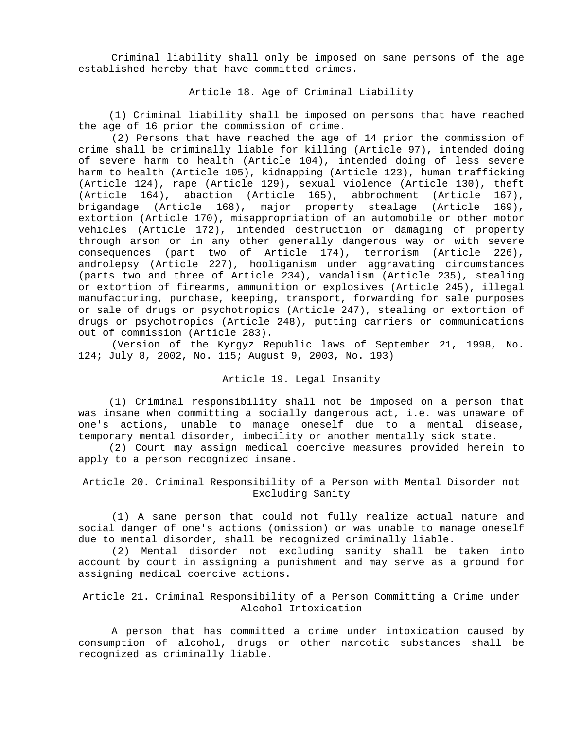Criminal liability shall only be imposed on sane persons of the age established hereby that have committed crimes.

Article 18. Age of Criminal Liability

(1) Criminal liability shall be imposed on persons that have reached the age of 16 prior the commission of crime.

(2) Persons that have reached the age of 14 prior the commission of crime shall be criminally liable for killing (Article 97), intended doing of severe harm to health (Article 104), intended doing of less severe harm to health (Article 105), kidnapping (Article 123), human trafficking (Article 124), rape (Article 129), sexual violence (Article 130), theft (Article 164), abaction (Article 165), abbrochment (Article 167), brigandage (Article 168), major property stealage (Article 169), extortion (Article 170), misappropriation of an automobile or other motor vehicles (Article 172), intended destruction or damaging of property through arson or in any other generally dangerous way or with severe consequences (part two of Article 174), terrorism (Article 226), androlepsy (Article 227), hooliganism under aggravating circumstances (parts two and three of Article 234), vandalism (Article 235), stealing or extortion of firearms, ammunition or explosives (Article 245), illegal manufacturing, purchase, keeping, transport, forwarding for sale purposes or sale of drugs or psychotropics (Article 247), stealing or extortion of drugs or psychotropics (Article 248), putting carriers or communications out of commission (Article 283).

(Version of the Kyrgyz Republic laws of September 21, 1998, No. 124; July 8, 2002, No. 115; August 9, 2003, No. 193)

### Article 19. Legal Insanity

(1) Criminal responsibility shall not be imposed on a person that was insane when committing a socially dangerous act, i.e. was unaware of one's actions, unable to manage oneself due to a mental disease, temporary mental disorder, imbecility or another mentally sick state.

(2) Court may assign medical coercive measures provided herein to apply to a person recognized insane.

# Article 20. Criminal Responsibility of a Person with Mental Disorder not Excluding Sanity

(1) A sane person that could not fully realize actual nature and social danger of one's actions (omission) or was unable to manage oneself due to mental disorder, shall be recognized criminally liable.

(2) Mental disorder not excluding sanity shall be taken into account by court in assigning a punishment and may serve as a ground for assigning medical coercive actions.

# Article 21. Criminal Responsibility of a Person Committing a Crime under Alcohol Intoxication

A person that has committed a crime under intoxication caused by consumption of alcohol, drugs or other narcotic substances shall be recognized as criminally liable.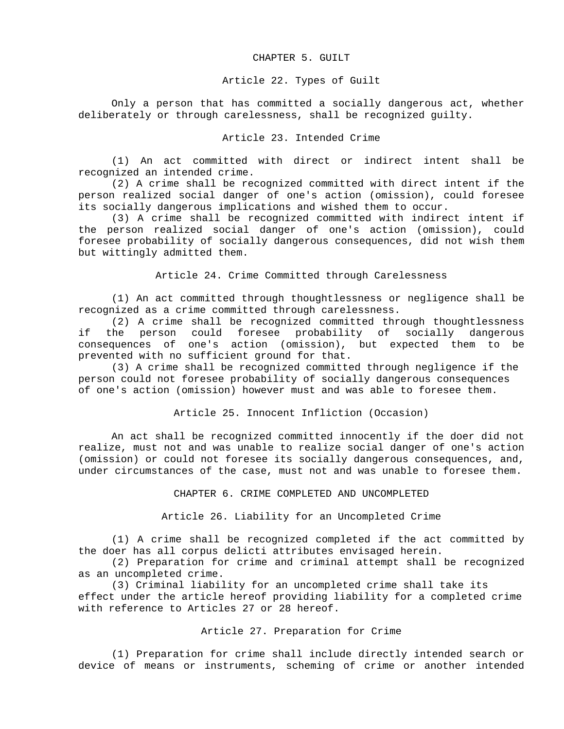#### CHAPTER 5. GUILT

#### Article 22. Types of Guilt

Only a person that has committed a socially dangerous act, whether deliberately or through carelessness, shall be recognized guilty.

## Article 23. Intended Crime

(1) An act committed with direct or indirect intent shall be recognized an intended crime.

(2) A crime shall be recognized committed with direct intent if the person realized social danger of one's action (omission), could foresee its socially dangerous implications and wished them to occur.

(3) A crime shall be recognized committed with indirect intent if the person realized social danger of one's action (omission), could foresee probability of socially dangerous consequences, did not wish them but wittingly admitted them.

Article 24. Crime Committed through Carelessness

(1) An act committed through thoughtlessness or negligence shall be recognized as a crime committed through carelessness.

(2) A crime shall be recognized committed through thoughtlessness if the person could foresee probability of socially dangerous consequences of one's action (omission), but expected them to be prevented with no sufficient ground for that.

(3) A crime shall be recognized committed through negligence if the person could not foresee probability of socially dangerous consequences of one's action (omission) however must and was able to foresee them.

Article 25. Innocent Infliction (Occasion)

An act shall be recognized committed innocently if the doer did not realize, must not and was unable to realize social danger of one's action (omission) or could not foresee its socially dangerous consequences, and, under circumstances of the case, must not and was unable to foresee them.

CHAPTER 6. CRIME COMPLETED AND UNCOMPLETED

Article 26. Liability for an Uncompleted Crime

(1) A crime shall be recognized completed if the act committed by the doer has all corpus delicti attributes envisaged herein.

(2) Preparation for crime and criminal attempt shall be recognized as an uncompleted crime.

(3) Criminal liability for an uncompleted crime shall take its effect under the article hereof providing liability for a completed crime with reference to Articles 27 or 28 hereof.

#### Article 27. Preparation for Crime

(1) Preparation for crime shall include directly intended search or device of means or instruments, scheming of crime or another intended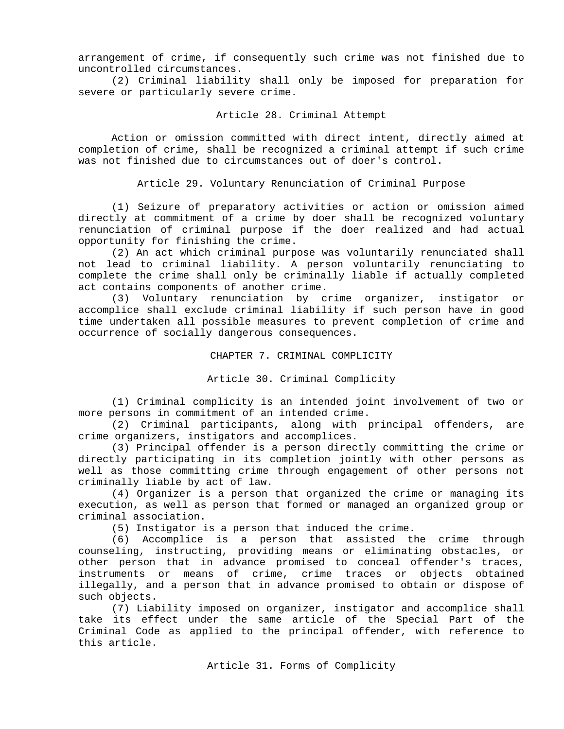arrangement of crime, if consequently such crime was not finished due to uncontrolled circumstances.

(2) Criminal liability shall only be imposed for preparation for severe or particularly severe crime.

#### Article 28. Criminal Attempt

Action or omission committed with direct intent, directly aimed at completion of crime, shall be recognized a criminal attempt if such crime was not finished due to circumstances out of doer's control.

Article 29. Voluntary Renunciation of Criminal Purpose

(1) Seizure of preparatory activities or action or omission aimed directly at commitment of a crime by doer shall be recognized voluntary renunciation of criminal purpose if the doer realized and had actual opportunity for finishing the crime.

(2) An act which criminal purpose was voluntarily renunciated shall not lead to criminal liability. A person voluntarily renunciating to complete the crime shall only be criminally liable if actually completed act contains components of another crime.

(3) Voluntary renunciation by crime organizer, instigator or accomplice shall exclude criminal liability if such person have in good time undertaken all possible measures to prevent completion of crime and occurrence of socially dangerous consequences.

CHAPTER 7. CRIMINAL COMPLICITY

Article 30. Criminal Complicity

(1) Criminal complicity is an intended joint involvement of two or more persons in commitment of an intended crime.

(2) Criminal participants, along with principal offenders, are crime organizers, instigators and accomplices.

(3) Principal offender is a person directly committing the crime or directly participating in its completion jointly with other persons as well as those committing crime through engagement of other persons not criminally liable by act of law.

(4) Organizer is a person that organized the crime or managing its execution, as well as person that formed or managed an organized group or criminal association.

(5) Instigator is a person that induced the crime.

(6) Accomplice is a person that assisted the crime through counseling, instructing, providing means or eliminating obstacles, or other person that in advance promised to conceal offender's traces, instruments or means of crime, crime traces or objects obtained illegally, and a person that in advance promised to obtain or dispose of such objects.

(7) Liability imposed on organizer, instigator and accomplice shall take its effect under the same article of the Special Part of the Criminal Code as applied to the principal offender, with reference to this article.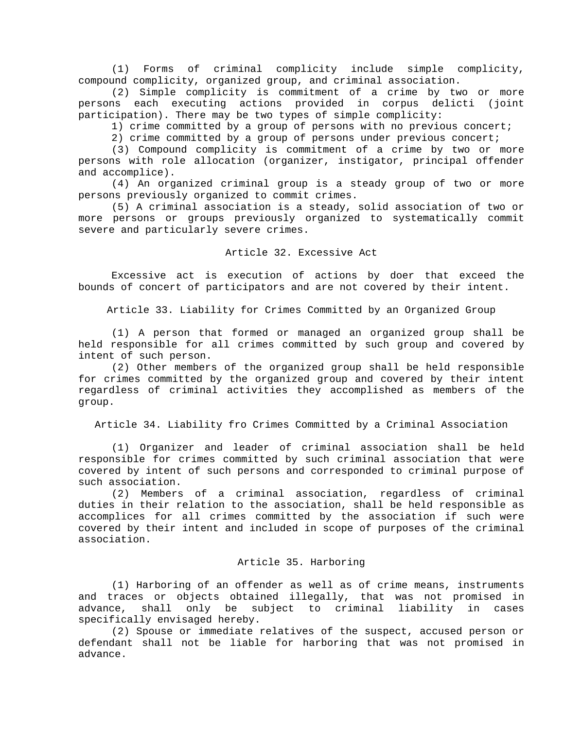(1) Forms of criminal complicity include simple complicity, compound complicity, organized group, and criminal association.

(2) Simple complicity is commitment of a crime by two or more persons each executing actions provided in corpus delicti (joint participation). There may be two types of simple complicity:

1) crime committed by a group of persons with no previous concert;

2) crime committed by a group of persons under previous concert;

(3) Compound complicity is commitment of a crime by two or more persons with role allocation (organizer, instigator, principal offender and accomplice).

(4) An organized criminal group is a steady group of two or more persons previously organized to commit crimes.

(5) A criminal association is a steady, solid association of two or more persons or groups previously organized to systematically commit severe and particularly severe crimes.

## Article 32. Excessive Act

Excessive act is execution of actions by doer that exceed the bounds of concert of participators and are not covered by their intent.

Article 33. Liability for Crimes Committed by an Organized Group

(1) A person that formed or managed an organized group shall be held responsible for all crimes committed by such group and covered by intent of such person.

(2) Other members of the organized group shall be held responsible for crimes committed by the organized group and covered by their intent regardless of criminal activities they accomplished as members of the group.

Article 34. Liability fro Crimes Committed by a Criminal Association

(1) Organizer and leader of criminal association shall be held responsible for crimes committed by such criminal association that were covered by intent of such persons and corresponded to criminal purpose of such association.

(2) Members of a criminal association, regardless of criminal duties in their relation to the association, shall be held responsible as accomplices for all crimes committed by the association if such were covered by their intent and included in scope of purposes of the criminal association.

### Article 35. Harboring

(1) Harboring of an offender as well as of crime means, instruments and traces or objects obtained illegally, that was not promised in advance, shall only be subject to criminal liability in cases specifically envisaged hereby.

(2) Spouse or immediate relatives of the suspect, accused person or defendant shall not be liable for harboring that was not promised in advance.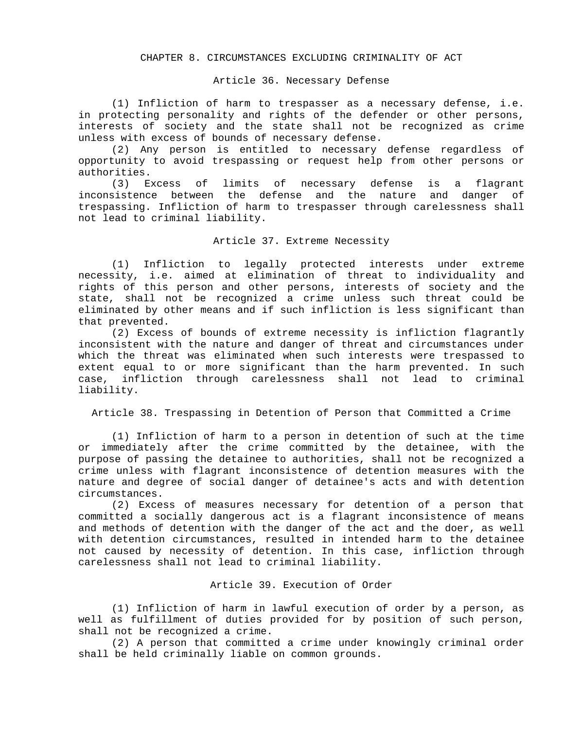### CHAPTER 8. CIRCUMSTANCES EXCLUDING CRIMINALITY OF ACT

#### Article 36. Necessary Defense

(1) Infliction of harm to trespasser as a necessary defense, i.e. in protecting personality and rights of the defender or other persons, interests of society and the state shall not be recognized as crime unless with excess of bounds of necessary defense.

(2) Any person is entitled to necessary defense regardless of opportunity to avoid trespassing or request help from other persons or authorities.

(3) Excess of limits of necessary defense is a flagrant inconsistence between the defense and the nature and danger of trespassing. Infliction of harm to trespasser through carelessness shall not lead to criminal liability.

### Article 37. Extreme Necessity

(1) Infliction to legally protected interests under extreme necessity, i.e. aimed at elimination of threat to individuality and rights of this person and other persons, interests of society and the state, shall not be recognized a crime unless such threat could be eliminated by other means and if such infliction is less significant than that prevented.

(2) Excess of bounds of extreme necessity is infliction flagrantly inconsistent with the nature and danger of threat and circumstances under which the threat was eliminated when such interests were trespassed to extent equal to or more significant than the harm prevented. In such case, infliction through carelessness shall not lead to criminal liability.

Article 38. Trespassing in Detention of Person that Committed a Crime

(1) Infliction of harm to a person in detention of such at the time or immediately after the crime committed by the detainee, with the purpose of passing the detainee to authorities, shall not be recognized a crime unless with flagrant inconsistence of detention measures with the nature and degree of social danger of detainee's acts and with detention circumstances.

(2) Excess of measures necessary for detention of a person that committed a socially dangerous act is a flagrant inconsistence of means and methods of detention with the danger of the act and the doer, as well with detention circumstances, resulted in intended harm to the detainee not caused by necessity of detention. In this case, infliction through carelessness shall not lead to criminal liability.

#### Article 39. Execution of Order

(1) Infliction of harm in lawful execution of order by a person, as well as fulfillment of duties provided for by position of such person, shall not be recognized a crime.

(2) A person that committed a crime under knowingly criminal order shall be held criminally liable on common grounds.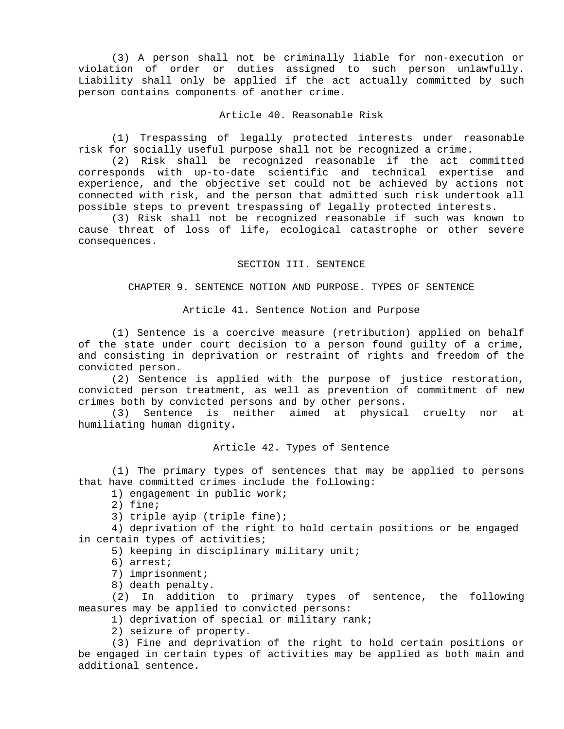(3) A person shall not be criminally liable for non-execution or violation of order or duties assigned to such person unlawfully. Liability shall only be applied if the act actually committed by such person contains components of another crime.

### Article 40. Reasonable Risk

(1) Trespassing of legally protected interests under reasonable risk for socially useful purpose shall not be recognized a crime.

(2) Risk shall be recognized reasonable if the act committed corresponds with up-to-date scientific and technical expertise and experience, and the objective set could not be achieved by actions not connected with risk, and the person that admitted such risk undertook all possible steps to prevent trespassing of legally protected interests.

(3) Risk shall not be recognized reasonable if such was known to cause threat of loss of life, ecological catastrophe or other severe consequences.

### SECTION III. SENTENCE

#### CHAPTER 9. SENTENCE NOTION AND PURPOSE. TYPES OF SENTENCE

Article 41. Sentence Notion and Purpose

(1) Sentence is a coercive measure (retribution) applied on behalf of the state under court decision to a person found guilty of a crime, and consisting in deprivation or restraint of rights and freedom of the convicted person.

(2) Sentence is applied with the purpose of justice restoration, convicted person treatment, as well as prevention of commitment of new crimes both by convicted persons and by other persons.

(3) Sentence is neither aimed at physical cruelty nor at humiliating human dignity.

### Article 42. Types of Sentence

(1) The primary types of sentences that may be applied to persons that have committed crimes include the following:

1) engagement in public work;

2) fine;

3) triple ayip (triple fine);

4) deprivation of the right to hold certain positions or be engaged in certain types of activities;

5) keeping in disciplinary military unit;

6) arrest;

7) imprisonment;

8) death penalty.

(2) In addition to primary types of sentence, the following measures may be applied to convicted persons:

1) deprivation of special or military rank;

2) seizure of property.

(3) Fine and deprivation of the right to hold certain positions or be engaged in certain types of activities may be applied as both main and additional sentence.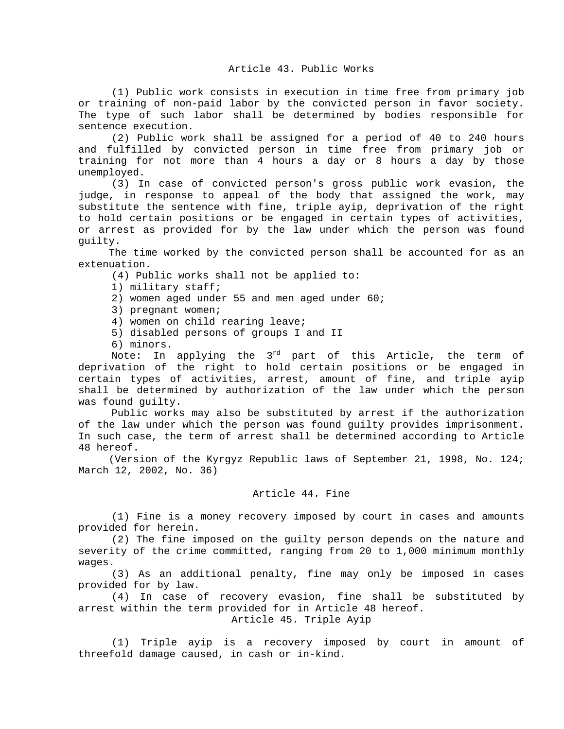(1) Public work consists in execution in time free from primary job or training of non-paid labor by the convicted person in favor society. The type of such labor shall be determined by bodies responsible for sentence execution.

(2) Public work shall be assigned for a period of 40 to 240 hours and fulfilled by convicted person in time free from primary job or training for not more than 4 hours a day or 8 hours a day by those unemployed.

(3) In case of convicted person's gross public work evasion, the judge, in response to appeal of the body that assigned the work, may substitute the sentence with fine, triple ayip, deprivation of the right to hold certain positions or be engaged in certain types of activities, or arrest as provided for by the law under which the person was found guilty.

The time worked by the convicted person shall be accounted for as an extenuation.

(4) Public works shall not be applied to:

- 1) military staff;
- 2) women aged under 55 and men aged under 60;
- 3) pregnant women;
- 4) women on child rearing leave;
- 5) disabled persons of groups I and II
- 6) minors.

Note: In applying the  $3<sup>rd</sup>$  part of this Article, the term of deprivation of the right to hold certain positions or be engaged in certain types of activities, arrest, amount of fine, and triple ayip shall be determined by authorization of the law under which the person was found guilty.

Public works may also be substituted by arrest if the authorization of the law under which the person was found guilty provides imprisonment. In such case, the term of arrest shall be determined according to Article 48 hereof.

(Version of the Kyrgyz Republic laws of September 21, 1998, No. 124; March 12, 2002, No. 36)

### Article 44. Fine

(1) Fine is a money recovery imposed by court in cases and amounts provided for herein.

(2) The fine imposed on the guilty person depends on the nature and severity of the crime committed, ranging from 20 to 1,000 minimum monthly wages.

(3) As an additional penalty, fine may only be imposed in cases provided for by law.

(4) In case of recovery evasion, fine shall be substituted by arrest within the term provided for in Article 48 hereof. Article 45. Triple Ayip

(1) Triple ayip is a recovery imposed by court in amount of threefold damage caused, in cash or in-kind.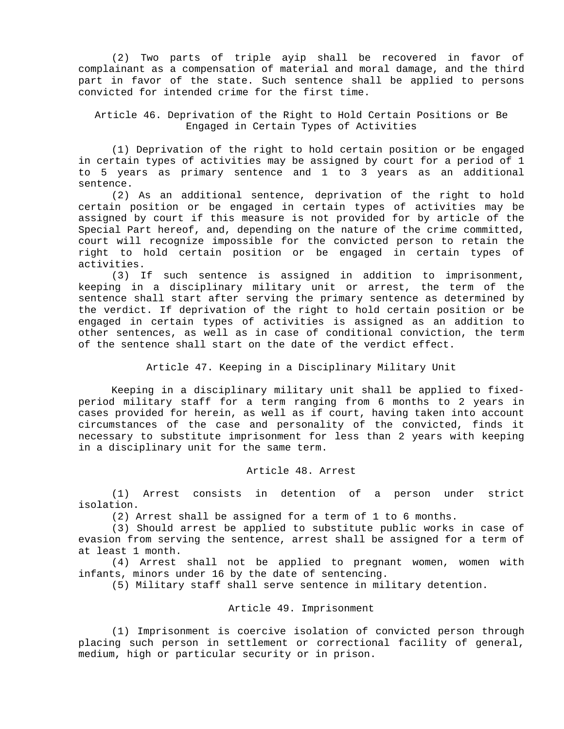(2) Two parts of triple ayip shall be recovered in favor of complainant as a compensation of material and moral damage, and the third part in favor of the state. Such sentence shall be applied to persons convicted for intended crime for the first time.

Article 46. Deprivation of the Right to Hold Certain Positions or Be Engaged in Certain Types of Activities

(1) Deprivation of the right to hold certain position or be engaged in certain types of activities may be assigned by court for a period of 1 to 5 years as primary sentence and 1 to 3 years as an additional sentence.

(2) As an additional sentence, deprivation of the right to hold certain position or be engaged in certain types of activities may be assigned by court if this measure is not provided for by article of the Special Part hereof, and, depending on the nature of the crime committed, court will recognize impossible for the convicted person to retain the right to hold certain position or be engaged in certain types of activities.

(3) If such sentence is assigned in addition to imprisonment, keeping in a disciplinary military unit or arrest, the term of the sentence shall start after serving the primary sentence as determined by the verdict. If deprivation of the right to hold certain position or be engaged in certain types of activities is assigned as an addition to other sentences, as well as in case of conditional conviction, the term of the sentence shall start on the date of the verdict effect.

## Article 47. Keeping in a Disciplinary Military Unit

Keeping in a disciplinary military unit shall be applied to fixedperiod military staff for a term ranging from 6 months to 2 years in cases provided for herein, as well as if court, having taken into account circumstances of the case and personality of the convicted, finds it necessary to substitute imprisonment for less than 2 years with keeping in a disciplinary unit for the same term.

# Article 48. Arrest

(1) Arrest consists in detention of a person under strict isolation.

(2) Arrest shall be assigned for a term of 1 to 6 months.

(3) Should arrest be applied to substitute public works in case of evasion from serving the sentence, arrest shall be assigned for a term of at least 1 month.

(4) Arrest shall not be applied to pregnant women, women with infants, minors under 16 by the date of sentencing.

(5) Military staff shall serve sentence in military detention.

### Article 49. Imprisonment

(1) Imprisonment is coercive isolation of convicted person through placing such person in settlement or correctional facility of general, medium, high or particular security or in prison.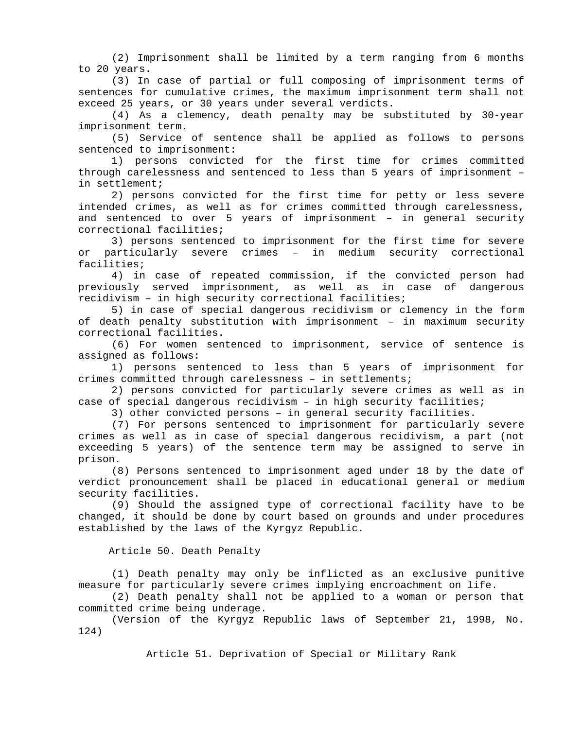(2) Imprisonment shall be limited by a term ranging from 6 months to 20 years.

(3) In case of partial or full composing of imprisonment terms of sentences for cumulative crimes, the maximum imprisonment term shall not exceed 25 years, or 30 years under several verdicts.

(4) As a clemency, death penalty may be substituted by 30-year imprisonment term.

(5) Service of sentence shall be applied as follows to persons sentenced to imprisonment:

1) persons convicted for the first time for crimes committed through carelessness and sentenced to less than 5 years of imprisonment – in settlement;

2) persons convicted for the first time for petty or less severe intended crimes, as well as for crimes committed through carelessness, and sentenced to over 5 years of imprisonment – in general security correctional facilities;

3) persons sentenced to imprisonment for the first time for severe or particularly severe crimes – in medium security correctional facilities;

4) in case of repeated commission, if the convicted person had previously served imprisonment, as well as in case of dangerous recidivism – in high security correctional facilities;

5) in case of special dangerous recidivism or clemency in the form of death penalty substitution with imprisonment – in maximum security correctional facilities.

(6) For women sentenced to imprisonment, service of sentence is assigned as follows:

1) persons sentenced to less than 5 years of imprisonment for crimes committed through carelessness – in settlements;

2) persons convicted for particularly severe crimes as well as in case of special dangerous recidivism – in high security facilities;

3) other convicted persons – in general security facilities.

(7) For persons sentenced to imprisonment for particularly severe crimes as well as in case of special dangerous recidivism, a part (not exceeding 5 years) of the sentence term may be assigned to serve in prison.

(8) Persons sentenced to imprisonment aged under 18 by the date of verdict pronouncement shall be placed in educational general or medium security facilities.

(9) Should the assigned type of correctional facility have to be changed, it should be done by court based on grounds and under procedures established by the laws of the Kyrgyz Republic.

Article 50. Death Penalty

(1) Death penalty may only be inflicted as an exclusive punitive measure for particularly severe crimes implying encroachment on life.

(2) Death penalty shall not be applied to a woman or person that committed crime being underage.

(Version of the Kyrgyz Republic laws of September 21, 1998, No. 124)

Article 51. Deprivation of Special or Military Rank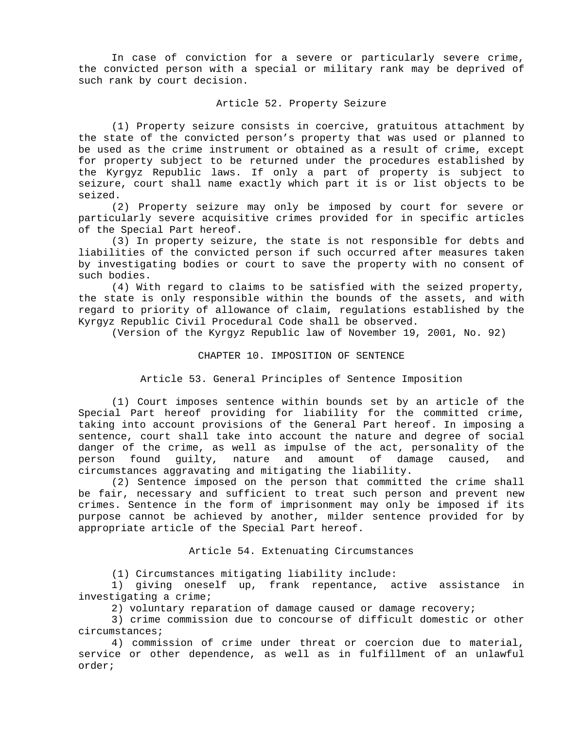In case of conviction for a severe or particularly severe crime, the convicted person with a special or military rank may be deprived of such rank by court decision.

### Article 52. Property Seizure

(1) Property seizure consists in coercive, gratuitous attachment by the state of the convicted person's property that was used or planned to be used as the crime instrument or obtained as a result of crime, except for property subject to be returned under the procedures established by the Kyrgyz Republic laws. If only a part of property is subject to seizure, court shall name exactly which part it is or list objects to be seized.

(2) Property seizure may only be imposed by court for severe or particularly severe acquisitive crimes provided for in specific articles of the Special Part hereof.

(3) In property seizure, the state is not responsible for debts and liabilities of the convicted person if such occurred after measures taken by investigating bodies or court to save the property with no consent of such bodies.

(4) With regard to claims to be satisfied with the seized property, the state is only responsible within the bounds of the assets, and with regard to priority of allowance of claim, regulations established by the Kyrgyz Republic Civil Procedural Code shall be observed.

(Version of the Kyrgyz Republic law of November 19, 2001, No. 92)

### CHAPTER 10. IMPOSITION OF SENTENCE

## Article 53. General Principles of Sentence Imposition

(1) Court imposes sentence within bounds set by an article of the Special Part hereof providing for liability for the committed crime, taking into account provisions of the General Part hereof. In imposing a sentence, court shall take into account the nature and degree of social danger of the crime, as well as impulse of the act, personality of the person found guilty, nature and amount of damage caused, and circumstances aggravating and mitigating the liability.

(2) Sentence imposed on the person that committed the crime shall be fair, necessary and sufficient to treat such person and prevent new crimes. Sentence in the form of imprisonment may only be imposed if its purpose cannot be achieved by another, milder sentence provided for by appropriate article of the Special Part hereof.

### Article 54. Extenuating Circumstances

(1) Circumstances mitigating liability include:

1) giving oneself up, frank repentance, active assistance in investigating a crime;

2) voluntary reparation of damage caused or damage recovery;

3) crime commission due to concourse of difficult domestic or other circumstances;

4) commission of crime under threat or coercion due to material, service or other dependence, as well as in fulfillment of an unlawful order;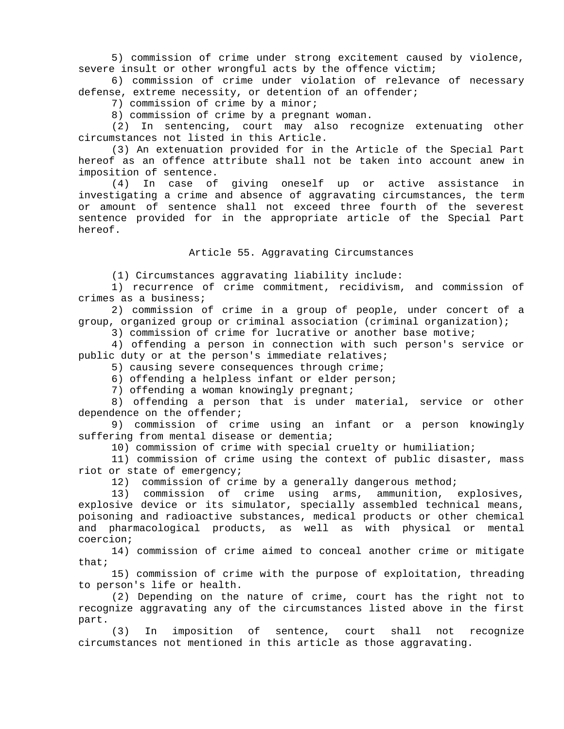5) commission of crime under strong excitement caused by violence, severe insult or other wrongful acts by the offence victim;

6) commission of crime under violation of relevance of necessary defense, extreme necessity, or detention of an offender;

7) commission of crime by a minor;

8) commission of crime by a pregnant woman.

(2) In sentencing, court may also recognize extenuating other circumstances not listed in this Article.

(3) An extenuation provided for in the Article of the Special Part hereof as an offence attribute shall not be taken into account anew in imposition of sentence.

(4) In case of giving oneself up or active assistance in investigating a crime and absence of aggravating circumstances, the term or amount of sentence shall not exceed three fourth of the severest sentence provided for in the appropriate article of the Special Part hereof.

Article 55. Aggravating Circumstances

(1) Circumstances aggravating liability include:

1) recurrence of crime commitment, recidivism, and commission of crimes as a business;

2) commission of crime in a group of people, under concert of a group, organized group or criminal association (criminal organization);

3) commission of crime for lucrative or another base motive;

4) offending a person in connection with such person's service or public duty or at the person's immediate relatives;

5) causing severe consequences through crime;

6) offending a helpless infant or elder person;

7) offending a woman knowingly pregnant;

8) offending a person that is under material, service or other dependence on the offender;

9) commission of crime using an infant or a person knowingly suffering from mental disease or dementia;

10) commission of crime with special cruelty or humiliation;

11) commission of crime using the context of public disaster, mass riot or state of emergency;

12) commission of crime by a generally dangerous method;

13) commission of crime using arms, ammunition, explosives, explosive device or its simulator, specially assembled technical means, poisoning and radioactive substances, medical products or other chemical and pharmacological products, as well as with physical or mental coercion;

14) commission of crime aimed to conceal another crime or mitigate that;

15) commission of crime with the purpose of exploitation, threading to person's life or health.

(2) Depending on the nature of crime, court has the right not to recognize aggravating any of the circumstances listed above in the first part.

(3) In imposition of sentence, court shall not recognize circumstances not mentioned in this article as those aggravating.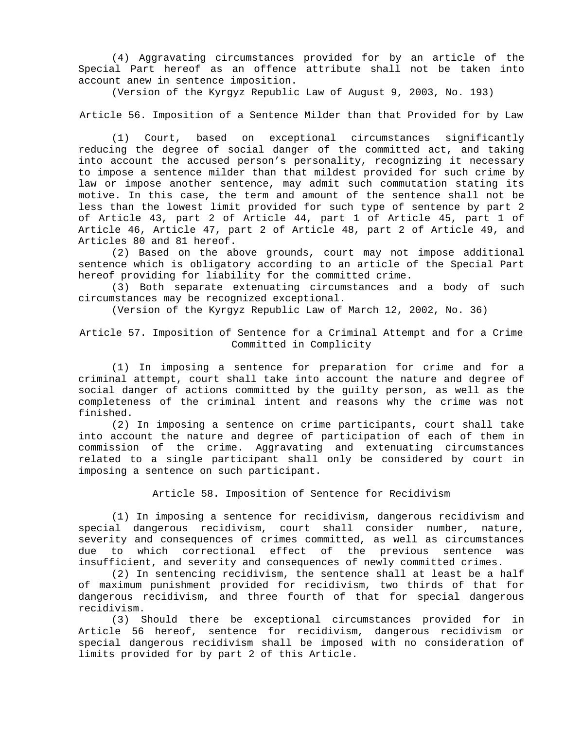(4) Aggravating circumstances provided for by an article of the Special Part hereof as an offence attribute shall not be taken into account anew in sentence imposition.

(Version of the Kyrgyz Republic Law of August 9, 2003, No. 193)

Article 56. Imposition of a Sentence Milder than that Provided for by Law

(1) Court, based on exceptional circumstances significantly reducing the degree of social danger of the committed act, and taking into account the accused person's personality, recognizing it necessary to impose a sentence milder than that mildest provided for such crime by law or impose another sentence, may admit such commutation stating its motive. In this case, the term and amount of the sentence shall not be less than the lowest limit provided for such type of sentence by part 2 of Article 43, part 2 of Article 44, part 1 of Article 45, part 1 of Article 46, Article 47, part 2 of Article 48, part 2 of Article 49, and Articles 80 and 81 hereof.

(2) Based on the above grounds, court may not impose additional sentence which is obligatory according to an article of the Special Part hereof providing for liability for the committed crime.

(3) Both separate extenuating circumstances and a body of such circumstances may be recognized exceptional.

(Version of the Kyrgyz Republic Law of March 12, 2002, No. 36)

Article 57. Imposition of Sentence for a Criminal Attempt and for a Crime Committed in Complicity

(1) In imposing a sentence for preparation for crime and for a criminal attempt, court shall take into account the nature and degree of social danger of actions committed by the guilty person, as well as the completeness of the criminal intent and reasons why the crime was not finished.

(2) In imposing a sentence on crime participants, court shall take into account the nature and degree of participation of each of them in commission of the crime. Aggravating and extenuating circumstances related to a single participant shall only be considered by court in imposing a sentence on such participant.

Article 58. Imposition of Sentence for Recidivism

(1) In imposing a sentence for recidivism, dangerous recidivism and special dangerous recidivism, court shall consider number, nature, severity and consequences of crimes committed, as well as circumstances due to which correctional effect of the previous sentence was insufficient, and severity and consequences of newly committed crimes.

(2) In sentencing recidivism, the sentence shall at least be a half of maximum punishment provided for recidivism, two thirds of that for dangerous recidivism, and three fourth of that for special dangerous recidivism.

(3) Should there be exceptional circumstances provided for in Article 56 hereof, sentence for recidivism, dangerous recidivism or special dangerous recidivism shall be imposed with no consideration of limits provided for by part 2 of this Article.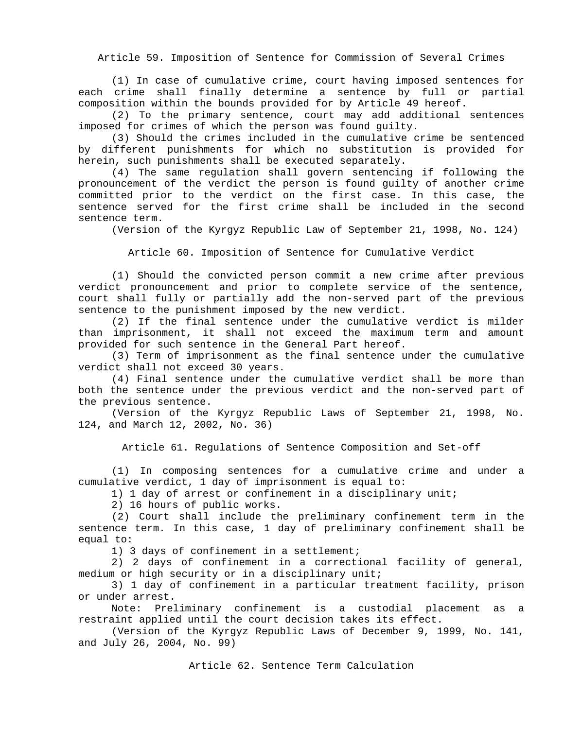Article 59. Imposition of Sentence for Commission of Several Crimes

(1) In case of cumulative crime, court having imposed sentences for each crime shall finally determine a sentence by full or partial composition within the bounds provided for by Article 49 hereof.

(2) To the primary sentence, court may add additional sentences imposed for crimes of which the person was found guilty.

(3) Should the crimes included in the cumulative crime be sentenced by different punishments for which no substitution is provided for herein, such punishments shall be executed separately.

(4) The same regulation shall govern sentencing if following the pronouncement of the verdict the person is found guilty of another crime committed prior to the verdict on the first case. In this case, the sentence served for the first crime shall be included in the second sentence term.

(Version of the Kyrgyz Republic Law of September 21, 1998, No. 124)

Article 60. Imposition of Sentence for Cumulative Verdict

(1) Should the convicted person commit a new crime after previous verdict pronouncement and prior to complete service of the sentence, court shall fully or partially add the non-served part of the previous sentence to the punishment imposed by the new verdict.

(2) If the final sentence under the cumulative verdict is milder than imprisonment, it shall not exceed the maximum term and amount provided for such sentence in the General Part hereof.

(3) Term of imprisonment as the final sentence under the cumulative verdict shall not exceed 30 years.

(4) Final sentence under the cumulative verdict shall be more than both the sentence under the previous verdict and the non-served part of the previous sentence.

(Version of the Kyrgyz Republic Laws of September 21, 1998, No. 124, and March 12, 2002, No. 36)

Article 61. Regulations of Sentence Composition and Set-off

(1) In composing sentences for a cumulative crime and under a cumulative verdict, 1 day of imprisonment is equal to:

1) 1 day of arrest or confinement in a disciplinary unit;

2) 16 hours of public works.

(2) Court shall include the preliminary confinement term in the sentence term. In this case, 1 day of preliminary confinement shall be equal to:

1) 3 days of confinement in a settlement;

2) 2 days of confinement in a correctional facility of general, medium or high security or in a disciplinary unit;

3) 1 day of confinement in a particular treatment facility, prison or under arrest.

Note: Preliminary confinement is a custodial placement as a restraint applied until the court decision takes its effect.

(Version of the Kyrgyz Republic Laws of December 9, 1999, No. 141, and July 26, 2004, No. 99)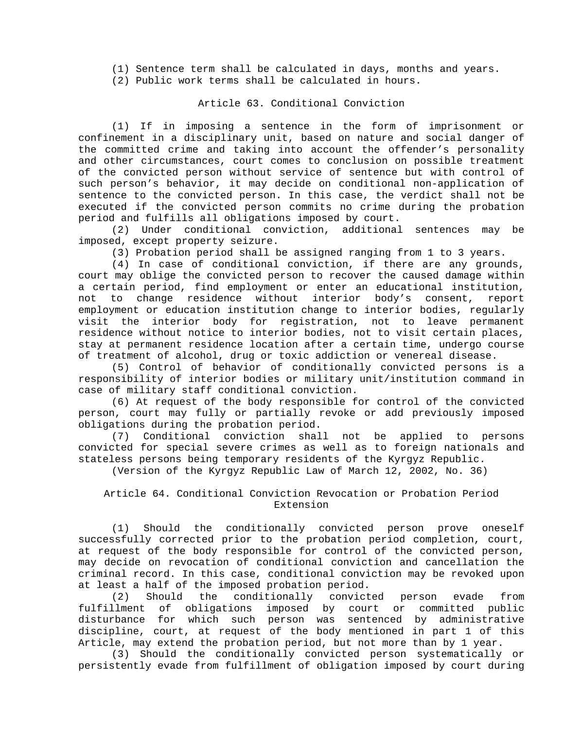(1) Sentence term shall be calculated in days, months and years.

(2) Public work terms shall be calculated in hours.

## Article 63. Conditional Conviction

(1) If in imposing a sentence in the form of imprisonment or confinement in a disciplinary unit, based on nature and social danger of the committed crime and taking into account the offender's personality and other circumstances, court comes to conclusion on possible treatment of the convicted person without service of sentence but with control of such person's behavior, it may decide on conditional non-application of sentence to the convicted person. In this case, the verdict shall not be executed if the convicted person commits no crime during the probation period and fulfills all obligations imposed by court.

(2) Under conditional conviction, additional sentences may be imposed, except property seizure.

(3) Probation period shall be assigned ranging from 1 to 3 years.

(4) In case of conditional conviction, if there are any grounds, court may oblige the convicted person to recover the caused damage within a certain period, find employment or enter an educational institution, not to change residence without interior body's consent, report employment or education institution change to interior bodies, regularly visit the interior body for registration, not to leave permanent residence without notice to interior bodies, not to visit certain places, stay at permanent residence location after a certain time, undergo course of treatment of alcohol, drug or toxic addiction or venereal disease.

 (5) Control of behavior of conditionally convicted persons is a responsibility of interior bodies or military unit/institution command in case of military staff conditional conviction.

(6) At request of the body responsible for control of the convicted person, court may fully or partially revoke or add previously imposed obligations during the probation period.

(7) Conditional conviction shall not be applied to persons convicted for special severe crimes as well as to foreign nationals and stateless persons being temporary residents of the Kyrgyz Republic.

(Version of the Kyrgyz Republic Law of March 12, 2002, No. 36)

# Article 64. Conditional Conviction Revocation or Probation Period Extension

(1) Should the conditionally convicted person prove oneself successfully corrected prior to the probation period completion, court, at request of the body responsible for control of the convicted person, may decide on revocation of conditional conviction and cancellation the criminal record. In this case, conditional conviction may be revoked upon at least a half of the imposed probation period.

(2) Should the conditionally convicted person evade from fulfillment of obligations imposed by court or committed public disturbance for which such person was sentenced by administrative discipline, court, at request of the body mentioned in part 1 of this Article, may extend the probation period, but not more than by 1 year.

(3) Should the conditionally convicted person systematically or persistently evade from fulfillment of obligation imposed by court during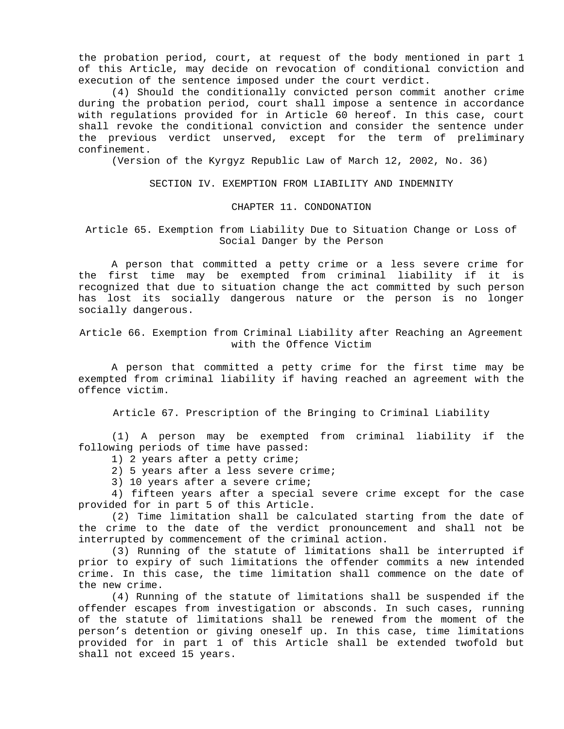the probation period, court, at request of the body mentioned in part 1 of this Article, may decide on revocation of conditional conviction and execution of the sentence imposed under the court verdict.

(4) Should the conditionally convicted person commit another crime during the probation period, court shall impose a sentence in accordance with regulations provided for in Article 60 hereof. In this case, court shall revoke the conditional conviction and consider the sentence under the previous verdict unserved, except for the term of preliminary confinement.

(Version of the Kyrgyz Republic Law of March 12, 2002, No. 36)

SECTION IV. EXEMPTION FROM LIABILITY AND INDEMNITY

CHAPTER 11. CONDONATION

Article 65. Exemption from Liability Due to Situation Change or Loss of Social Danger by the Person

A person that committed a petty crime or a less severe crime for the first time may be exempted from criminal liability if it is recognized that due to situation change the act committed by such person has lost its socially dangerous nature or the person is no longer socially dangerous.

Article 66. Exemption from Criminal Liability after Reaching an Agreement with the Offence Victim

A person that committed a petty crime for the first time may be exempted from criminal liability if having reached an agreement with the offence victim.

Article 67. Prescription of the Bringing to Criminal Liability

(1) A person may be exempted from criminal liability if the following periods of time have passed:

- 1) 2 years after a petty crime;
- 2) 5 years after a less severe crime;
- 3) 10 years after a severe crime;

4) fifteen years after a special severe crime except for the case provided for in part 5 of this Article.

(2) Time limitation shall be calculated starting from the date of the crime to the date of the verdict pronouncement and shall not be interrupted by commencement of the criminal action.

(3) Running of the statute of limitations shall be interrupted if prior to expiry of such limitations the offender commits a new intended crime. In this case, the time limitation shall commence on the date of the new crime.

(4) Running of the statute of limitations shall be suspended if the offender escapes from investigation or absconds. In such cases, running of the statute of limitations shall be renewed from the moment of the person's detention or giving oneself up. In this case, time limitations provided for in part 1 of this Article shall be extended twofold but shall not exceed 15 years.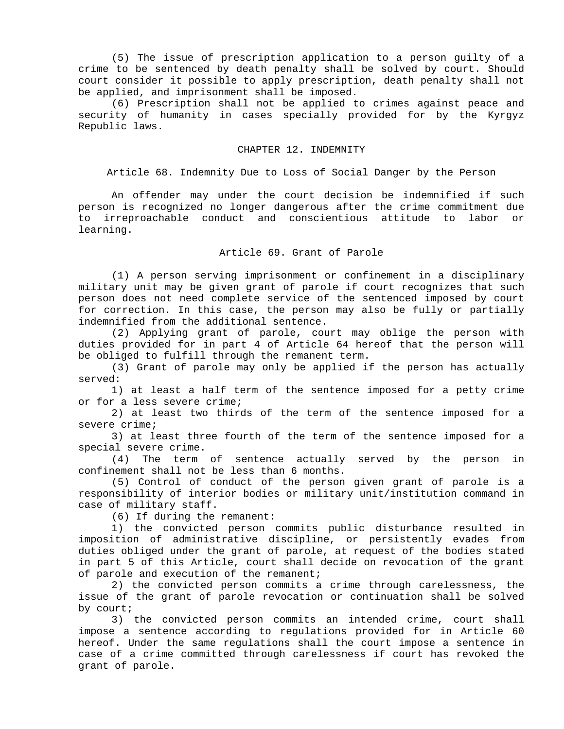(5) The issue of prescription application to a person guilty of a crime to be sentenced by death penalty shall be solved by court. Should court consider it possible to apply prescription, death penalty shall not be applied, and imprisonment shall be imposed.

(6) Prescription shall not be applied to crimes against peace and security of humanity in cases specially provided for by the Kyrgyz Republic laws.

### CHAPTER 12. INDEMNITY

Article 68. Indemnity Due to Loss of Social Danger by the Person

An offender may under the court decision be indemnified if such person is recognized no longer dangerous after the crime commitment due to irreproachable conduct and conscientious attitude to labor or learning.

## Article 69. Grant of Parole

(1) A person serving imprisonment or confinement in a disciplinary military unit may be given grant of parole if court recognizes that such person does not need complete service of the sentenced imposed by court for correction. In this case, the person may also be fully or partially indemnified from the additional sentence.

(2) Applying grant of parole, court may oblige the person with duties provided for in part 4 of Article 64 hereof that the person will be obliged to fulfill through the remanent term.

(3) Grant of parole may only be applied if the person has actually served:

1) at least a half term of the sentence imposed for a petty crime or for a less severe crime;

2) at least two thirds of the term of the sentence imposed for a severe crime;

3) at least three fourth of the term of the sentence imposed for a special severe crime.

(4) The term of sentence actually served by the person in confinement shall not be less than 6 months.

(5) Control of conduct of the person given grant of parole is a responsibility of interior bodies or military unit/institution command in case of military staff.

(6) If during the remanent:

1) the convicted person commits public disturbance resulted in imposition of administrative discipline, or persistently evades from duties obliged under the grant of parole, at request of the bodies stated in part 5 of this Article, court shall decide on revocation of the grant of parole and execution of the remanent;

2) the convicted person commits a crime through carelessness, the issue of the grant of parole revocation or continuation shall be solved by court;

3) the convicted person commits an intended crime, court shall impose a sentence according to regulations provided for in Article 60 hereof. Under the same regulations shall the court impose a sentence in case of a crime committed through carelessness if court has revoked the grant of parole.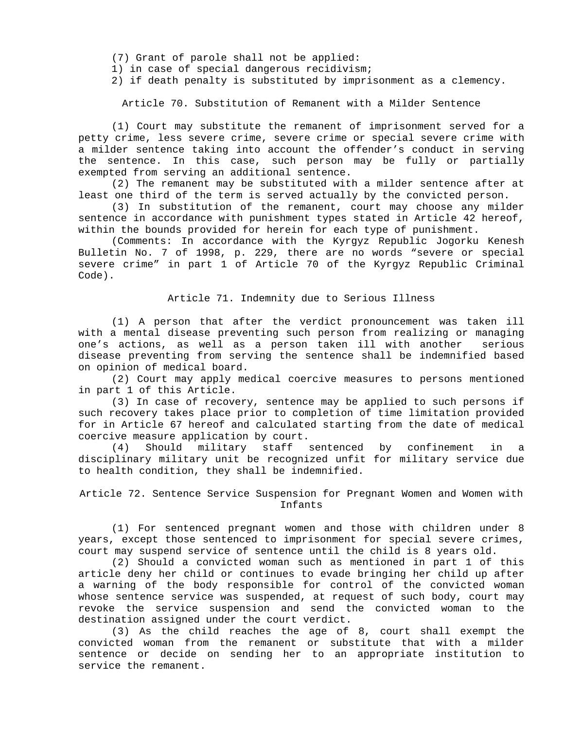- (7) Grant of parole shall not be applied:
- 1) in case of special dangerous recidivism;
- 2) if death penalty is substituted by imprisonment as a clemency.

Article 70. Substitution of Remanent with a Milder Sentence

(1) Court may substitute the remanent of imprisonment served for a petty crime, less severe crime, severe crime or special severe crime with a milder sentence taking into account the offender's conduct in serving the sentence. In this case, such person may be fully or partially exempted from serving an additional sentence.

(2) The remanent may be substituted with a milder sentence after at least one third of the term is served actually by the convicted person.

(3) In substitution of the remanent, court may choose any milder sentence in accordance with punishment types stated in Article 42 hereof, within the bounds provided for herein for each type of punishment.

(Comments: In accordance with the Kyrgyz Republic Jogorku Kenesh Bulletin No. 7 of 1998, p. 229, there are no words "severe or special severe crime" in part 1 of Article 70 of the Kyrgyz Republic Criminal Code).

### Article 71. Indemnity due to Serious Illness

(1) A person that after the verdict pronouncement was taken ill with a mental disease preventing such person from realizing or managing one's actions, as well as a person taken ill with another serious disease preventing from serving the sentence shall be indemnified based on opinion of medical board.

(2) Court may apply medical coercive measures to persons mentioned in part 1 of this Article.

(3) In case of recovery, sentence may be applied to such persons if such recovery takes place prior to completion of time limitation provided for in Article 67 hereof and calculated starting from the date of medical coercive measure application by court.

(4) Should military staff sentenced by confinement in a disciplinary military unit be recognized unfit for military service due to health condition, they shall be indemnified.

## Article 72. Sentence Service Suspension for Pregnant Women and Women with Infants

(1) For sentenced pregnant women and those with children under 8 years, except those sentenced to imprisonment for special severe crimes, court may suspend service of sentence until the child is 8 years old.

(2) Should a convicted woman such as mentioned in part 1 of this article deny her child or continues to evade bringing her child up after a warning of the body responsible for control of the convicted woman whose sentence service was suspended, at request of such body, court may revoke the service suspension and send the convicted woman to the destination assigned under the court verdict.

(3) As the child reaches the age of 8, court shall exempt the convicted woman from the remanent or substitute that with a milder sentence or decide on sending her to an appropriate institution to service the remanent.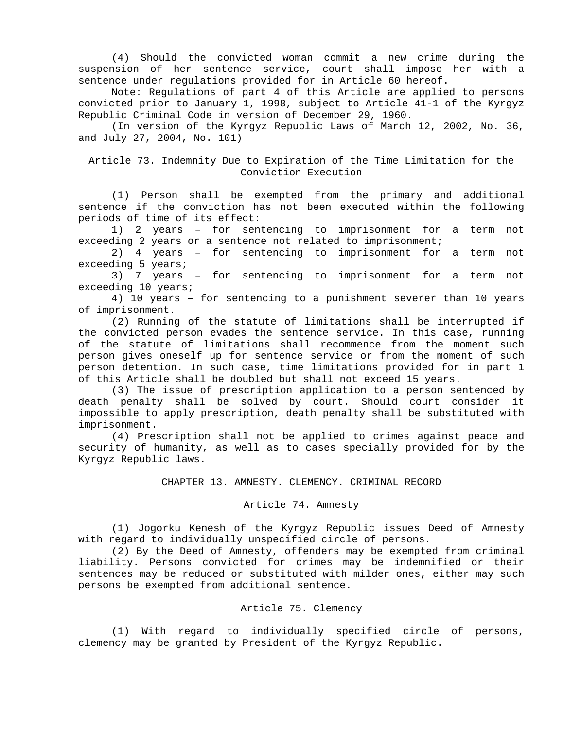(4) Should the convicted woman commit a new crime during the suspension of her sentence service, court shall impose her with a sentence under regulations provided for in Article 60 hereof.

Note: Regulations of part 4 of this Article are applied to persons convicted prior to January 1, 1998, subject to Article 41-1 of the Kyrgyz Republic Criminal Code in version of December 29, 1960.

(In version of the Kyrgyz Republic Laws of March 12, 2002, No. 36, and July 27, 2004, No. 101)

Article 73. Indemnity Due to Expiration of the Time Limitation for the Conviction Execution

(1) Person shall be exempted from the primary and additional sentence if the conviction has not been executed within the following periods of time of its effect:

1) 2 years – for sentencing to imprisonment for a term not exceeding 2 years or a sentence not related to imprisonment;

2) 4 years – for sentencing to imprisonment for a term not exceeding 5 years;

3) 7 years – for sentencing to imprisonment for a term not exceeding 10 years;

4) 10 years – for sentencing to a punishment severer than 10 years of imprisonment.

(2) Running of the statute of limitations shall be interrupted if the convicted person evades the sentence service. In this case, running of the statute of limitations shall recommence from the moment such person gives oneself up for sentence service or from the moment of such person detention. In such case, time limitations provided for in part 1 of this Article shall be doubled but shall not exceed 15 years.

(3) The issue of prescription application to a person sentenced by death penalty shall be solved by court. Should court consider it impossible to apply prescription, death penalty shall be substituted with imprisonment.

(4) Prescription shall not be applied to crimes against peace and security of humanity, as well as to cases specially provided for by the Kyrgyz Republic laws.

CHAPTER 13. AMNESTY. CLEMENCY. CRIMINAL RECORD

### Article 74. Amnesty

(1) Jogorku Kenesh of the Kyrgyz Republic issues Deed of Amnesty with regard to individually unspecified circle of persons.

(2) By the Deed of Amnesty, offenders may be exempted from criminal liability. Persons convicted for crimes may be indemnified or their sentences may be reduced or substituted with milder ones, either may such persons be exempted from additional sentence.

## Article 75. Clemency

(1) With regard to individually specified circle of persons, clemency may be granted by President of the Kyrgyz Republic.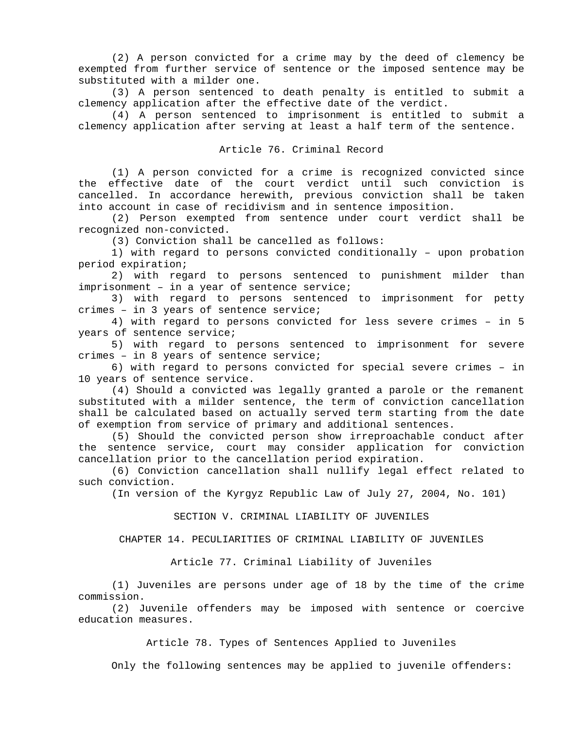(2) A person convicted for a crime may by the deed of clemency be exempted from further service of sentence or the imposed sentence may be substituted with a milder one.

(3) A person sentenced to death penalty is entitled to submit a clemency application after the effective date of the verdict.

(4) A person sentenced to imprisonment is entitled to submit a clemency application after serving at least a half term of the sentence.

## Article 76. Criminal Record

(1) A person convicted for a crime is recognized convicted since the effective date of the court verdict until such conviction is cancelled. In accordance herewith, previous conviction shall be taken into account in case of recidivism and in sentence imposition.

(2) Person exempted from sentence under court verdict shall be recognized non-convicted.

(3) Conviction shall be cancelled as follows:

1) with regard to persons convicted conditionally – upon probation period expiration;

2) with regard to persons sentenced to punishment milder than imprisonment – in a year of sentence service;

3) with regard to persons sentenced to imprisonment for petty crimes – in 3 years of sentence service;

4) with regard to persons convicted for less severe crimes – in 5 years of sentence service;

5) with regard to persons sentenced to imprisonment for severe crimes – in 8 years of sentence service;

6) with regard to persons convicted for special severe crimes – in 10 years of sentence service.

(4) Should a convicted was legally granted a parole or the remanent substituted with a milder sentence, the term of conviction cancellation shall be calculated based on actually served term starting from the date of exemption from service of primary and additional sentences.

(5) Should the convicted person show irreproachable conduct after the sentence service, court may consider application for conviction cancellation prior to the cancellation period expiration.

(6) Conviction cancellation shall nullify legal effect related to such conviction.

(In version of the Kyrgyz Republic Law of July 27, 2004, No. 101)

SECTION V. CRIMINAL LIABILITY OF JUVENILES

CHAPTER 14. PECULIARITIES OF CRIMINAL LIABILITY OF JUVENILES

Article 77. Criminal Liability of Juveniles

(1) Juveniles are persons under age of 18 by the time of the crime commission.

(2) Juvenile offenders may be imposed with sentence or coercive education measures.

Article 78. Types of Sentences Applied to Juveniles

Only the following sentences may be applied to juvenile offenders: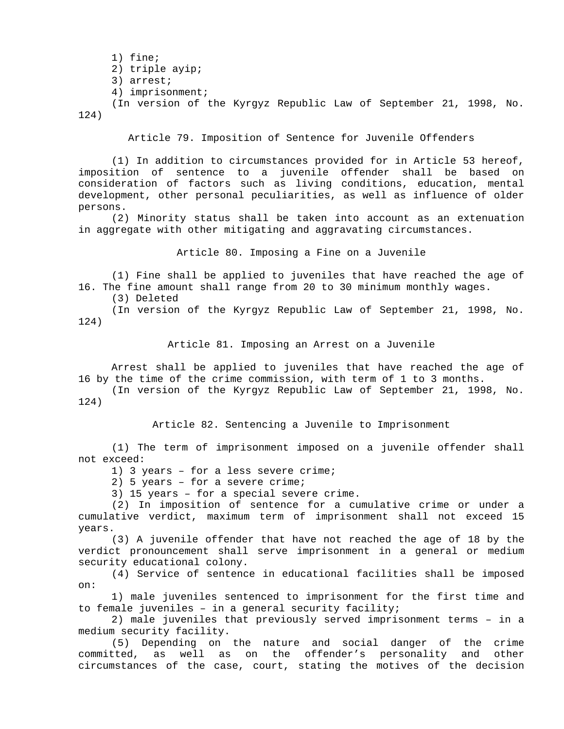```
 1) fine; 
2) triple ayip;
 3) arrest; 
 4) imprisonment; 
(In version of the Kyrgyz Republic Law of September 21, 1998, No.
```
124)

Article 79. Imposition of Sentence for Juvenile Offenders

(1) In addition to circumstances provided for in Article 53 hereof, imposition of sentence to a juvenile offender shall be based on consideration of factors such as living conditions, education, mental development, other personal peculiarities, as well as influence of older persons.

(2) Minority status shall be taken into account as an extenuation in aggregate with other mitigating and aggravating circumstances.

Article 80. Imposing a Fine on a Juvenile

(1) Fine shall be applied to juveniles that have reached the age of 16. The fine amount shall range from 20 to 30 minimum monthly wages.

(3) Deleted

(In version of the Kyrgyz Republic Law of September 21, 1998, No. 124)

Article 81. Imposing an Arrest on a Juvenile

Arrest shall be applied to juveniles that have reached the age of 16 by the time of the crime commission, with term of 1 to 3 months.

(In version of the Kyrgyz Republic Law of September 21, 1998, No. 124)

Article 82. Sentencing a Juvenile to Imprisonment

(1) The term of imprisonment imposed on a juvenile offender shall not exceed:

1) 3 years – for a less severe crime;

2) 5 years – for a severe crime;

3) 15 years – for a special severe crime.

(2) In imposition of sentence for a cumulative crime or under a cumulative verdict, maximum term of imprisonment shall not exceed 15 years.

(3) A juvenile offender that have not reached the age of 18 by the verdict pronouncement shall serve imprisonment in a general or medium security educational colony.

(4) Service of sentence in educational facilities shall be imposed on:

1) male juveniles sentenced to imprisonment for the first time and to female juveniles – in a general security facility;

2) male juveniles that previously served imprisonment terms – in a medium security facility.

(5) Depending on the nature and social danger of the crime committed, as well as on the offender's personality and other circumstances of the case, court, stating the motives of the decision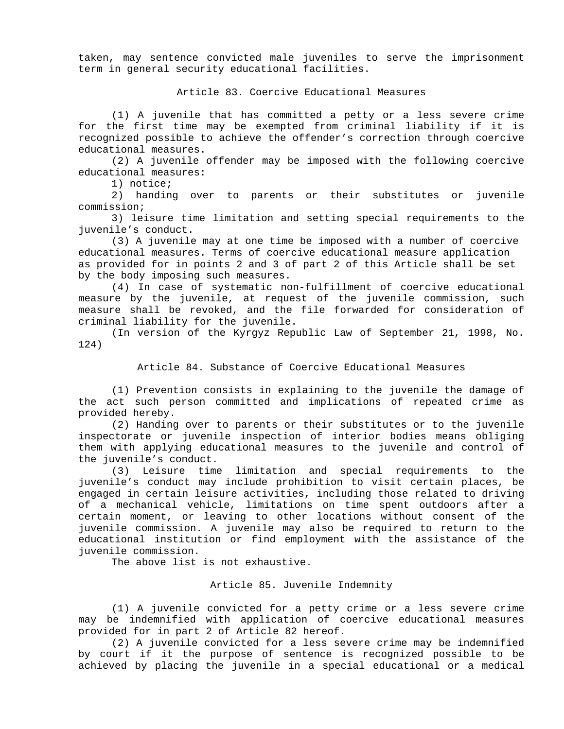taken, may sentence convicted male juveniles to serve the imprisonment term in general security educational facilities.

Article 83. Coercive Educational Measures

(1) A juvenile that has committed a petty or a less severe crime for the first time may be exempted from criminal liability if it is recognized possible to achieve the offender's correction through coercive educational measures.

(2) A juvenile offender may be imposed with the following coercive educational measures:

1) notice;

2) handing over to parents or their substitutes or juvenile commission;

3) leisure time limitation and setting special requirements to the juvenile's conduct.

(3) A juvenile may at one time be imposed with a number of coercive educational measures. Terms of coercive educational measure application as provided for in points 2 and 3 of part 2 of this Article shall be set by the body imposing such measures.

(4) In case of systematic non-fulfillment of coercive educational measure by the juvenile, at request of the juvenile commission, such measure shall be revoked, and the file forwarded for consideration of criminal liability for the juvenile.

(In version of the Kyrgyz Republic Law of September 21, 1998, No. 124)

Article 84. Substance of Coercive Educational Measures

(1) Prevention consists in explaining to the juvenile the damage of the act such person committed and implications of repeated crime as provided hereby.

(2) Handing over to parents or their substitutes or to the juvenile inspectorate or juvenile inspection of interior bodies means obliging them with applying educational measures to the juvenile and control of the juvenile's conduct.

(3) Leisure time limitation and special requirements to the juvenile's conduct may include prohibition to visit certain places, be engaged in certain leisure activities, including those related to driving of a mechanical vehicle, limitations on time spent outdoors after a certain moment, or leaving to other locations without consent of the juvenile commission. A juvenile may also be required to return to the educational institution or find employment with the assistance of the juvenile commission.

The above list is not exhaustive.

Article 85. Juvenile Indemnity

(1) A juvenile convicted for a petty crime or a less severe crime may be indemnified with application of coercive educational measures provided for in part 2 of Article 82 hereof.

(2) A juvenile convicted for a less severe crime may be indemnified by court if it the purpose of sentence is recognized possible to be achieved by placing the juvenile in a special educational or a medical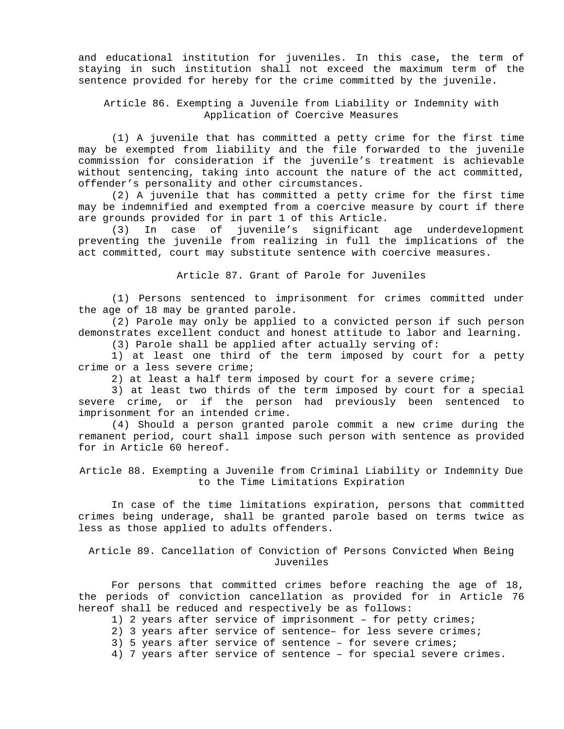and educational institution for juveniles. In this case, the term of staying in such institution shall not exceed the maximum term of the sentence provided for hereby for the crime committed by the juvenile.

Article 86. Exempting a Juvenile from Liability or Indemnity with Application of Coercive Measures

(1) A juvenile that has committed a petty crime for the first time may be exempted from liability and the file forwarded to the juvenile commission for consideration if the juvenile's treatment is achievable without sentencing, taking into account the nature of the act committed, offender's personality and other circumstances.

(2) A juvenile that has committed a petty crime for the first time may be indemnified and exempted from a coercive measure by court if there are grounds provided for in part 1 of this Article.

(3) In case of juvenile's significant age underdevelopment preventing the juvenile from realizing in full the implications of the act committed, court may substitute sentence with coercive measures.

### Article 87. Grant of Parole for Juveniles

(1) Persons sentenced to imprisonment for crimes committed under the age of 18 may be granted parole.

(2) Parole may only be applied to a convicted person if such person demonstrates excellent conduct and honest attitude to labor and learning.

(3) Parole shall be applied after actually serving of:

1) at least one third of the term imposed by court for a petty crime or a less severe crime;

2) at least a half term imposed by court for a severe crime;

3) at least two thirds of the term imposed by court for a special severe crime, or if the person had previously been sentenced to imprisonment for an intended crime.

(4) Should a person granted parole commit a new crime during the remanent period, court shall impose such person with sentence as provided for in Article 60 hereof.

Article 88. Exempting a Juvenile from Criminal Liability or Indemnity Due to the Time Limitations Expiration

In case of the time limitations expiration, persons that committed crimes being underage, shall be granted parole based on terms twice as less as those applied to adults offenders.

Article 89. Cancellation of Conviction of Persons Convicted When Being Juveniles

For persons that committed crimes before reaching the age of 18, the periods of conviction cancellation as provided for in Article 76 hereof shall be reduced and respectively be as follows:

- 1) 2 years after service of imprisonment for petty crimes;
- 2) 3 years after service of sentence– for less severe crimes;
- 3) 5 years after service of sentence for severe crimes;
- 4) 7 years after service of sentence for special severe crimes.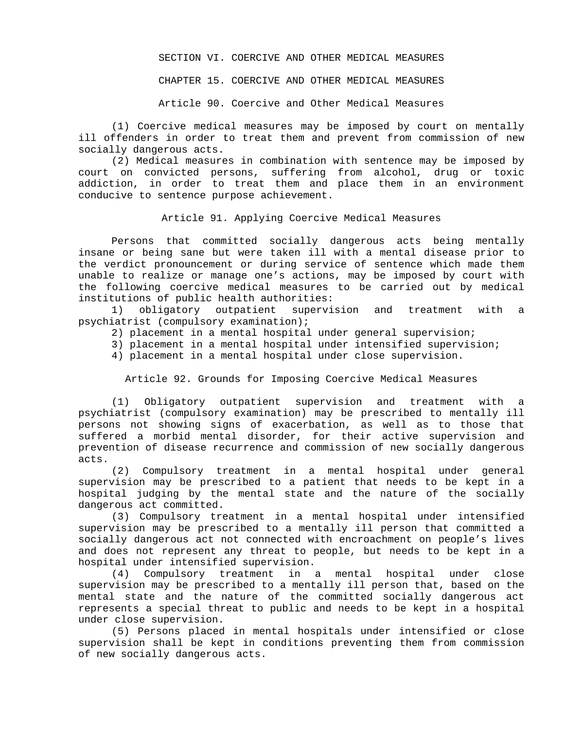SECTION VI. COERCIVE AND OTHER MEDICAL MEASURES

CHAPTER 15. COERCIVE AND OTHER MEDICAL MEASURES

Article 90. Coercive and Other Medical Measures

(1) Coercive medical measures may be imposed by court on mentally ill offenders in order to treat them and prevent from commission of new socially dangerous acts.

(2) Medical measures in combination with sentence may be imposed by court on convicted persons, suffering from alcohol, drug or toxic addiction, in order to treat them and place them in an environment conducive to sentence purpose achievement.

Article 91. Applying Coercive Medical Measures

Persons that committed socially dangerous acts being mentally insane or being sane but were taken ill with a mental disease prior to the verdict pronouncement or during service of sentence which made them unable to realize or manage one's actions, may be imposed by court with the following coercive medical measures to be carried out by medical institutions of public health authorities:

1) obligatory outpatient supervision and treatment psychiatrist (compulsory examination); with a

- 2) placement in a mental hospital under general supervision;
- 3) placement in a mental hospital under intensified supervision;
- 4) placement in a mental hospital under close supervision.

Article 92. Grounds for Imposing Coercive Medical Measures

psychiatrist (compulsory examination) may be prescribed to mentally ill (1) Obligatory outpatient supervision and treatment with a persons not showing signs of exacerbation, as well as to those that suffered a morbid mental disorder, for their active supervision and prevention of disease recurrence and commission of new socially dangerous acts.

 supervision may be prescribed to a patient that needs to be kept in a (2) Compulsory treatment in a mental hospital under general hospital judging by the mental state and the nature of the socially dangerous act committed.

(3) Compulsory treatment in a mental hospital under intensified supervision may be prescribed to a mentally ill person that committed a socially dangerous act not connected with encroachment on people's lives and does not represent any threat to people, but needs to be kept in a hospital under intensified supervision.

(4) Compulsory treatment in a mental hospital under close supervision may be prescribed to a mentally ill person that, based on the mental state and the nature of the committed socially dangerous act represents a special threat to public and needs to be kept in a hospital under close supervision.

(5) Persons placed in mental hospitals under intensified or close supervision shall be kept in conditions preventing them from commission of new socially dangerous acts.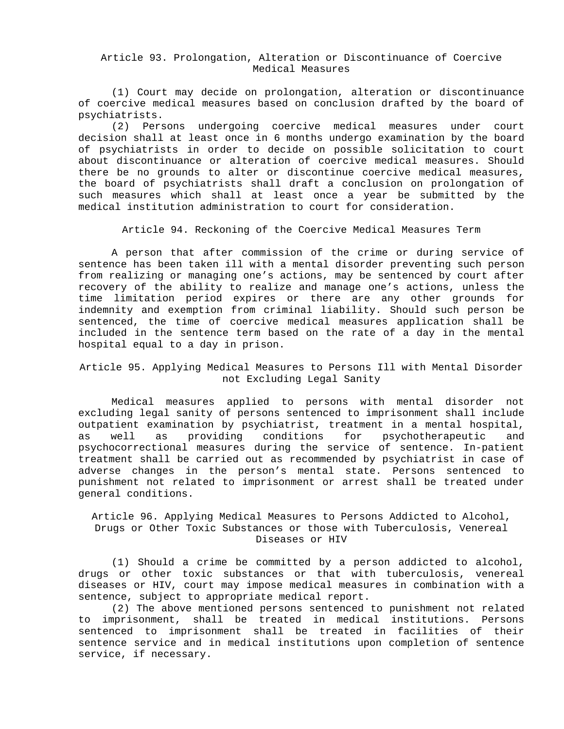Article 93. Prolongation, Alteration or Discontinuance of Coercive Medical Measures

(1) Court may decide on prolongation, alteration or discontinuance of coercive medical measures based on conclusion drafted by the board of psychiatrists.

(2) Persons undergoing coercive medical measures under court decision shall at least once in 6 months undergo examination by the board of psychiatrists in order to decide on possible solicitation to court about discontinuance or alteration of coercive medical measures. Should there be no grounds to alter or discontinue coercive medical measures, the board of psychiatrists shall draft a conclusion on prolongation of such measures which shall at least once a year be submitted by the medical institution administration to court for consideration.

Article 94. Reckoning of the Coercive Medical Measures Term

A person that after commission of the crime or during service of sentence has been taken ill with a mental disorder preventing such person from realizing or managing one's actions, may be sentenced by court after recovery of the ability to realize and manage one's actions, unless the time limitation period expires or there are any other grounds for indemnity and exemption from criminal liability. Should such person be sentenced, the time of coercive medical measures application shall be included in the sentence term based on the rate of a day in the mental hospital equal to a day in prison.

Article 95. Applying Medical Measures to Persons Ill with Mental Disorder not Excluding Legal Sanity

Medical measures applied to persons with mental disorder not excluding legal sanity of persons sentenced to imprisonment shall include outpatient examination by psychiatrist, treatment in a mental hospital, as well as providing conditions for psychotherapeutic and psychocorrectional measures during the service of sentence. In-patient treatment shall be carried out as recommended by psychiatrist in case of adverse changes in the person's mental state. Persons sentenced to punishment not related to imprisonment or arrest shall be treated under general conditions.

Article 96. Applying Medical Measures to Persons Addicted to Alcohol, Drugs or Other Toxic Substances or those with Tuberculosis, Venereal Diseases or HIV

(1) Should a crime be committed by a person addicted to alcohol, drugs or other toxic substances or that with tuberculosis, venereal diseases or HIV, court may impose medical measures in combination with a sentence, subject to appropriate medical report.

(2) The above mentioned persons sentenced to punishment not related to imprisonment, shall be treated in medical institutions. Persons sentenced to imprisonment shall be treated in facilities of their sentence service and in medical institutions upon completion of sentence service, if necessary.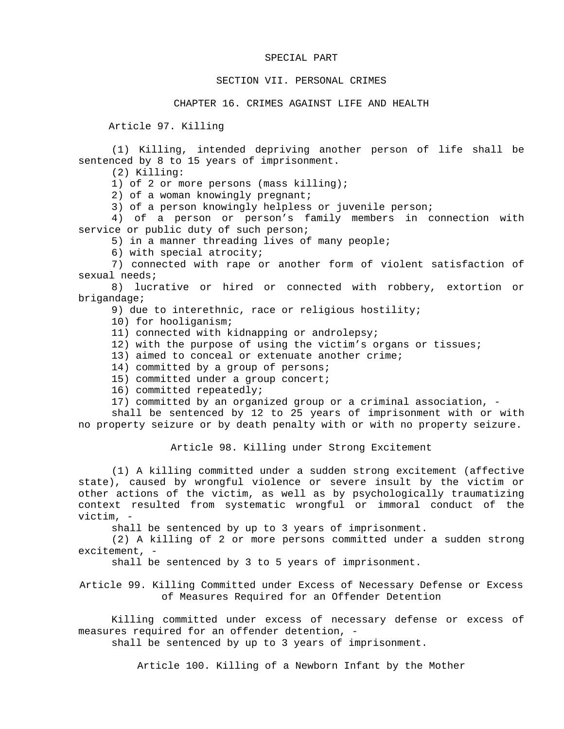#### SPECIAL PART

#### SECTION VII. PERSONAL CRIMES

CHAPTER 16. CRIMES AGAINST LIFE AND HEALTH

Article 97. Killing

(1) Killing, intended depriving another person of life shall be sentenced by 8 to 15 years of imprisonment.

(2) Killing:

1) of 2 or more persons (mass killing);

2) of a woman knowingly pregnant;

3) of a person knowingly helpless or juvenile person;

4) of a person or person's family members in connection with service or public duty of such person;

5) in a manner threading lives of many people;

6) with special atrocity;

7) connected with rape or another form of violent satisfaction of sexual needs;

8) lucrative or hired or connected with robbery, extortion or brigandage;

9) due to interethnic, race or religious hostility;

10) for hooliganism;

11) connected with kidnapping or androlepsy;

12) with the purpose of using the victim's organs or tissues;

13) aimed to conceal or extenuate another crime;

14) committed by a group of persons;

15) committed under a group concert;

16) committed repeatedly;

17) committed by an organized group or a criminal association, -

shall be sentenced by 12 to 25 years of imprisonment with or with no property seizure or by death penalty with or with no property seizure.

Article 98. Killing under Strong Excitement

(1) A killing committed under a sudden strong excitement (affective state), caused by wrongful violence or severe insult by the victim or other actions of the victim, as well as by psychologically traumatizing context resulted from systematic wrongful or immoral conduct of the victim, -

shall be sentenced by up to 3 years of imprisonment.

(2) A killing of 2 or more persons committed under a sudden strong excitement, -

shall be sentenced by 3 to 5 years of imprisonment.

Article 99. Killing Committed under Excess of Necessary Defense or Excess of Measures Required for an Offender Detention

Killing committed under excess of necessary defense or excess of measures required for an offender detention, -

shall be sentenced by up to 3 years of imprisonment.

Article 100. Killing of a Newborn Infant by the Mother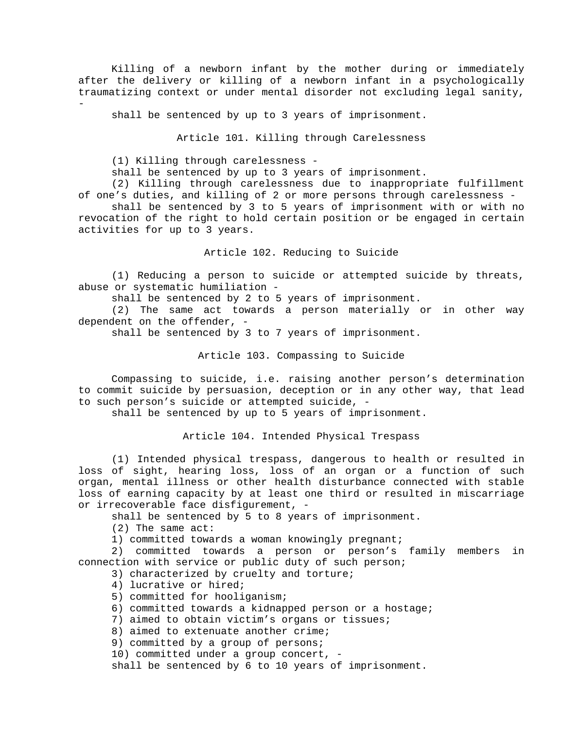Killing of a newborn infant by the mother during or immediately after the delivery or killing of a newborn infant in a psychologically traumatizing context or under mental disorder not excluding legal sanity,

-

shall be sentenced by up to 3 years of imprisonment.

Article 101. Killing through Carelessness

(1) Killing through carelessness -

shall be sentenced by up to 3 years of imprisonment.

(2) Killing through carelessness due to inappropriate fulfillment of one's duties, and killing of 2 or more persons through carelessness -

shall be sentenced by 3 to 5 years of imprisonment with or with no revocation of the right to hold certain position or be engaged in certain activities for up to 3 years.

Article 102. Reducing to Suicide

(1) Reducing a person to suicide or attempted suicide by threats, abuse or systematic humiliation -

shall be sentenced by 2 to 5 years of imprisonment.

(2) The same act towards a person materially or in other way dependent on the offender, -

shall be sentenced by 3 to 7 years of imprisonment.

Article 103. Compassing to Suicide

Compassing to suicide, i.e. raising another person's determination to commit suicide by persuasion, deception or in any other way, that lead to such person's suicide or attempted suicide, -

shall be sentenced by up to 5 years of imprisonment.

Article 104. Intended Physical Trespass

(1) Intended physical trespass, dangerous to health or resulted in loss of sight, hearing loss, loss of an organ or a function of such organ, mental illness or other health disturbance connected with stable loss of earning capacity by at least one third or resulted in miscarriage or irrecoverable face disfigurement, -

shall be sentenced by 5 to 8 years of imprisonment.

(2) The same act:

1) committed towards a woman knowingly pregnant;

2) committed towards a person or person's family members in connection with service or public duty of such person;

3) characterized by cruelty and torture;

4) lucrative or hired;

- 5) committed for hooliganism;
- 6) committed towards a kidnapped person or a hostage;

7) aimed to obtain victim's organs or tissues;

8) aimed to extenuate another crime;

9) committed by a group of persons;

10) committed under a group concert, -

shall be sentenced by 6 to 10 years of imprisonment.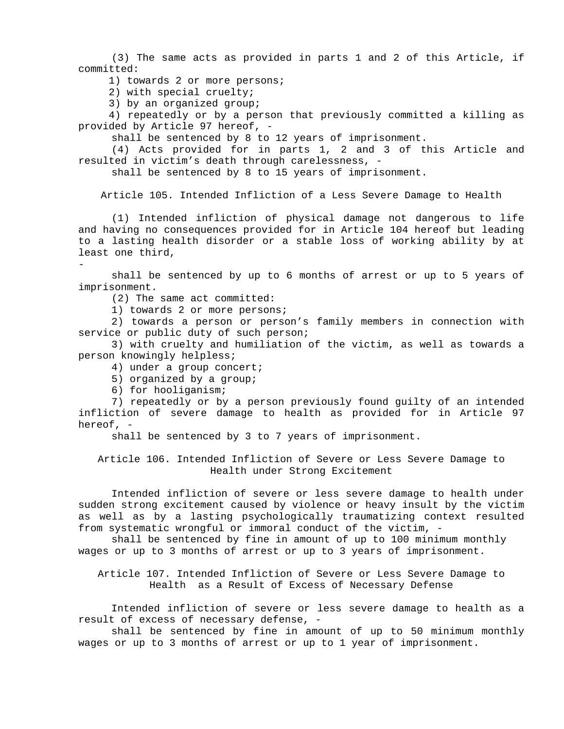(3) The same acts as provided in parts 1 and 2 of this Article, if committed:

1) towards 2 or more persons;

2) with special cruelty;

3) by an organized group;

4) repeatedly or by a person that previously committed a killing as provided by Article 97 hereof, -

shall be sentenced by 8 to 12 years of imprisonment.

(4) Acts provided for in parts 1, 2 and 3 of this Article and resulted in victim's death through carelessness, -

shall be sentenced by 8 to 15 years of imprisonment.

Article 105. Intended Infliction of a Less Severe Damage to Health

(1) Intended infliction of physical damage not dangerous to life and having no consequences provided for in Article 104 hereof but leading to a lasting health disorder or a stable loss of working ability by at least one third,

shall be sentenced by up to 6 months of arrest or up to 5 years of imprisonment.

(2) The same act committed:

1) towards 2 or more persons;

2) towards a person or person's family members in connection with service or public duty of such person;

3) with cruelty and humiliation of the victim, as well as towards a person knowingly helpless;

4) under a group concert;

5) organized by a group;

6) for hooliganism;

-

7) repeatedly or by a person previously found guilty of an intended infliction of severe damage to health as provided for in Article 97 hereof, -

shall be sentenced by 3 to 7 years of imprisonment.

Article 106. Intended Infliction of Severe or Less Severe Damage to Health under Strong Excitement

Intended infliction of severe or less severe damage to health under sudden strong excitement caused by violence or heavy insult by the victim as well as by a lasting psychologically traumatizing context resulted from systematic wrongful or immoral conduct of the victim, -

shall be sentenced by fine in amount of up to 100 minimum monthly wages or up to 3 months of arrest or up to 3 years of imprisonment.

Article 107. Intended Infliction of Severe or Less Severe Damage to Health as a Result of Excess of Necessary Defense

Intended infliction of severe or less severe damage to health as a result of excess of necessary defense, -

shall be sentenced by fine in amount of up to 50 minimum monthly wages or up to 3 months of arrest or up to 1 year of imprisonment.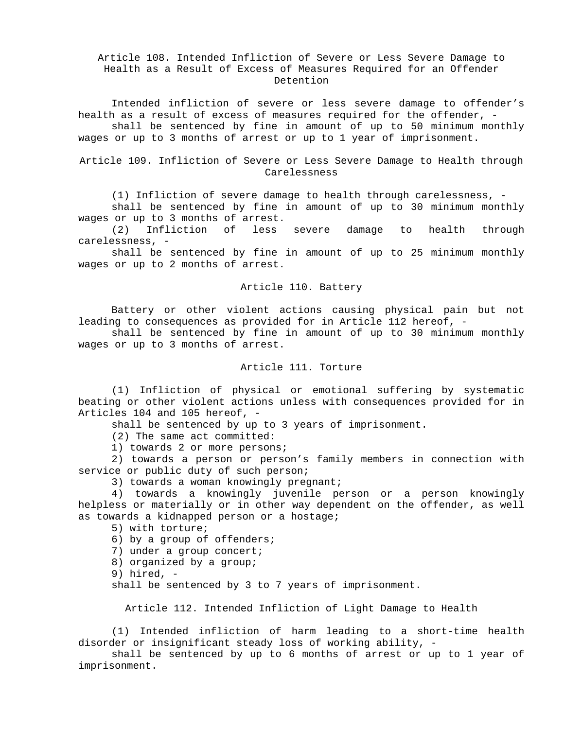# Article 108. Intended Infliction of Severe or Less Severe Damage to Health as a Result of Excess of Measures Required for an Offender Detention

Intended infliction of severe or less severe damage to offender's health as a result of excess of measures required for the offender, -

shall be sentenced by fine in amount of up to 50 minimum monthly wages or up to 3 months of arrest or up to 1 year of imprisonment.

Article 109. Infliction of Severe or Less Severe Damage to Health through Carelessness

(1) Infliction of severe damage to health through carelessness, -

shall be sentenced by fine in amount of up to 30 minimum monthly wages or up to 3 months of arrest.

(2) Infliction of less severe damage to health through carelessness, -

shall be sentenced by fine in amount of up to 25 minimum monthly wages or up to 2 months of arrest.

## Article 110. Battery

Battery or other violent actions causing physical pain but not leading to consequences as provided for in Article 112 hereof, -

shall be sentenced by fine in amount of up to 30 minimum monthly wages or up to 3 months of arrest.

## Article 111. Torture

(1) Infliction of physical or emotional suffering by systematic beating or other violent actions unless with consequences provided for in Articles 104 and 105 hereof, -

shall be sentenced by up to 3 years of imprisonment.

(2) The same act committed:

1) towards 2 or more persons;

2) towards a person or person's family members in connection with service or public duty of such person;

3) towards a woman knowingly pregnant;

4) towards a knowingly juvenile person or a person knowingly helpless or materially or in other way dependent on the offender, as well as towards a kidnapped person or a hostage;

5) with torture;

6) by a group of offenders;

7) under a group concert;

8) organized by a group;

9) hired, -

shall be sentenced by 3 to 7 years of imprisonment.

Article 112. Intended Infliction of Light Damage to Health

(1) Intended infliction of harm leading to a short-time health disorder or insignificant steady loss of working ability, -

shall be sentenced by up to 6 months of arrest or up to 1 year of imprisonment.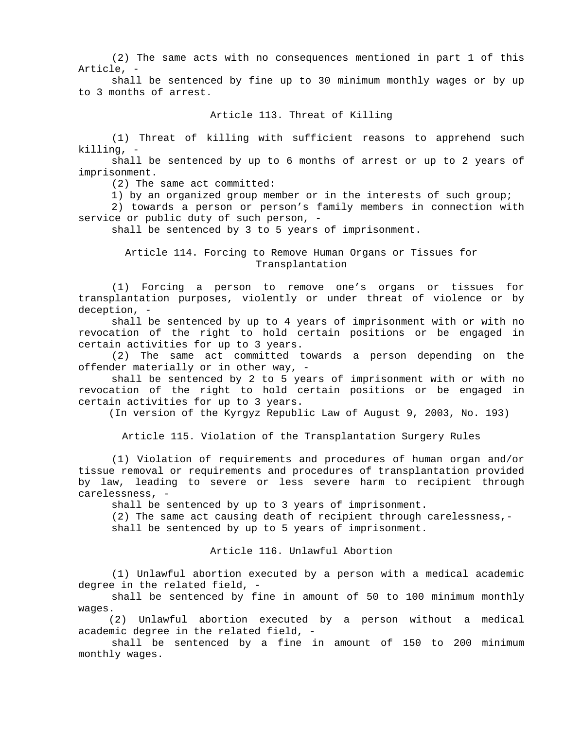(2) The same acts with no consequences mentioned in part 1 of this Article, -

shall be sentenced by fine up to 30 minimum monthly wages or by up to 3 months of arrest.

## Article 113. Threat of Killing

(1) Threat of killing with sufficient reasons to apprehend such killing, -

shall be sentenced by up to 6 months of arrest or up to 2 years of imprisonment.

(2) The same act committed:

1) by an organized group member or in the interests of such group;

2) towards a person or person's family members in connection with service or public duty of such person, -

shall be sentenced by 3 to 5 years of imprisonment.

## Article 114. Forcing to Remove Human Organs or Tissues for Transplantation

(1) Forcing a person to remove one's organs or tissues for transplantation purposes, violently or under threat of violence or by deception,

shall be sentenced by up to 4 years of imprisonment with or with no revocation of the right to hold certain positions or be engaged in certain activities for up to 3 years.

(2) The same act committed towards a person depending on the offender materially or in other way, -

shall be sentenced by 2 to 5 years of imprisonment with or with no revocation of the right to hold certain positions or be engaged in certain activities for up to 3 years.

(In version of the Kyrgyz Republic Law of August 9, 2003, No. 193)

Article 115. Violation of the Transplantation Surgery Rules

(1) Violation of requirements and procedures of human organ and/or tissue removal or requirements and procedures of transplantation provided by law, leading to severe or less severe harm to recipient through carelessness, -

shall be sentenced by up to 3 years of imprisonment.

(2) The same act causing death of recipient through carelessness,-

shall be sentenced by up to 5 years of imprisonment.

### Article 116. Unlawful Abortion

(1) Unlawful abortion executed by a person with a medical academic degree in the related field, -

shall be sentenced by fine in amount of 50 to 100 minimum monthly wages.

(2) Unlawful abortion executed by a person without a medical academic degree in the related field, -

shall be sentenced by a fine in amount of 150 to 200 minimum monthly wages.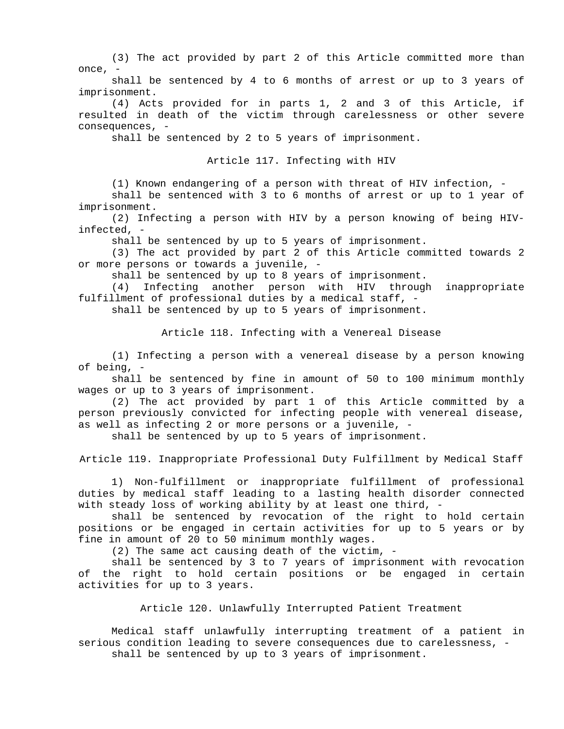(3) The act provided by part 2 of this Article committed more than once, -

shall be sentenced by 4 to 6 months of arrest or up to 3 years of imprisonment.

(4) Acts provided for in parts 1, 2 and 3 of this Article, if resulted in death of the victim through carelessness or other severe consequences, -

shall be sentenced by 2 to 5 years of imprisonment.

### Article 117. Infecting with HIV

(1) Known endangering of a person with threat of HIV infection, -

shall be sentenced with 3 to 6 months of arrest or up to 1 year of imprisonment.

(2) Infecting a person with HIV by a person knowing of being HIVinfected, -

shall be sentenced by up to 5 years of imprisonment.

(3) The act provided by part 2 of this Article committed towards 2 or more persons or towards a juvenile, -

shall be sentenced by up to 8 years of imprisonment.

(4) Infecting another person with HIV through inappropriate fulfillment of professional duties by a medical staff, -

shall be sentenced by up to 5 years of imprisonment.

Article 118. Infecting with a Venereal Disease

(1) Infecting a person with a venereal disease by a person knowing of being, -

shall be sentenced by fine in amount of 50 to 100 minimum monthly wages or up to 3 years of imprisonment.

(2) The act provided by part 1 of this Article committed by a person previously convicted for infecting people with venereal disease, as well as infecting 2 or more persons or a juvenile, -

shall be sentenced by up to 5 years of imprisonment.

Article 119. Inappropriate Professional Duty Fulfillment by Medical Staff

1) Non-fulfillment or inappropriate fulfillment of professional duties by medical staff leading to a lasting health disorder connected with steady loss of working ability by at least one third, -

shall be sentenced by revocation of the right to hold certain positions or be engaged in certain activities for up to 5 years or by fine in amount of 20 to 50 minimum monthly wages.

(2) The same act causing death of the victim, -

shall be sentenced by 3 to 7 years of imprisonment with revocation of the right to hold certain positions or be engaged in certain activities for up to 3 years.

Article 120. Unlawfully Interrupted Patient Treatment

Medical staff unlawfully interrupting treatment of a patient in serious condition leading to severe consequences due to carelessness, shall be sentenced by up to 3 years of imprisonment.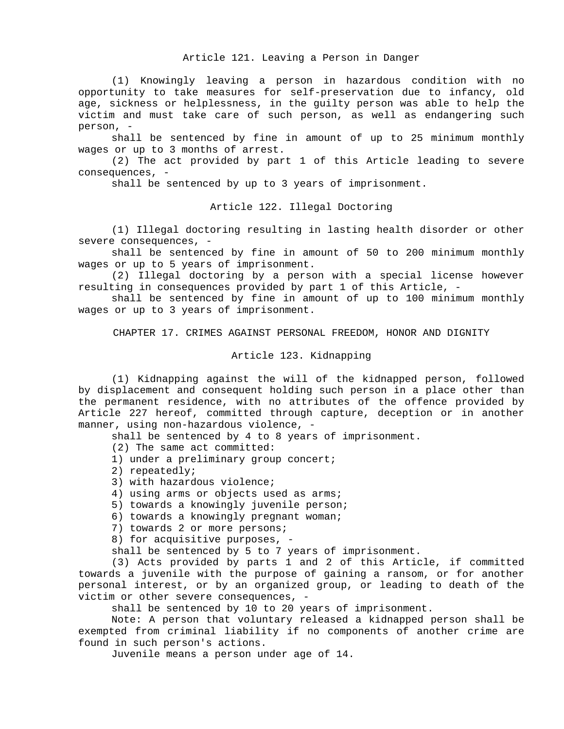(1) Knowingly leaving a person in hazardous condition with no opportunity to take measures for self-preservation due to infancy, old age, sickness or helplessness, in the guilty person was able to help the victim and must take care of such person, as well as endangering such person, -

shall be sentenced by fine in amount of up to 25 minimum monthly wages or up to 3 months of arrest.

(2) The act provided by part 1 of this Article leading to severe consequences, -

shall be sentenced by up to 3 years of imprisonment.

Article 122. Illegal Doctoring

(1) Illegal doctoring resulting in lasting health disorder or other severe consequences, -

shall be sentenced by fine in amount of 50 to 200 minimum monthly wages or up to 5 years of imprisonment.

(2) Illegal doctoring by a person with a special license however resulting in consequences provided by part 1 of this Article, -

shall be sentenced by fine in amount of up to 100 minimum monthly wages or up to 3 years of imprisonment.

CHAPTER 17. CRIMES AGAINST PERSONAL FREEDOM, HONOR AND DIGNITY

### Article 123. Kidnapping

(1) Kidnapping against the will of the kidnapped person, followed by displacement and consequent holding such person in a place other than the permanent residence, with no attributes of the offence provided by Article 227 hereof, committed through capture, deception or in another manner, using non-hazardous violence, -

shall be sentenced by 4 to 8 years of imprisonment.

(2) The same act committed:

- 1) under a preliminary group concert;
- 2) repeatedly;
- 3) with hazardous violence;
- 4) using arms or objects used as arms;
- 5) towards a knowingly juvenile person;
- 6) towards a knowingly pregnant woman;
- 7) towards 2 or more persons;
- 8) for acquisitive purposes, -

shall be sentenced by 5 to 7 years of imprisonment.

(3) Acts provided by parts 1 and 2 of this Article, if committed towards a juvenile with the purpose of gaining a ransom, or for another personal interest, or by an organized group, or leading to death of the victim or other severe consequences, -

shall be sentenced by 10 to 20 years of imprisonment.

Note: A person that voluntary released a kidnapped person shall be exempted from criminal liability if no components of another crime are found in such person's actions.

Juvenile means a person under age of 14.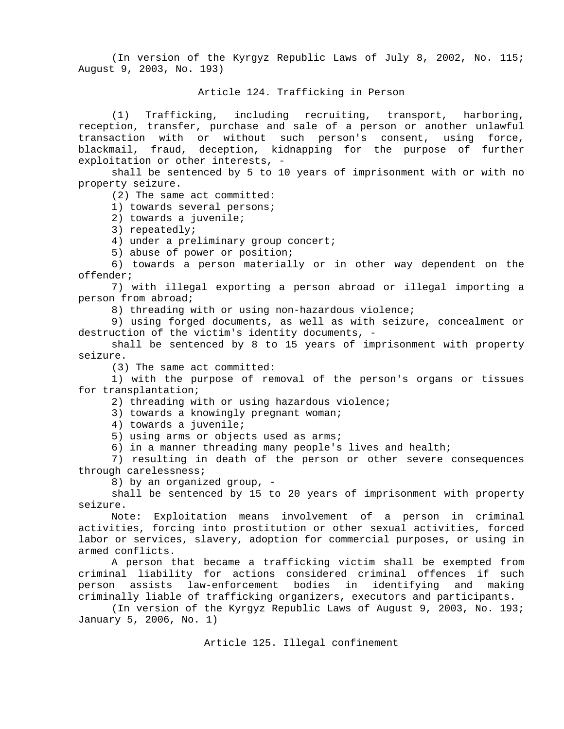(In version of the Kyrgyz Republic Laws of July 8, 2002, No. 115; August 9, 2003, No. 193)

### Article 124. Trafficking in Person

(1) Trafficking, including recruiting, transport, harboring, reception, transfer, purchase and sale of a person or another unlawful transaction with or without such person's consent, using force, blackmail, fraud, deception, kidnapping for the purpose of further exploitation or other interests, -

shall be sentenced by 5 to 10 years of imprisonment with or with no property seizure.

(2) The same act committed:

1) towards several persons;

2) towards a juvenile;

3) repeatedly;

4) under a preliminary group concert;

5) abuse of power or position;

6) towards a person materially or in other way dependent on the offender;

7) with illegal exporting a person abroad or illegal importing a person from abroad;

8) threading with or using non-hazardous violence;

9) using forged documents, as well as with seizure, concealment or destruction of the victim's identity documents, -

shall be sentenced by 8 to 15 years of imprisonment with property seizure.

(3) The same act committed:

1) with the purpose of removal of the person's organs or tissues for transplantation;

2) threading with or using hazardous violence;

3) towards a knowingly pregnant woman;

4) towards a juvenile;

5) using arms or objects used as arms;

6) in a manner threading many people's lives and health;

7) resulting in death of the person or other severe consequences through carelessness;

8) by an organized group, -

shall be sentenced by 15 to 20 years of imprisonment with property seizure.

Note: Exploitation means involvement of a person in criminal activities, forcing into prostitution or other sexual activities, forced labor or services, slavery, adoption for commercial purposes, or using in armed conflicts.

A person that became a trafficking victim shall be exempted from criminal liability for actions considered criminal offences if such person assists law-enforcement bodies in identifying and making criminally liable of trafficking organizers, executors and participants.

(In version of the Kyrgyz Republic Laws of August 9, 2003, No. 193; January 5, 2006, No. 1)

Article 125. Illegal confinement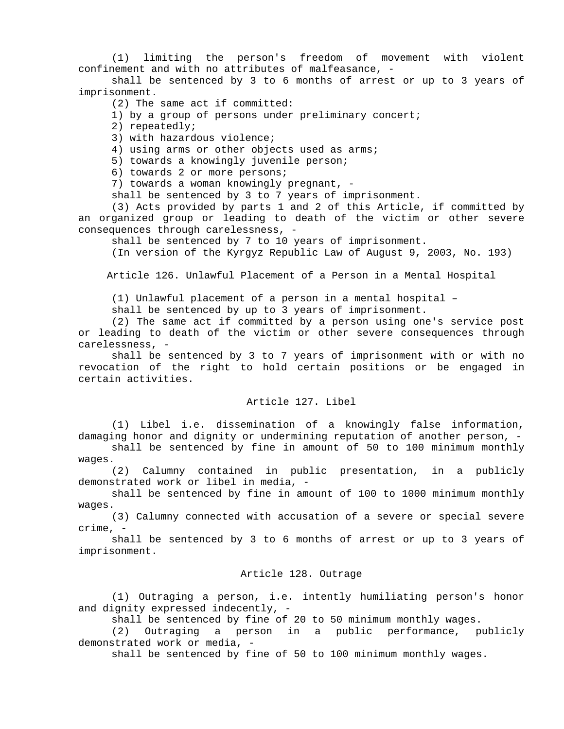(1) limiting the person's freedom of movement with violent confinement and with no attributes of malfeasance, -

shall be sentenced by 3 to 6 months of arrest or up to 3 years of imprisonment.

(2) The same act if committed:

1) by a group of persons under preliminary concert;

2) repeatedly;

3) with hazardous violence;

4) using arms or other objects used as arms;

5) towards a knowingly juvenile person;

6) towards 2 or more persons;

7) towards a woman knowingly pregnant, -

shall be sentenced by 3 to 7 years of imprisonment.

(3) Acts provided by parts 1 and 2 of this Article, if committed by an organized group or leading to death of the victim or other severe consequences through carelessness, -

shall be sentenced by 7 to 10 years of imprisonment.

(In version of the Kyrgyz Republic Law of August 9, 2003, No. 193)

Article 126. Unlawful Placement of a Person in a Mental Hospital

(1) Unlawful placement of a person in a mental hospital –

shall be sentenced by up to 3 years of imprisonment.

(2) The same act if committed by a person using one's service post or leading to death of the victim or other severe consequences through carelessness, -

shall be sentenced by 3 to 7 years of imprisonment with or with no revocation of the right to hold certain positions or be engaged in certain activities.

## Article 127. Libel

(1) Libel i.e. dissemination of a knowingly false information, damaging honor and dignity or undermining reputation of another person, -

shall be sentenced by fine in amount of 50 to 100 minimum monthly wages.

(2) Calumny contained in public presentation, in a publicly demonstrated work or libel in media, -

shall be sentenced by fine in amount of 100 to 1000 minimum monthly wages.

(3) Calumny connected with accusation of a severe or special severe crime, -

shall be sentenced by 3 to 6 months of arrest or up to 3 years of imprisonment.

#### Article 128. Outrage

(1) Outraging a person, i.e. intently humiliating person's honor and dignity expressed indecently, -

shall be sentenced by fine of 20 to 50 minimum monthly wages.

(2) Outraging a person in a public performance, publicly demonstrated work or media, -

shall be sentenced by fine of 50 to 100 minimum monthly wages.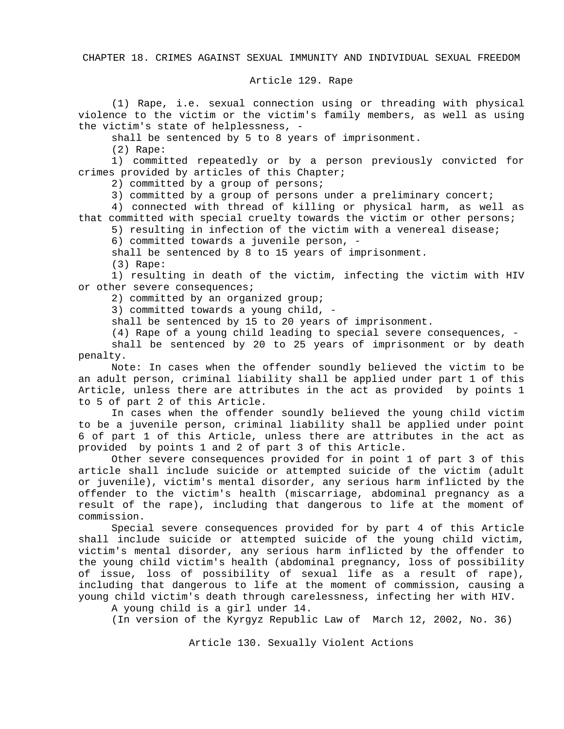CHAPTER 18. CRIMES AGAINST SEXUAL IMMUNITY AND INDIVIDUAL SEXUAL FREEDOM

### Article 129. Rape

(1) Rape, i.e. sexual connection using or threading with physical violence to the victim or the victim's family members, as well as using the victim's state of helplessness, -

shall be sentenced by 5 to 8 years of imprisonment.

(2) Rape:

1) committed repeatedly or by a person previously convicted for crimes provided by articles of this Chapter;

2) committed by a group of persons;

3) committed by a group of persons under a preliminary concert;

4) connected with thread of killing or physical harm, as well as that committed with special cruelty towards the victim or other persons;

5) resulting in infection of the victim with a venereal disease;

6) committed towards a juvenile person, -

shall be sentenced by 8 to 15 years of imprisonment.

(3) Rape:

1) resulting in death of the victim, infecting the victim with HIV or other severe consequences;

2) committed by an organized group;

3) committed towards a young child, -

shall be sentenced by 15 to 20 years of imprisonment.

(4) Rape of a young child leading to special severe consequences, -

shall be sentenced by 20 to 25 years of imprisonment or by death penalty.

Note: In cases when the offender soundly believed the victim to be an adult person, criminal liability shall be applied under part 1 of this Article, unless there are attributes in the act as provided by points 1 to 5 of part 2 of this Article.

In cases when the offender soundly believed the young child victim to be a juvenile person, criminal liability shall be applied under point 6 of part 1 of this Article, unless there are attributes in the act as provided by points 1 and 2 of part 3 of this Article.

Other severe consequences provided for in point 1 of part 3 of this article shall include suicide or attempted suicide of the victim (adult or juvenile), victim's mental disorder, any serious harm inflicted by the offender to the victim's health (miscarriage, abdominal pregnancy as a result of the rape), including that dangerous to life at the moment of commission.

Special severe consequences provided for by part 4 of this Article shall include suicide or attempted suicide of the young child victim, victim's mental disorder, any serious harm inflicted by the offender to the young child victim's health (abdominal pregnancy, loss of possibility of issue, loss of possibility of sexual life as a result of rape), including that dangerous to life at the moment of commission, causing a young child victim's death through carelessness, infecting her with HIV.

A young child is a girl under 14.

(In version of the Kyrgyz Republic Law of March 12, 2002, No. 36)

Article 130. Sexually Violent Actions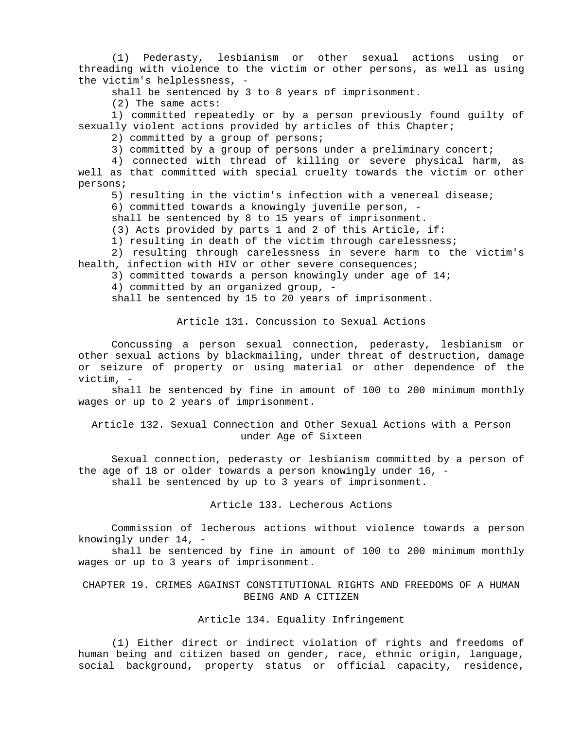(1) Pederasty, lesbianism or other sexual actions using or threading with violence to the victim or other persons, as well as using the victim's helplessness, -

shall be sentenced by 3 to 8 years of imprisonment.

(2) The same acts:

1) committed repeatedly or by a person previously found guilty of sexually violent actions provided by articles of this Chapter;

2) committed by a group of persons;

3) committed by a group of persons under a preliminary concert;

4) connected with thread of killing or severe physical harm, as well as that committed with special cruelty towards the victim or other persons;

5) resulting in the victim's infection with a venereal disease;

6) committed towards a knowingly juvenile person, -

shall be sentenced by 8 to 15 years of imprisonment.

(3) Acts provided by parts 1 and 2 of this Article, if:

1) resulting in death of the victim through carelessness;

2) resulting through carelessness in severe harm to the victim's health, infection with HIV or other severe consequences;

3) committed towards a person knowingly under age of 14;

4) committed by an organized group, -

shall be sentenced by 15 to 20 years of imprisonment.

Article 131. Concussion to Sexual Actions

Concussing a person sexual connection, pederasty, lesbianism or other sexual actions by blackmailing, under threat of destruction, damage or seizure of property or using material or other dependence of the victim, -

shall be sentenced by fine in amount of 100 to 200 minimum monthly wages or up to 2 years of imprisonment.

Article 132. Sexual Connection and Other Sexual Actions with a Person under Age of Sixteen

Sexual connection, pederasty or lesbianism committed by a person of the age of 18 or older towards a person knowingly under 16, shall be sentenced by up to 3 years of imprisonment.

Article 133. Lecherous Actions

Commission of lecherous actions without violence towards a person knowingly under 14, -

shall be sentenced by fine in amount of 100 to 200 minimum monthly wages or up to 3 years of imprisonment.

### CHAPTER 19. CRIMES AGAINST CONSTITUTIONAL RIGHTS AND FREEDOMS OF A HUMAN BEING AND A CITIZEN

### Article 134. Equality Infringement

(1) Either direct or indirect violation of rights and freedoms of human being and citizen based on gender, race, ethnic origin, language, social background, property status or official capacity, residence,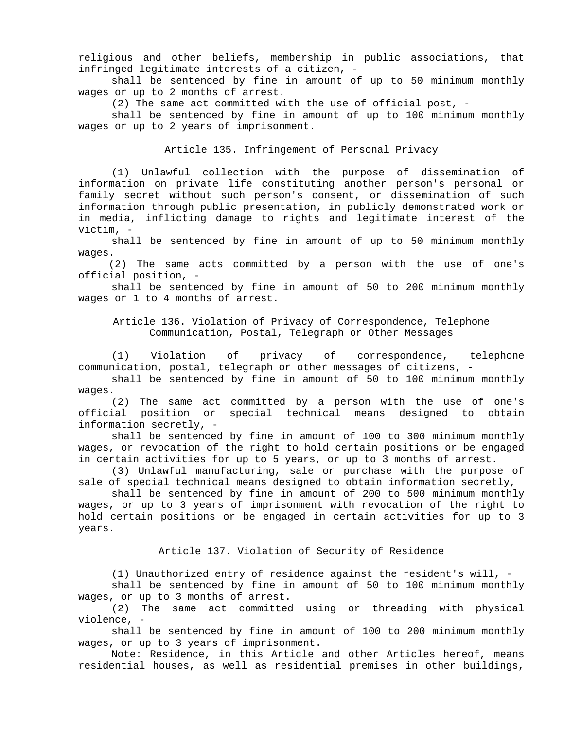religious and other beliefs, membership in public associations, that infringed legitimate interests of a citizen, -

shall be sentenced by fine in amount of up to 50 minimum monthly wages or up to 2 months of arrest.

(2) The same act committed with the use of official post, -

shall be sentenced by fine in amount of up to 100 minimum monthly wages or up to 2 years of imprisonment.

Article 135. Infringement of Personal Privacy

(1) Unlawful collection with the purpose of dissemination of information on private life constituting another person's personal or family secret without such person's consent, or dissemination of such information through public presentation, in publicly demonstrated work or in media, inflicting damage to rights and legitimate interest of the victim, -

shall be sentenced by fine in amount of up to 50 minimum monthly wages.

(2) The same acts committed by a person with the use of one's official position, -

shall be sentenced by fine in amount of 50 to 200 minimum monthly wages or 1 to 4 months of arrest.

Article 136. Violation of Privacy of Correspondence, Telephone Communication, Postal, Telegraph or Other Messages

(1) Violation of privacy of correspondence, telephone communication, postal, telegraph or other messages of citizens, -

shall be sentenced by fine in amount of 50 to 100 minimum monthly wages.

(2) The same act committed by a person with the use of one's official position or special technical means designed to obtain information secretly, -

shall be sentenced by fine in amount of 100 to 300 minimum monthly wages, or revocation of the right to hold certain positions or be engaged in certain activities for up to 5 years, or up to 3 months of arrest.

(3) Unlawful manufacturing, sale or purchase with the purpose of sale of special technical means designed to obtain information secretly,

shall be sentenced by fine in amount of 200 to 500 minimum monthly wages, or up to 3 years of imprisonment with revocation of the right to hold certain positions or be engaged in certain activities for up to 3 years.

Article 137. Violation of Security of Residence

(1) Unauthorized entry of residence against the resident's will, -

shall be sentenced by fine in amount of 50 to 100 minimum monthly wages, or up to 3 months of arrest.

(2) The same act committed using or threading with physical violence, -

shall be sentenced by fine in amount of 100 to 200 minimum monthly wages, or up to 3 years of imprisonment.

Note: Residence, in this Article and other Articles hereof, means residential houses, as well as residential premises in other buildings,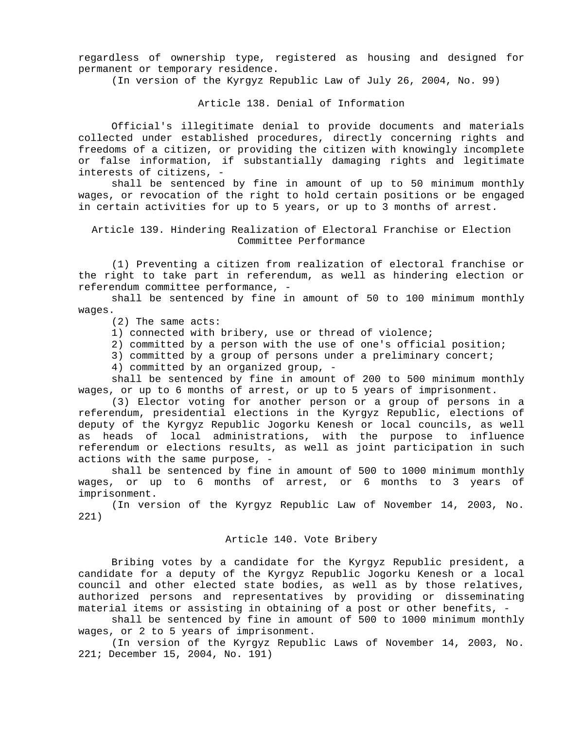regardless of ownership type, registered as housing and designed for permanent or temporary residence.

(In version of the Kyrgyz Republic Law of July 26, 2004, No. 99)

Article 138. Denial of Information

Official's illegitimate denial to provide documents and materials collected under established procedures, directly concerning rights and freedoms of a citizen, or providing the citizen with knowingly incomplete or false information, if substantially damaging rights and legitimate interests of citizens, -

shall be sentenced by fine in amount of up to 50 minimum monthly wages, or revocation of the right to hold certain positions or be engaged in certain activities for up to 5 years, or up to 3 months of arrest.

Article 139. Hindering Realization of Electoral Franchise or Election Committee Performance

(1) Preventing a citizen from realization of electoral franchise or the right to take part in referendum, as well as hindering election or referendum committee performance, -

shall be sentenced by fine in amount of 50 to 100 minimum monthly wages.

(2) The same acts:

- 1) connected with bribery, use or thread of violence;
- 2) committed by a person with the use of one's official position;
- 3) committed by a group of persons under a preliminary concert;
- 4) committed by an organized group, -

shall be sentenced by fine in amount of 200 to 500 minimum monthly wages, or up to 6 months of arrest, or up to 5 years of imprisonment.

(3) Elector voting for another person or a group of persons in a referendum, presidential elections in the Kyrgyz Republic, elections of deputy of the Kyrgyz Republic Jogorku Kenesh or local councils, as well as heads of local administrations, with the purpose to influence referendum or elections results, as well as joint participation in such actions with the same purpose, -

shall be sentenced by fine in amount of 500 to 1000 minimum monthly wages, or up to 6 months of arrest, or 6 months to 3 years of imprisonment.

(In version of the Kyrgyz Republic Law of November 14, 2003, No. 221)

#### Article 140. Vote Bribery

Bribing votes by a candidate for the Kyrgyz Republic president, a candidate for a deputy of the Kyrgyz Republic Jogorku Kenesh or a local council and other elected state bodies, as well as by those relatives, authorized persons and representatives by providing or disseminating material items or assisting in obtaining of a post or other benefits, -

shall be sentenced by fine in amount of 500 to 1000 minimum monthly wages, or 2 to 5 years of imprisonment.

(In version of the Kyrgyz Republic Laws of November 14, 2003, No. 221; December 15, 2004, No. 191)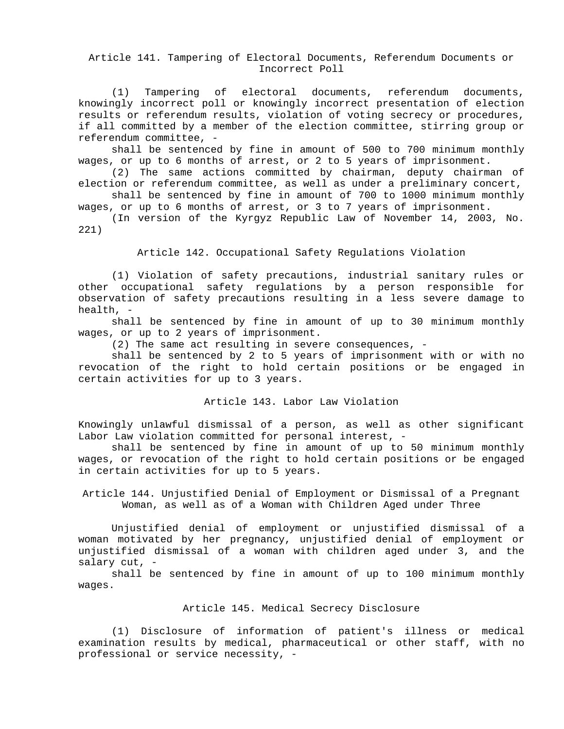## Article 141. Tampering of Electoral Documents, Referendum Documents or Incorrect Poll

(1) Tampering of electoral documents, referendum documents, knowingly incorrect poll or knowingly incorrect presentation of election results or referendum results, violation of voting secrecy or procedures, if all committed by a member of the election committee, stirring group or referendum committee, -

shall be sentenced by fine in amount of 500 to 700 minimum monthly wages, or up to 6 months of arrest, or 2 to 5 years of imprisonment.

(2) The same actions committed by chairman, deputy chairman of election or referendum committee, as well as under a preliminary concert,

shall be sentenced by fine in amount of 700 to 1000 minimum monthly wages, or up to 6 months of arrest, or 3 to 7 years of imprisonment.

(In version of the Kyrgyz Republic Law of November 14, 2003, No. 221)

### Article 142. Occupational Safety Regulations Violation

(1) Violation of safety precautions, industrial sanitary rules or other occupational safety regulations by a person responsible for observation of safety precautions resulting in a less severe damage to health, -

shall be sentenced by fine in amount of up to 30 minimum monthly wages, or up to 2 years of imprisonment.

(2) The same act resulting in severe consequences, -

shall be sentenced by 2 to 5 years of imprisonment with or with no revocation of the right to hold certain positions or be engaged in certain activities for up to 3 years.

### Article 143. Labor Law Violation

Knowingly unlawful dismissal of a person, as well as other significant Labor Law violation committed for personal interest, -

shall be sentenced by fine in amount of up to 50 minimum monthly wages, or revocation of the right to hold certain positions or be engaged in certain activities for up to 5 years.

Article 144. Unjustified Denial of Employment or Dismissal of a Pregnant Woman, as well as of a Woman with Children Aged under Three

Unjustified denial of employment or unjustified dismissal of a woman motivated by her pregnancy, unjustified denial of employment or unjustified dismissal of a woman with children aged under 3, and the salary cut, -

shall be sentenced by fine in amount of up to 100 minimum monthly wages.

### Article 145. Medical Secrecy Disclosure

(1) Disclosure of information of patient's illness or medical examination results by medical, pharmaceutical or other staff, with no professional or service necessity, -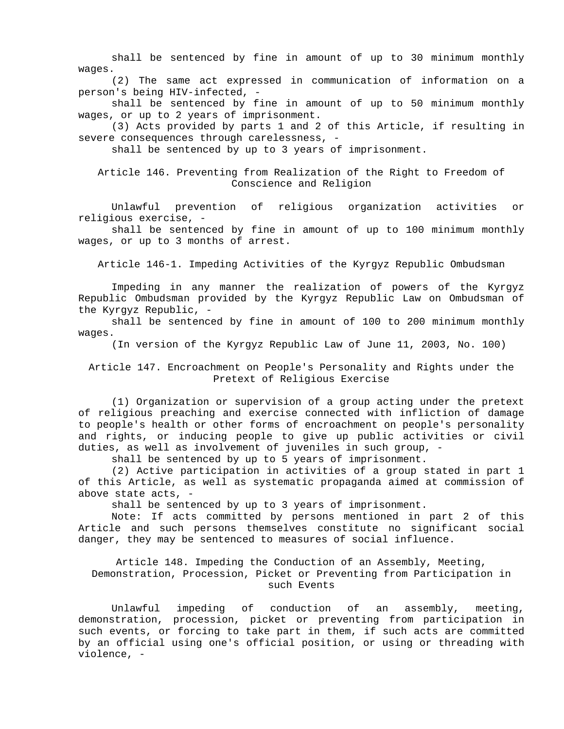shall be sentenced by fine in amount of up to 30 minimum monthly wages.

(2) The same act expressed in communication of information on a person's being HIV-infected, -

shall be sentenced by fine in amount of up to 50 minimum monthly wages, or up to 2 years of imprisonment.

(3) Acts provided by parts 1 and 2 of this Article, if resulting in severe consequences through carelessness, -

shall be sentenced by up to 3 years of imprisonment.

Article 146. Preventing from Realization of the Right to Freedom of Conscience and Religion

Unlawful prevention of religious organization activities or religious exercise, -

shall be sentenced by fine in amount of up to 100 minimum monthly wages, or up to 3 months of arrest.

Article 146-1. Impeding Activities of the Kyrgyz Republic Ombudsman

Impeding in any manner the realization of powers of the Kyrgyz Republic Ombudsman provided by the Kyrgyz Republic Law on Ombudsman of the Kyrgyz Republic, -

shall be sentenced by fine in amount of 100 to 200 minimum monthly wages.

(In version of the Kyrgyz Republic Law of June 11, 2003, No. 100)

Article 147. Encroachment on People's Personality and Rights under the Pretext of Religious Exercise

(1) Organization or supervision of a group acting under the pretext of religious preaching and exercise connected with infliction of damage to people's health or other forms of encroachment on people's personality and rights, or inducing people to give up public activities or civil duties, as well as involvement of juveniles in such group, -

shall be sentenced by up to 5 years of imprisonment.

 (2) Active participation in activities of a group stated in part 1 of this Article, as well as systematic propaganda aimed at commission of above state acts, -

shall be sentenced by up to 3 years of imprisonment.

Note: If acts committed by persons mentioned in part 2 of this Article and such persons themselves constitute no significant social danger, they may be sentenced to measures of social influence.

Article 148. Impeding the Conduction of an Assembly, Meeting, Demonstration, Procession, Picket or Preventing from Participation in such Events

Unlawful impeding of conduction of an assembly, meeting, demonstration, procession, picket or preventing from participation in such events, or forcing to take part in them, if such acts are committed by an official using one's official position, or using or threading with violence, -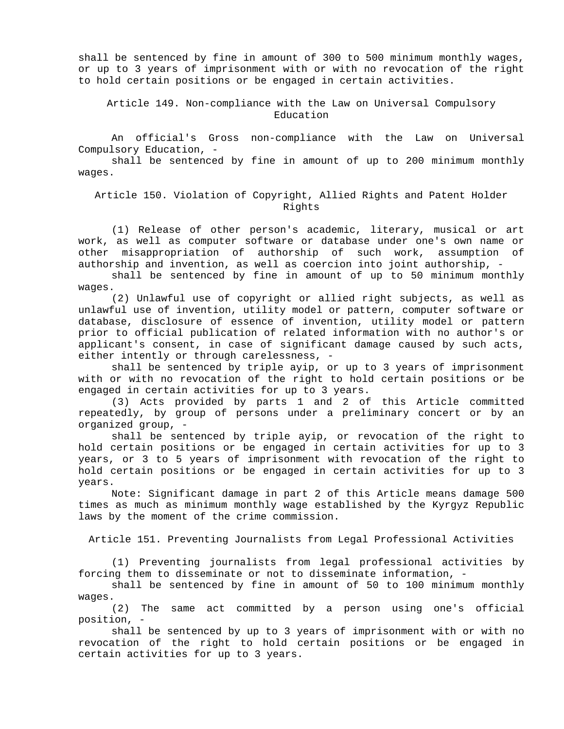shall be sentenced by fine in amount of 300 to 500 minimum monthly wages, or up to 3 years of imprisonment with or with no revocation of the right to hold certain positions or be engaged in certain activities.

Article 149. Non-compliance with the Law on Universal Compulsory Education

An official's Gross non-compliance with the Law on Universal Compulsory Education, -

shall be sentenced by fine in amount of up to 200 minimum monthly wages.

Article 150. Violation of Copyright, Allied Rights and Patent Holder Rights

(1) Release of other person's academic, literary, musical or art work, as well as computer software or database under one's own name or other misappropriation of authorship of such work, assumption of authorship and invention, as well as coercion into joint authorship, -

shall be sentenced by fine in amount of up to 50 minimum monthly wages.

(2) Unlawful use of copyright or allied right subjects, as well as unlawful use of invention, utility model or pattern, computer software or database, disclosure of essence of invention, utility model or pattern prior to official publication of related information with no author's or applicant's consent, in case of significant damage caused by such acts, either intently or through carelessness, -

shall be sentenced by triple ayip, or up to 3 years of imprisonment with or with no revocation of the right to hold certain positions or be engaged in certain activities for up to 3 years.

(3) Acts provided by parts 1 and 2 of this Article committed repeatedly, by group of persons under a preliminary concert or by an organized group, -

shall be sentenced by triple ayip, or revocation of the right to hold certain positions or be engaged in certain activities for up to 3 years, or 3 to 5 years of imprisonment with revocation of the right to hold certain positions or be engaged in certain activities for up to 3 years.

Note: Significant damage in part 2 of this Article means damage 500 times as much as minimum monthly wage established by the Kyrgyz Republic laws by the moment of the crime commission.

Article 151. Preventing Journalists from Legal Professional Activities

(1) Preventing journalists from legal professional activities by forcing them to disseminate or not to disseminate information, -

shall be sentenced by fine in amount of 50 to 100 minimum monthly wages.

(2) The same act committed by a person using one's official position, -

shall be sentenced by up to 3 years of imprisonment with or with no revocation of the right to hold certain positions or be engaged in certain activities for up to 3 years.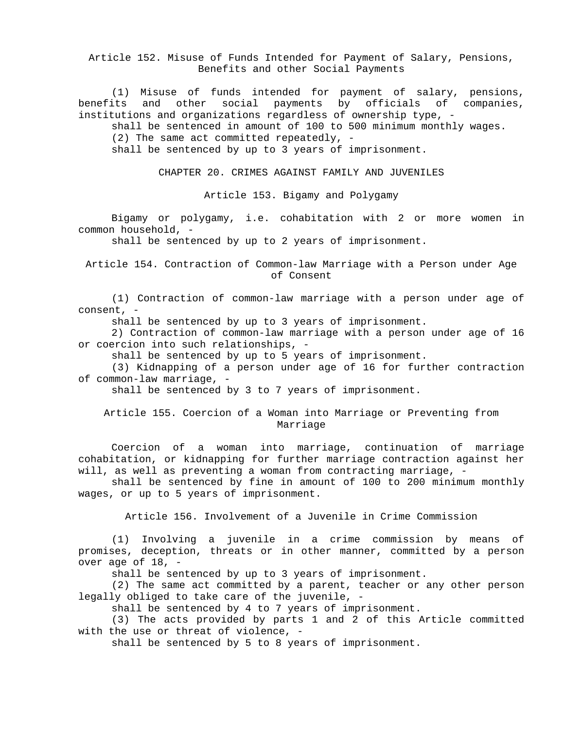Article 152. Misuse of Funds Intended for Payment of Salary, Pensions, Benefits and other Social Payments

(1) Misuse of funds intended for payment of salary, pensions, benefits and other social payments by officials of companies, institutions and organizations regardless of ownership type, -

shall be sentenced in amount of 100 to 500 minimum monthly wages.

(2) The same act committed repeatedly, -

shall be sentenced by up to 3 years of imprisonment.

CHAPTER 20. CRIMES AGAINST FAMILY AND JUVENILES

Article 153. Bigamy and Polygamy

Bigamy or polygamy, i.e. cohabitation with 2 or more women in common household, -

shall be sentenced by up to 2 years of imprisonment.

Article 154. Contraction of Common-law Marriage with a Person under Age of Consent

(1) Contraction of common-law marriage with a person under age of consent, -

shall be sentenced by up to 3 years of imprisonment.

2) Contraction of common-law marriage with a person under age of 16 or coercion into such relationships, -

shall be sentenced by up to 5 years of imprisonment.

(3) Kidnapping of a person under age of 16 for further contraction of common-law marriage, -

shall be sentenced by 3 to 7 years of imprisonment.

Article 155. Coercion of a Woman into Marriage or Preventing from Marriage

Coercion of a woman into marriage, continuation of marriage cohabitation, or kidnapping for further marriage contraction against her will, as well as preventing a woman from contracting marriage, -

shall be sentenced by fine in amount of 100 to 200 minimum monthly wages, or up to 5 years of imprisonment.

Article 156. Involvement of a Juvenile in Crime Commission

(1) Involving a juvenile in a crime commission by means of promises, deception, threats or in other manner, committed by a person over age of 18, -

shall be sentenced by up to 3 years of imprisonment.

(2) The same act committed by a parent, teacher or any other person legally obliged to take care of the juvenile, -

shall be sentenced by 4 to 7 years of imprisonment.

(3) The acts provided by parts 1 and 2 of this Article committed with the use or threat of violence, -

shall be sentenced by 5 to 8 years of imprisonment.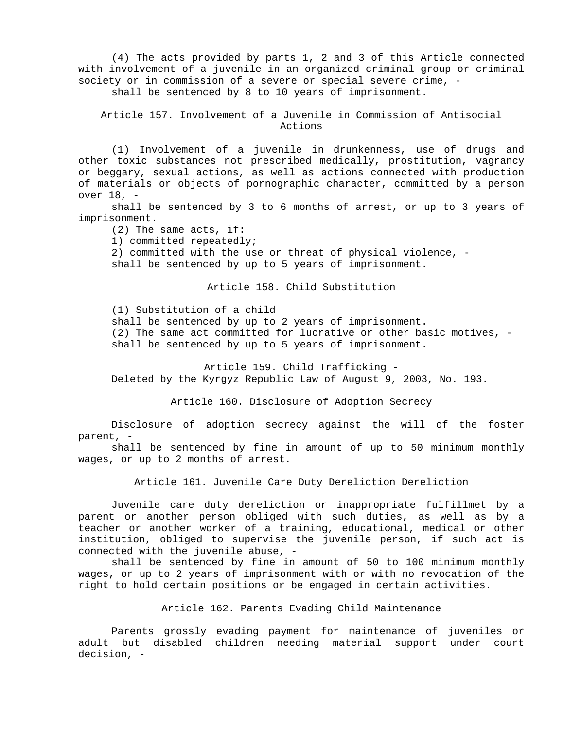(4) The acts provided by parts 1, 2 and 3 of this Article connected with involvement of a juvenile in an organized criminal group or criminal society or in commission of a severe or special severe crime, -

shall be sentenced by 8 to 10 years of imprisonment.

Article 157. Involvement of a Juvenile in Commission of Antisocial Actions

(1) Involvement of a juvenile in drunkenness, use of drugs and other toxic substances not prescribed medically, prostitution, vagrancy or beggary, sexual actions, as well as actions connected with production of materials or objects of pornographic character, committed by a person over 18, -

shall be sentenced by 3 to 6 months of arrest, or up to 3 years of imprisonment.

(2) The same acts, if:

1) committed repeatedly;

2) committed with the use or threat of physical violence, shall be sentenced by up to 5 years of imprisonment.

Article 158. Child Substitution

(1) Substitution of a child

shall be sentenced by up to 2 years of imprisonment.

(2) The same act committed for lucrative or other basic motives, shall be sentenced by up to 5 years of imprisonment.

Article 159. Child Trafficking - Deleted by the Kyrgyz Republic Law of August 9, 2003, No. 193.

Article 160. Disclosure of Adoption Secrecy

Disclosure of adoption secrecy against the will of the foster parent, -

shall be sentenced by fine in amount of up to 50 minimum monthly wages, or up to 2 months of arrest.

Article 161. Juvenile Care Duty Dereliction Dereliction

Juvenile care duty dereliction or inappropriate fulfillmet by a parent or another person obliged with such duties, as well as by a teacher or another worker of a training, educational, medical or other institution, obliged to supervise the juvenile person, if such act is connected with the juvenile abuse, -

shall be sentenced by fine in amount of 50 to 100 minimum monthly wages, or up to 2 years of imprisonment with or with no revocation of the right to hold certain positions or be engaged in certain activities.

Article 162. Parents Evading Child Maintenance

Parents grossly evading payment for maintenance of juveniles or adult but disabled children needing material support under court decision, -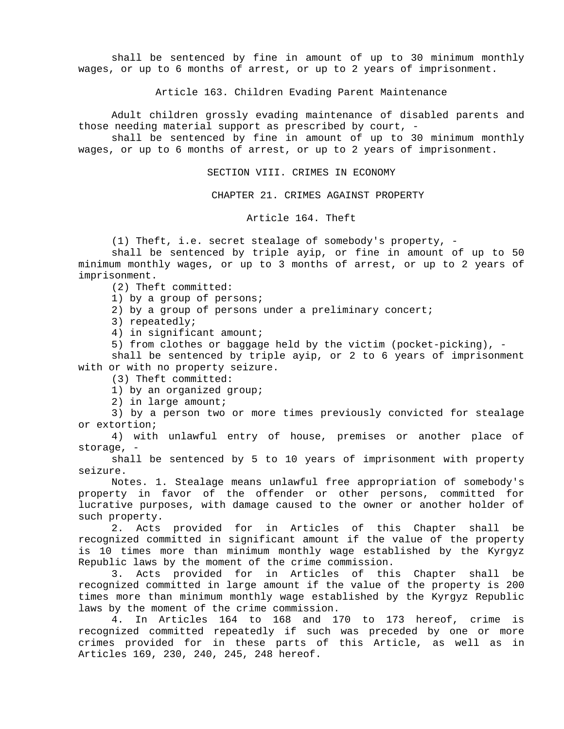shall be sentenced by fine in amount of up to 30 minimum monthly wages, or up to 6 months of arrest, or up to 2 years of imprisonment.

Article 163. Children Evading Parent Maintenance

Adult children grossly evading maintenance of disabled parents and those needing material support as prescribed by court, -

shall be sentenced by fine in amount of up to 30 minimum monthly wages, or up to 6 months of arrest, or up to 2 years of imprisonment.

SECTION VIII. CRIMES IN ECONOMY

CHAPTER 21. CRIMES AGAINST PROPERTY

Article 164. Theft

(1) Theft, i.e. secret stealage of somebody's property, -

shall be sentenced by triple ayip, or fine in amount of up to 50 minimum monthly wages, or up to 3 months of arrest, or up to 2 years of imprisonment.

(2) Theft committed:

1) by a group of persons;

2) by a group of persons under a preliminary concert;

3) repeatedly;

4) in significant amount;

5) from clothes or baggage held by the victim (pocket-picking), -

shall be sentenced by triple ayip, or 2 to 6 years of imprisonment with or with no property seizure.

(3) Theft committed:

1) by an organized group;

2) in large amount;

3) by a person two or more times previously convicted for stealage or extortion;

4) with unlawful entry of house, premises or another place of storage, -

shall be sentenced by 5 to 10 years of imprisonment with property seizure.

Notes. 1. Stealage means unlawful free appropriation of somebody's property in favor of the offender or other persons, committed for lucrative purposes, with damage caused to the owner or another holder of such property.

2. Acts provided for in Articles of this Chapter shall be recognized committed in significant amount if the value of the property is 10 times more than minimum monthly wage established by the Kyrgyz Republic laws by the moment of the crime commission.

3. Acts provided for in Articles of this Chapter shall be recognized committed in large amount if the value of the property is 200 times more than minimum monthly wage established by the Kyrgyz Republic laws by the moment of the crime commission.

4. In Articles 164 to 168 and 170 to 173 hereof, crime is recognized committed repeatedly if such was preceded by one or more crimes provided for in these parts of this Article, as well as in Articles 169, 230, 240, 245, 248 hereof.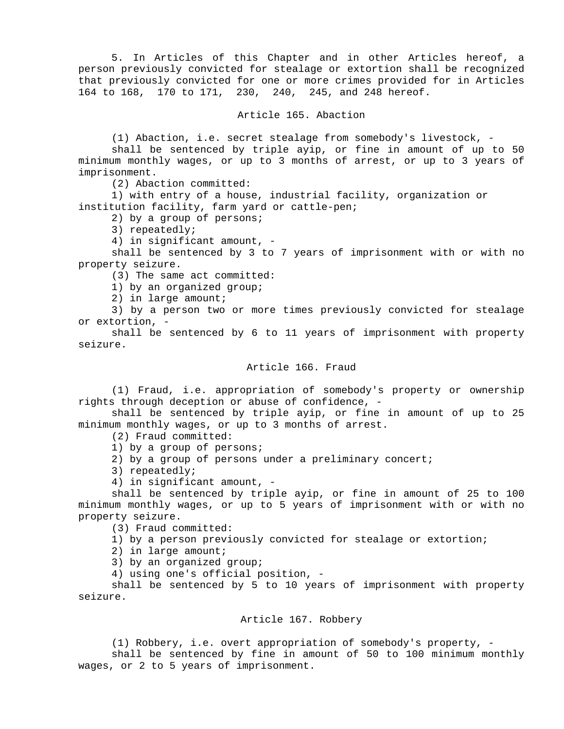5. In Articles of this Chapter and in other Articles hereof, a person previously convicted for stealage or extortion shall be recognized that previously convicted for one or more crimes provided for in Articles 164 to 168, 170 to 171, 230, 240, 245, and 248 hereof.

### Article 165. Abaction

(1) Abaction, i.e. secret stealage from somebody's livestock, -

shall be sentenced by triple ayip, or fine in amount of up to 50 minimum monthly wages, or up to 3 months of arrest, or up to 3 years of imprisonment.

(2) Abaction committed:

1) with entry of a house, industrial facility, organization or institution facility, farm yard or cattle-pen;

2) by a group of persons;

3) repeatedly;

4) in significant amount, -

shall be sentenced by 3 to 7 years of imprisonment with or with no property seizure.

(3) The same act committed:

1) by an organized group;

2) in large amount;

3) by a person two or more times previously convicted for stealage or extortion, -

shall be sentenced by 6 to 11 years of imprisonment with property seizure.

#### Article 166. Fraud

(1) Fraud, i.e. appropriation of somebody's property or ownership rights through deception or abuse of confidence, -

shall be sentenced by triple ayip, or fine in amount of up to 25 minimum monthly wages, or up to 3 months of arrest.

(2) Fraud committed:

1) by a group of persons;

- 2) by a group of persons under a preliminary concert;
- 3) repeatedly;

4) in significant amount, -

shall be sentenced by triple ayip, or fine in amount of 25 to 100 minimum monthly wages, or up to 5 years of imprisonment with or with no property seizure.

(3) Fraud committed:

1) by a person previously convicted for stealage or extortion;

2) in large amount;

3) by an organized group;

4) using one's official position, -

shall be sentenced by 5 to 10 years of imprisonment with property seizure.

#### Article 167. Robbery

(1) Robbery, i.e. overt appropriation of somebody's property, -

shall be sentenced by fine in amount of 50 to 100 minimum monthly wages, or 2 to 5 years of imprisonment.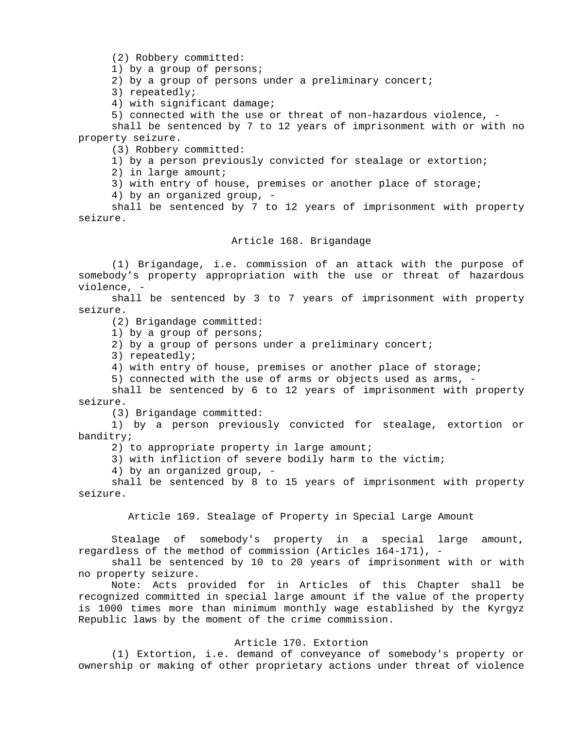(2) Robbery committed:

1) by a group of persons;

2) by a group of persons under a preliminary concert;

3) repeatedly;

4) with significant damage;

5) connected with the use or threat of non-hazardous violence, -

shall be sentenced by 7 to 12 years of imprisonment with or with no property seizure.

(3) Robbery committed:

1) by a person previously convicted for stealage or extortion;

2) in large amount;

3) with entry of house, premises or another place of storage;

4) by an organized group, -

shall be sentenced by 7 to 12 years of imprisonment with property seizure.

### Article 168. Brigandage

(1) Brigandage, i.e. commission of an attack with the purpose of somebody's property appropriation with the use or threat of hazardous violence, -

shall be sentenced by 3 to 7 years of imprisonment with property seizure.

(2) Brigandage committed:

1) by a group of persons;

2) by a group of persons under a preliminary concert;

3) repeatedly;

4) with entry of house, premises or another place of storage;

5) connected with the use of arms or objects used as arms, -

shall be sentenced by 6 to 12 years of imprisonment with property seizure.

(3) Brigandage committed:

1) by a person previously convicted for stealage, extortion or banditry;

2) to appropriate property in large amount;

3) with infliction of severe bodily harm to the victim;

4) by an organized group, -

shall be sentenced by 8 to 15 years of imprisonment with property seizure.

Article 169. Stealage of Property in Special Large Amount

Stealage of somebody's property in a special large amount, regardless of the method of commission (Articles 164-171), -

shall be sentenced by 10 to 20 years of imprisonment with or with no property seizure.

Note: Acts provided for in Articles of this Chapter shall be recognized committed in special large amount if the value of the property is 1000 times more than minimum monthly wage established by the Kyrgyz Republic laws by the moment of the crime commission.

# Article 170. Extortion

(1) Extortion, i.e. demand of conveyance of somebody's property or ownership or making of other proprietary actions under threat of violence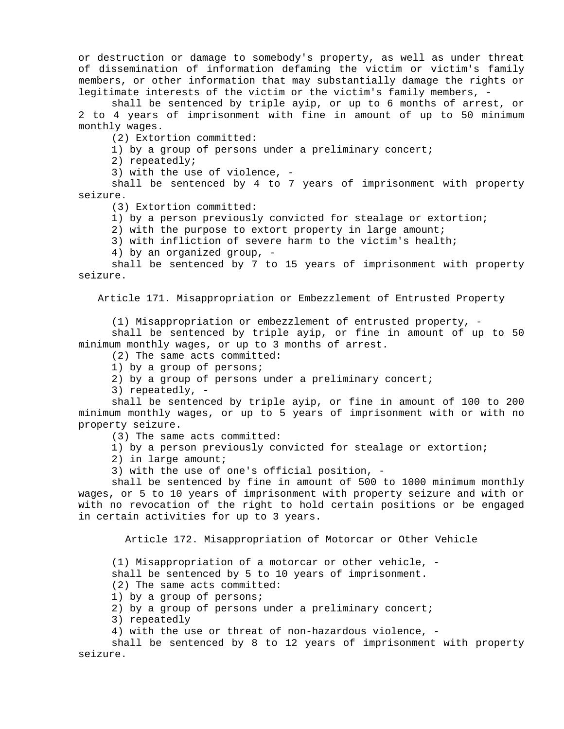or destruction or damage to somebody's property, as well as under threat of dissemination of information defaming the victim or victim's family members, or other information that may substantially damage the rights or legitimate interests of the victim or the victim's family members, -

shall be sentenced by triple ayip, or up to 6 months of arrest, or 2 to 4 years of imprisonment with fine in amount of up to 50 minimum monthly wages.

(2) Extortion committed:

1) by a group of persons under a preliminary concert;

2) repeatedly;

3) with the use of violence, -

shall be sentenced by 4 to 7 years of imprisonment with property seizure.

(3) Extortion committed:

1) by a person previously convicted for stealage or extortion;

2) with the purpose to extort property in large amount;

3) with infliction of severe harm to the victim's health;

4) by an organized group, -

shall be sentenced by 7 to 15 years of imprisonment with property seizure.

Article 171. Misappropriation or Embezzlement of Entrusted Property

(1) Misappropriation or embezzlement of entrusted property, -

shall be sentenced by triple ayip, or fine in amount of up to 50 minimum monthly wages, or up to 3 months of arrest.

(2) The same acts committed:

- 1) by a group of persons;
- 2) by a group of persons under a preliminary concert;

3) repeatedly, -

shall be sentenced by triple ayip, or fine in amount of 100 to 200 minimum monthly wages, or up to 5 years of imprisonment with or with no property seizure.

(3) The same acts committed:

1) by a person previously convicted for stealage or extortion;

2) in large amount;

3) with the use of one's official position, -

shall be sentenced by fine in amount of 500 to 1000 minimum monthly wages, or 5 to 10 years of imprisonment with property seizure and with or with no revocation of the right to hold certain positions or be engaged in certain activities for up to 3 years.

Article 172. Misappropriation of Motorcar or Other Vehicle

(1) Misappropriation of a motorcar or other vehicle, -

shall be sentenced by 5 to 10 years of imprisonment.

(2) The same acts committed:

1) by a group of persons;

2) by a group of persons under a preliminary concert;

3) repeatedly

4) with the use or threat of non-hazardous violence, -

shall be sentenced by 8 to 12 years of imprisonment with property seizure.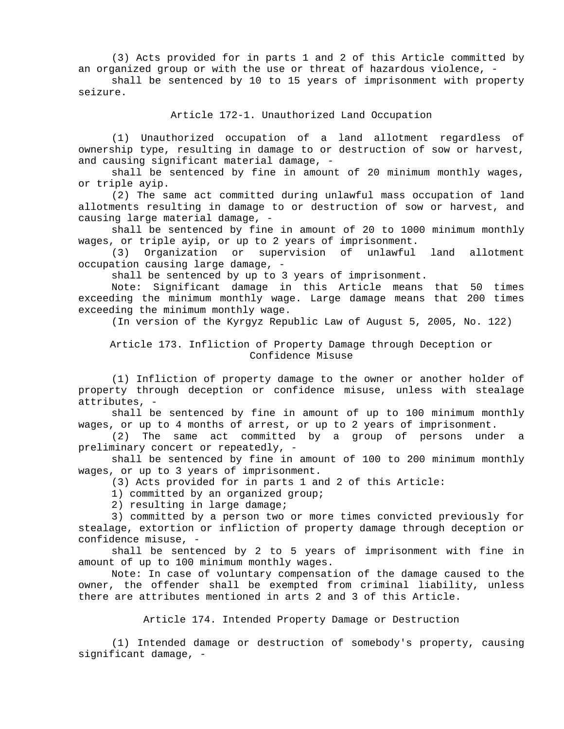(3) Acts provided for in parts 1 and 2 of this Article committed by an organized group or with the use or threat of hazardous violence, -

shall be sentenced by 10 to 15 years of imprisonment with property seizure.

Article 172-1. Unauthorized Land Occupation

(1) Unauthorized occupation of a land allotment regardless of ownership type, resulting in damage to or destruction of sow or harvest, and causing significant material damage, -

shall be sentenced by fine in amount of 20 minimum monthly wages, or triple ayip.

(2) The same act committed during unlawful mass occupation of land allotments resulting in damage to or destruction of sow or harvest, and causing large material damage, -

shall be sentenced by fine in amount of 20 to 1000 minimum monthly wages, or triple ayip, or up to 2 years of imprisonment.

(3) Organization or supervision of unlawful land allotment occupation causing large damage, -

shall be sentenced by up to 3 years of imprisonment.

Note: Significant damage in this Article means that 50 times exceeding the minimum monthly wage. Large damage means that 200 times exceeding the minimum monthly wage.

(In version of the Kyrgyz Republic Law of August 5, 2005, No. 122)

Article 173. Infliction of Property Damage through Deception or Confidence Misuse

(1) Infliction of property damage to the owner or another holder of property through deception or confidence misuse, unless with stealage attributes, -

shall be sentenced by fine in amount of up to 100 minimum monthly wages, or up to 4 months of arrest, or up to 2 years of imprisonment.

(2) The same act committed by a group of persons under a preliminary concert or repeatedly, -

shall be sentenced by fine in amount of 100 to 200 minimum monthly wages, or up to 3 years of imprisonment.

(3) Acts provided for in parts 1 and 2 of this Article:

1) committed by an organized group;

2) resulting in large damage;

3) committed by a person two or more times convicted previously for stealage, extortion or infliction of property damage through deception or confidence misuse, -

shall be sentenced by 2 to 5 years of imprisonment with fine in amount of up to 100 minimum monthly wages.

Note: In case of voluntary compensation of the damage caused to the owner, the offender shall be exempted from criminal liability, unless there are attributes mentioned in arts 2 and 3 of this Article.

Article 174. Intended Property Damage or Destruction

(1) Intended damage or destruction of somebody's property, causing significant damage, -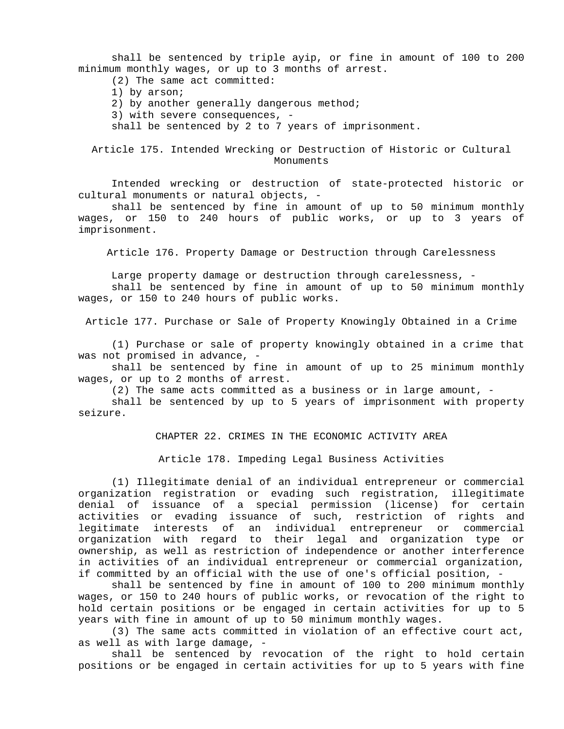shall be sentenced by triple ayip, or fine in amount of 100 to 200 minimum monthly wages, or up to 3 months of arrest.

(2) The same act committed:

1) by arson;

2) by another generally dangerous method;

3) with severe consequences, -

shall be sentenced by 2 to 7 years of imprisonment.

Article 175. Intended Wrecking or Destruction of Historic or Cultural Monuments

Intended wrecking or destruction of state-protected historic or cultural monuments or natural objects, -

shall be sentenced by fine in amount of up to 50 minimum monthly wages, or 150 to 240 hours of public works, or up to 3 years of imprisonment.

Article 176. Property Damage or Destruction through Carelessness

Large property damage or destruction through carelessness, -

shall be sentenced by fine in amount of up to 50 minimum monthly wages, or 150 to 240 hours of public works.

Article 177. Purchase or Sale of Property Knowingly Obtained in a Crime

(1) Purchase or sale of property knowingly obtained in a crime that was not promised in advance, -

shall be sentenced by fine in amount of up to 25 minimum monthly wages, or up to 2 months of arrest.

(2) The same acts committed as a business or in large amount, -

shall be sentenced by up to 5 years of imprisonment with property seizure.

CHAPTER 22. CRIMES IN THE ECONOMIC ACTIVITY AREA

Article 178. Impeding Legal Business Activities

(1) Illegitimate denial of an individual entrepreneur or commercial organization registration or evading such registration, illegitimate denial of issuance of a special permission (license) for certain activities or evading issuance of such, restriction of rights and legitimate interests of an individual entrepreneur or commercial organization with regard to their legal and organization type or ownership, as well as restriction of independence or another interference in activities of an individual entrepreneur or commercial organization, if committed by an official with the use of one's official position, -

shall be sentenced by fine in amount of 100 to 200 minimum monthly wages, or 150 to 240 hours of public works, or revocation of the right to hold certain positions or be engaged in certain activities for up to 5 years with fine in amount of up to 50 minimum monthly wages.

(3) The same acts committed in violation of an effective court act, as well as with large damage, -

shall be sentenced by revocation of the right to hold certain positions or be engaged in certain activities for up to 5 years with fine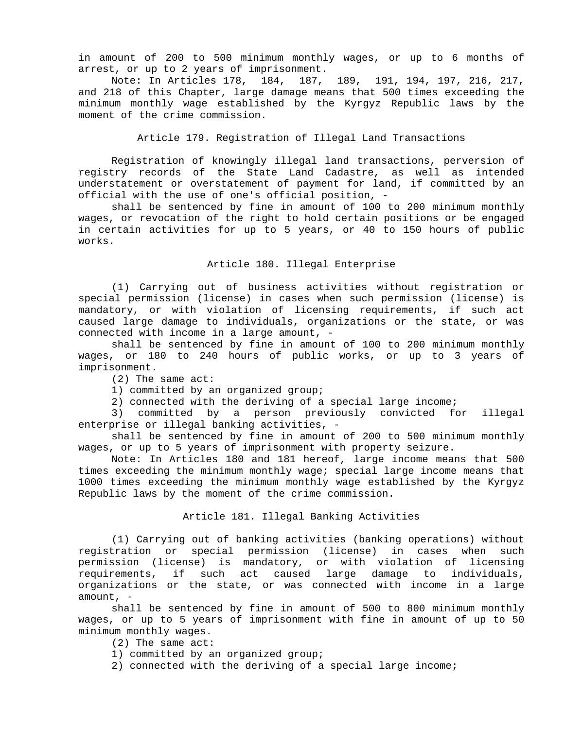in amount of 200 to 500 minimum monthly wages, or up to 6 months of arrest, or up to 2 years of imprisonment.

 Note: In Articles 178, 184, 187, 189, 191, 194, 197, 216, 217, and 218 of this Chapter, large damage means that 500 times exceeding the minimum monthly wage established by the Kyrgyz Republic laws by the moment of the crime commission.

#### Article 179. Registration of Illegal Land Transactions

Registration of knowingly illegal land transactions, perversion of registry records of the State Land Cadastre, as well as intended understatement or overstatement of payment for land, if committed by an official with the use of one's official position, -

shall be sentenced by fine in amount of 100 to 200 minimum monthly wages, or revocation of the right to hold certain positions or be engaged in certain activities for up to 5 years, or 40 to 150 hours of public works.

## Article 180. Illegal Enterprise

(1) Carrying out of business activities without registration or special permission (license) in cases when such permission (license) is mandatory, or with violation of licensing requirements, if such act caused large damage to individuals, organizations or the state, or was connected with income in a large amount, -

shall be sentenced by fine in amount of 100 to 200 minimum monthly wages, or 180 to 240 hours of public works, or up to 3 years of imprisonment.

(2) The same act:

1) committed by an organized group;

2) connected with the deriving of a special large income;

3) committed by a person previously convicted for illegal enterprise or illegal banking activities, -

shall be sentenced by fine in amount of 200 to 500 minimum monthly wages, or up to 5 years of imprisonment with property seizure.

Note: In Articles 180 and 181 hereof, large income means that 500 times exceeding the minimum monthly wage; special large income means that 1000 times exceeding the minimum monthly wage established by the Kyrgyz Republic laws by the moment of the crime commission.

### Article 181. Illegal Banking Activities

(1) Carrying out of banking activities (banking operations) without registration or special permission (license) in cases when such permission (license) is mandatory, or with violation of licensing requirements, if such act caused large damage to individuals, organizations or the state, or was connected with income in a large amount, -

shall be sentenced by fine in amount of 500 to 800 minimum monthly wages, or up to 5 years of imprisonment with fine in amount of up to 50 minimum monthly wages.

(2) The same act:

- 1) committed by an organized group;
- 2) connected with the deriving of a special large income;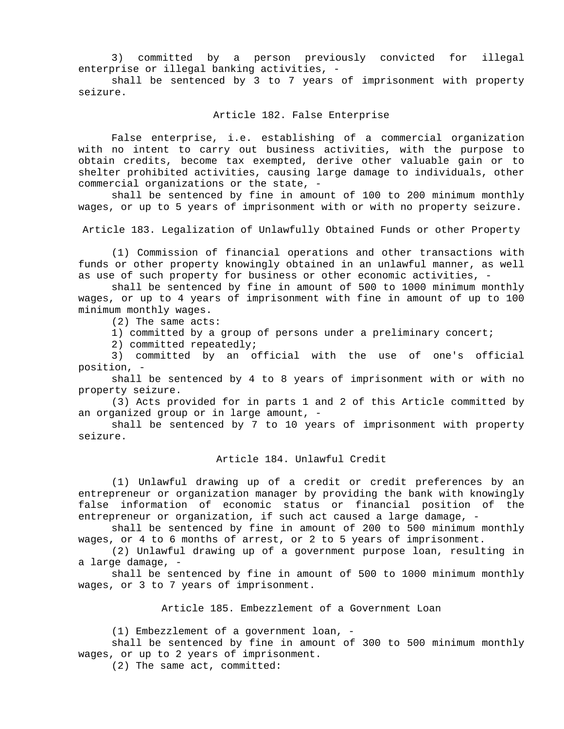3) committed by a person previously convicted for illegal enterprise or illegal banking activities, -

shall be sentenced by 3 to 7 years of imprisonment with property seizure.

#### Article 182. False Enterprise

False enterprise, i.e. establishing of a commercial organization with no intent to carry out business activities, with the purpose to obtain credits, become tax exempted, derive other valuable gain or to shelter prohibited activities, causing large damage to individuals, other commercial organizations or the state, -

shall be sentenced by fine in amount of 100 to 200 minimum monthly wages, or up to 5 years of imprisonment with or with no property seizure.

Article 183. Legalization of Unlawfully Obtained Funds or other Property

(1) Commission of financial operations and other transactions with funds or other property knowingly obtained in an unlawful manner, as well as use of such property for business or other economic activities, -

shall be sentenced by fine in amount of 500 to 1000 minimum monthly wages, or up to 4 years of imprisonment with fine in amount of up to 100 minimum monthly wages.

(2) The same acts:

1) committed by a group of persons under a preliminary concert;

2) committed repeatedly;

3) committed by an official with the use of one's official position, -

shall be sentenced by 4 to 8 years of imprisonment with or with no property seizure.

(3) Acts provided for in parts 1 and 2 of this Article committed by an organized group or in large amount, -

shall be sentenced by 7 to 10 years of imprisonment with property seizure.

#### Article 184. Unlawful Credit

(1) Unlawful drawing up of a credit or credit preferences by an entrepreneur or organization manager by providing the bank with knowingly false information of economic status or financial position of the entrepreneur or organization, if such act caused a large damage, -

shall be sentenced by fine in amount of 200 to 500 minimum monthly wages, or 4 to 6 months of arrest, or 2 to 5 years of imprisonment.

(2) Unlawful drawing up of a government purpose loan, resulting in a large damage, -

shall be sentenced by fine in amount of 500 to 1000 minimum monthly wages, or 3 to 7 years of imprisonment.

Article 185. Embezzlement of a Government Loan

(1) Embezzlement of a government loan, -

shall be sentenced by fine in amount of 300 to 500 minimum monthly wages, or up to 2 years of imprisonment.

(2) The same act, committed: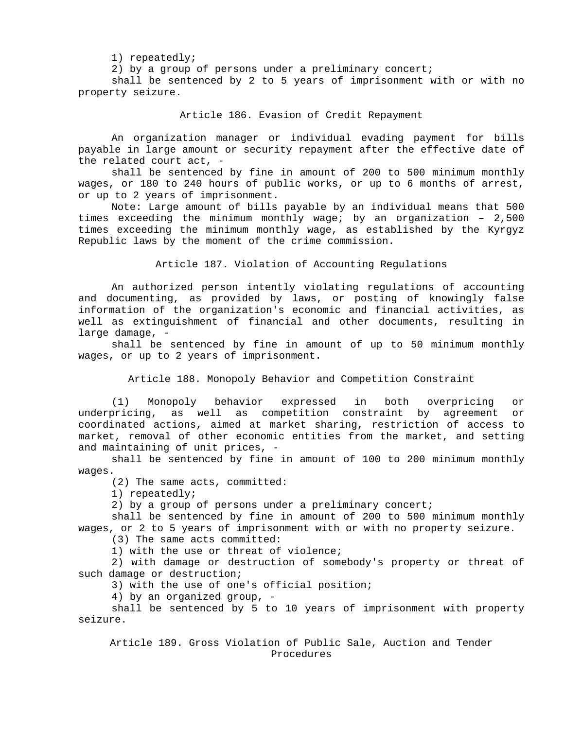1) repeatedly;

2) by a group of persons under a preliminary concert;

shall be sentenced by 2 to 5 years of imprisonment with or with no property seizure.

Article 186. Evasion of Credit Repayment

An organization manager or individual evading payment for bills payable in large amount or security repayment after the effective date of the related court act, -

shall be sentenced by fine in amount of 200 to 500 minimum monthly wages, or 180 to 240 hours of public works, or up to 6 months of arrest, or up to 2 years of imprisonment.

Note: Large amount of bills payable by an individual means that 500 times exceeding the minimum monthly wage; by an organization – 2,500 times exceeding the minimum monthly wage, as established by the Kyrgyz Republic laws by the moment of the crime commission.

Article 187. Violation of Accounting Regulations

An authorized person intently violating regulations of accounting and documenting, as provided by laws, or posting of knowingly false information of the organization's economic and financial activities, as well as extinguishment of financial and other documents, resulting in large damage, -

shall be sentenced by fine in amount of up to 50 minimum monthly wages, or up to 2 years of imprisonment.

Article 188. Monopoly Behavior and Competition Constraint

(1) Monopoly behavior expressed in both overpricing or underpricing, as well as competition constraint by agreement or coordinated actions, aimed at market sharing, restriction of access to market, removal of other economic entities from the market, and setting and maintaining of unit prices, -

shall be sentenced by fine in amount of 100 to 200 minimum monthly wages.

(2) The same acts, committed:

1) repeatedly;

2) by a group of persons under a preliminary concert;

shall be sentenced by fine in amount of 200 to 500 minimum monthly wages, or 2 to 5 years of imprisonment with or with no property seizure.

(3) The same acts committed:

1) with the use or threat of violence;

2) with damage or destruction of somebody's property or threat of such damage or destruction;

3) with the use of one's official position;

4) by an organized group, -

shall be sentenced by 5 to 10 years of imprisonment with property seizure.

Article 189. Gross Violation of Public Sale, Auction and Tender Procedures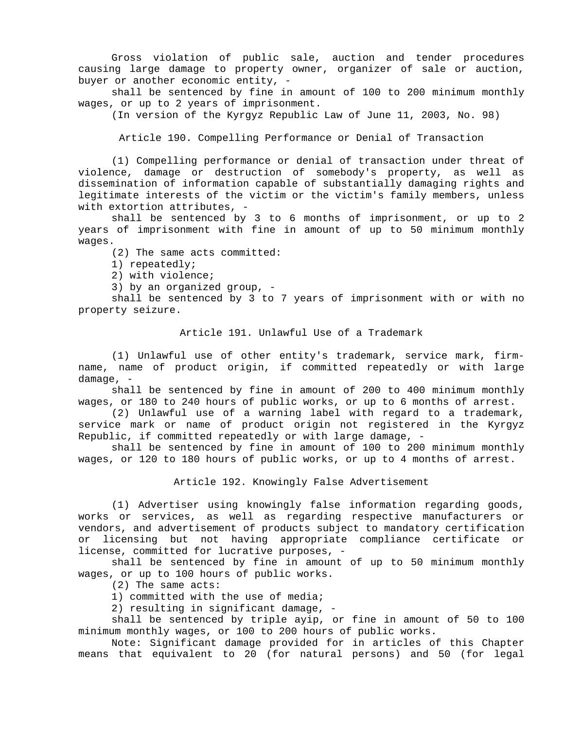Gross violation of public sale, auction and tender procedures causing large damage to property owner, organizer of sale or auction, buyer or another economic entity, -

shall be sentenced by fine in amount of 100 to 200 minimum monthly wages, or up to 2 years of imprisonment.

(In version of the Kyrgyz Republic Law of June 11, 2003, No. 98)

Article 190. Compelling Performance or Denial of Transaction

(1) Compelling performance or denial of transaction under threat of violence, damage or destruction of somebody's property, as well as dissemination of information capable of substantially damaging rights and legitimate interests of the victim or the victim's family members, unless with extortion attributes, -

shall be sentenced by 3 to 6 months of imprisonment, or up to 2 years of imprisonment with fine in amount of up to 50 minimum monthly wages.

(2) The same acts committed:

1) repeatedly;

2) with violence;

3) by an organized group, -

shall be sentenced by 3 to 7 years of imprisonment with or with no property seizure.

### Article 191. Unlawful Use of a Trademark

(1) Unlawful use of other entity's trademark, service mark, firmname, name of product origin, if committed repeatedly or with large damage, -

shall be sentenced by fine in amount of 200 to 400 minimum monthly wages, or 180 to 240 hours of public works, or up to 6 months of arrest.

(2) Unlawful use of a warning label with regard to a trademark, service mark or name of product origin not registered in the Kyrgyz Republic, if committed repeatedly or with large damage, -

shall be sentenced by fine in amount of 100 to 200 minimum monthly wages, or 120 to 180 hours of public works, or up to 4 months of arrest.

#### Article 192. Knowingly False Advertisement

(1) Advertiser using knowingly false information regarding goods, works or services, as well as regarding respective manufacturers or vendors, and advertisement of products subject to mandatory certification or licensing but not having appropriate compliance certificate or license, committed for lucrative purposes, -

shall be sentenced by fine in amount of up to 50 minimum monthly wages, or up to 100 hours of public works.

(2) The same acts:

1) committed with the use of media;

2) resulting in significant damage, -

shall be sentenced by triple ayip, or fine in amount of 50 to 100 minimum monthly wages, or 100 to 200 hours of public works.

Note: Significant damage provided for in articles of this Chapter means that equivalent to 20 (for natural persons) and 50 (for legal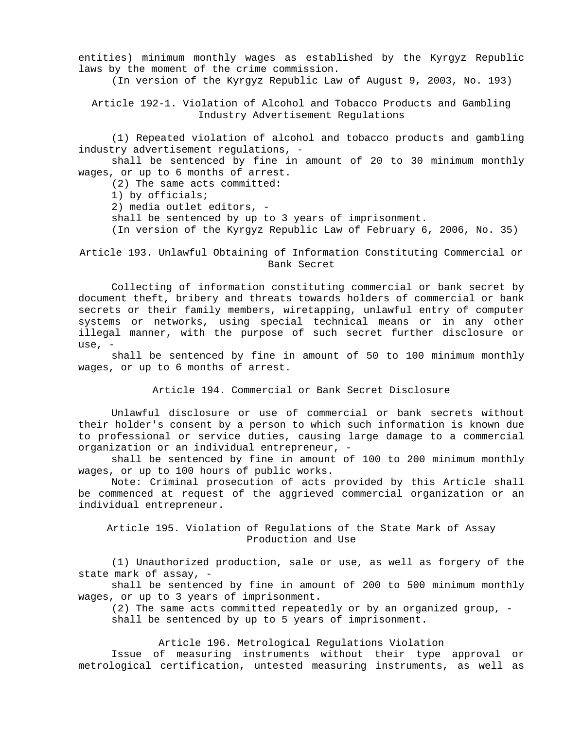entities) minimum monthly wages as established by the Kyrgyz Republic laws by the moment of the crime commission.

(In version of the Kyrgyz Republic Law of August 9, 2003, No. 193)

Article 192-1. Violation of Alcohol and Tobacco Products and Gambling Industry Advertisement Regulations

(1) Repeated violation of alcohol and tobacco products and gambling industry advertisement regulations, -

shall be sentenced by fine in amount of 20 to 30 minimum monthly wages, or up to 6 months of arrest.

(2) The same acts committed:

1) by officials;

2) media outlet editors, -

shall be sentenced by up to 3 years of imprisonment.

(In version of the Kyrgyz Republic Law of February 6, 2006, No. 35)

## Article 193. Unlawful Obtaining of Information Constituting Commercial or Bank Secret

Collecting of information constituting commercial or bank secret by document theft, bribery and threats towards holders of commercial or bank secrets or their family members, wiretapping, unlawful entry of computer systems or networks, using special technical means or in any other illegal manner, with the purpose of such secret further disclosure or use, -

shall be sentenced by fine in amount of 50 to 100 minimum monthly wages, or up to 6 months of arrest.

### Article 194. Commercial or Bank Secret Disclosure

Unlawful disclosure or use of commercial or bank secrets without their holder's consent by a person to which such information is known due to professional or service duties, causing large damage to a commercial organization or an individual entrepreneur, -

shall be sentenced by fine in amount of 100 to 200 minimum monthly wages, or up to 100 hours of public works.

Note: Criminal prosecution of acts provided by this Article shall be commenced at request of the aggrieved commercial organization or an individual entrepreneur.

# Article 195. Violation of Regulations of the State Mark of Assay Production and Use

(1) Unauthorized production, sale or use, as well as forgery of the state mark of assay, -

shall be sentenced by fine in amount of 200 to 500 minimum monthly wages, or up to 3 years of imprisonment.

(2) The same acts committed repeatedly or by an organized group, shall be sentenced by up to 5 years of imprisonment.

#### Article 196. Metrological Regulations Violation

 Issue of measuring instruments without their type approval or metrological certification, untested measuring instruments, as well as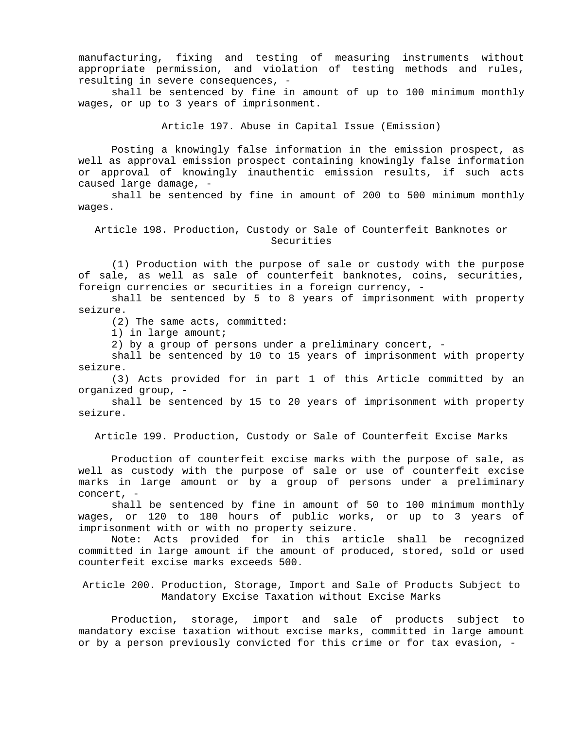manufacturing, fixing and testing of measuring instruments without appropriate permission, and violation of testing methods and rules, resulting in severe consequences, -

shall be sentenced by fine in amount of up to 100 minimum monthly wages, or up to 3 years of imprisonment.

Article 197. Abuse in Capital Issue (Emission)

Posting a knowingly false information in the emission prospect, as well as approval emission prospect containing knowingly false information or approval of knowingly inauthentic emission results, if such acts caused large damage, -

shall be sentenced by fine in amount of 200 to 500 minimum monthly wages.

Article 198. Production, Custody or Sale of Counterfeit Banknotes or Securities

(1) Production with the purpose of sale or custody with the purpose of sale, as well as sale of counterfeit banknotes, coins, securities, foreign currencies or securities in a foreign currency, -

shall be sentenced by 5 to 8 years of imprisonment with property seizure.

(2) The same acts, committed:

1) in large amount;

2) by a group of persons under a preliminary concert, -

shall be sentenced by 10 to 15 years of imprisonment with property seizure.

(3) Acts provided for in part 1 of this Article committed by an organized group, -

shall be sentenced by 15 to 20 years of imprisonment with property seizure.

Article 199. Production, Custody or Sale of Counterfeit Excise Marks

Production of counterfeit excise marks with the purpose of sale, as well as custody with the purpose of sale or use of counterfeit excise marks in large amount or by a group of persons under a preliminary concert, -

shall be sentenced by fine in amount of 50 to 100 minimum monthly wages, or 120 to 180 hours of public works, or up to 3 years of imprisonment with or with no property seizure.

Note: Acts provided for in this article shall be recognized committed in large amount if the amount of produced, stored, sold or used counterfeit excise marks exceeds 500.

Article 200. Production, Storage, Import and Sale of Products Subject to Mandatory Excise Taxation without Excise Marks

Production, storage, import and sale of products subject to mandatory excise taxation without excise marks, committed in large amount or by a person previously convicted for this crime or for tax evasion, -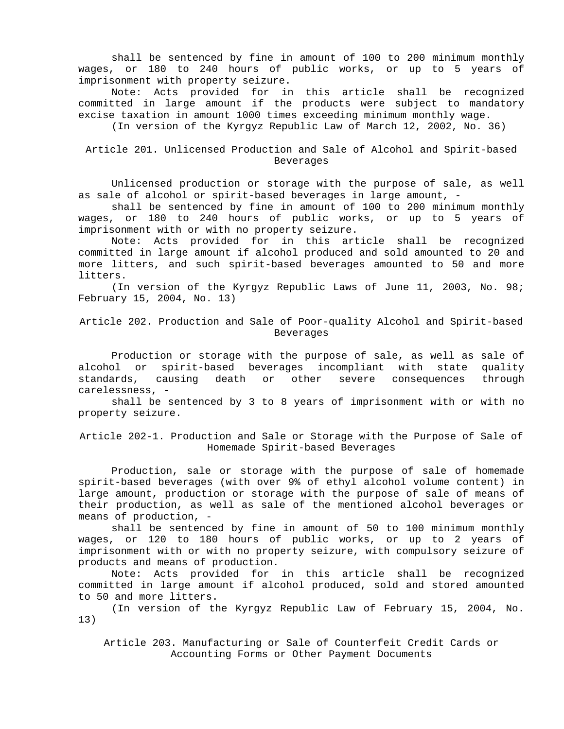shall be sentenced by fine in amount of 100 to 200 minimum monthly wages, or 180 to 240 hours of public works, or up to 5 years of imprisonment with property seizure.

Note: Acts provided for in this article shall be recognized committed in large amount if the products were subject to mandatory excise taxation in amount 1000 times exceeding minimum monthly wage.

(In version of the Kyrgyz Republic Law of March 12, 2002, No. 36)

## Article 201. Unlicensed Production and Sale of Alcohol and Spirit-based Beverages

Unlicensed production or storage with the purpose of sale, as well as sale of alcohol or spirit-based beverages in large amount, -

shall be sentenced by fine in amount of 100 to 200 minimum monthly wages, or 180 to 240 hours of public works, or up to 5 years of imprisonment with or with no property seizure.

Note: Acts provided for in this article shall be recognized committed in large amount if alcohol produced and sold amounted to 20 and more litters, and such spirit-based beverages amounted to 50 and more litters.

(In version of the Kyrgyz Republic Laws of June 11, 2003, No. 98; February 15, 2004, No. 13)

# Article 202. Production and Sale of Poor-quality Alcohol and Spirit-based Beverages

Production or storage with the purpose of sale, as well as sale of alcohol or spirit-based beverages incompliant with state quality standards, causing death or other severe consequences through carelessness, -

shall be sentenced by 3 to 8 years of imprisonment with or with no property seizure.

Article 202-1. Production and Sale or Storage with the Purpose of Sale of Homemade Spirit-based Beverages

Production, sale or storage with the purpose of sale of homemade spirit-based beverages (with over 9% of ethyl alcohol volume content) in large amount, production or storage with the purpose of sale of means of their production, as well as sale of the mentioned alcohol beverages or means of production, -

shall be sentenced by fine in amount of 50 to 100 minimum monthly wages, or 120 to 180 hours of public works, or up to 2 years of imprisonment with or with no property seizure, with compulsory seizure of products and means of production.

Note: Acts provided for in this article shall be recognized committed in large amount if alcohol produced, sold and stored amounted to 50 and more litters.

(In version of the Kyrgyz Republic Law of February 15, 2004, No. 13)

Article 203. Manufacturing or Sale of Counterfeit Credit Cards or Accounting Forms or Other Payment Documents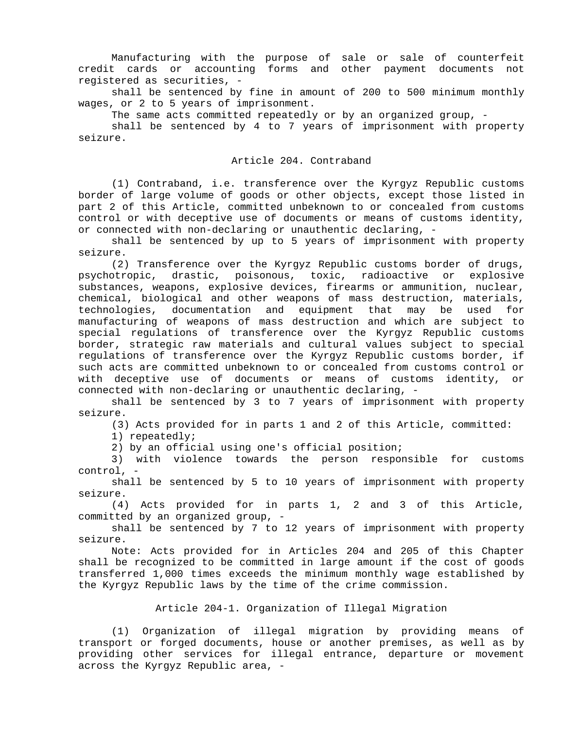Manufacturing with the purpose of sale or sale of counterfeit credit cards or accounting forms and other payment documents not registered as securities, -

shall be sentenced by fine in amount of 200 to 500 minimum monthly wages, or 2 to 5 years of imprisonment.

The same acts committed repeatedly or by an organized group, -

shall be sentenced by 4 to 7 years of imprisonment with property seizure.

#### Article 204. Contraband

(1) Contraband, i.e. transference over the Kyrgyz Republic customs border of large volume of goods or other objects, except those listed in part 2 of this Article, committed unbeknown to or concealed from customs control or with deceptive use of documents or means of customs identity, or connected with non-declaring or unauthentic declaring, -

shall be sentenced by up to 5 years of imprisonment with property seizure.

(2) Transference over the Kyrgyz Republic customs border of drugs, psychotropic, drastic, poisonous, toxic, radioactive or explosive substances, weapons, explosive devices, firearms or ammunition, nuclear, chemical, biological and other weapons of mass destruction, materials, technologies, documentation and equipment that may be used for manufacturing of weapons of mass destruction and which are subject to special regulations of transference over the Kyrgyz Republic customs border, strategic raw materials and cultural values subject to special regulations of transference over the Kyrgyz Republic customs border, if such acts are committed unbeknown to or concealed from customs control or with deceptive use of documents or means of customs identity, or connected with non-declaring or unauthentic declaring, -

shall be sentenced by 3 to 7 years of imprisonment with property seizure.

(3) Acts provided for in parts 1 and 2 of this Article, committed:

1) repeatedly;

2) by an official using one's official position;

3) with violence towards the person responsible for customs control, -

shall be sentenced by 5 to 10 years of imprisonment with property seizure.

(4) Acts provided for in parts 1, 2 and 3 of this Article, committed by an organized group, -

shall be sentenced by 7 to 12 years of imprisonment with property seizure.

Note: Acts provided for in Articles 204 and 205 of this Chapter shall be recognized to be committed in large amount if the cost of goods transferred 1,000 times exceeds the minimum monthly wage established by the Kyrgyz Republic laws by the time of the crime commission.

### Article 204-1. Organization of Illegal Migration

(1) Organization of illegal migration by providing means of transport or forged documents, house or another premises, as well as by providing other services for illegal entrance, departure or movement across the Kyrgyz Republic area, -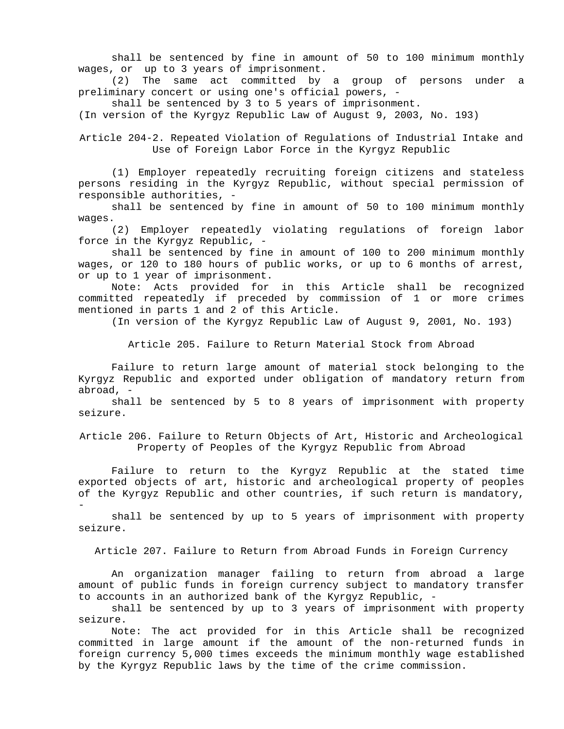shall be sentenced by fine in amount of 50 to 100 minimum monthly wages, or up to 3 years of imprisonment.

(2) The same act committed by a group of persons under a preliminary concert or using one's official powers, -

shall be sentenced by 3 to 5 years of imprisonment.

(In version of the Kyrgyz Republic Law of August 9, 2003, No. 193)

Article 204-2. Repeated Violation of Regulations of Industrial Intake and Use of Foreign Labor Force in the Kyrgyz Republic

(1) Employer repeatedly recruiting foreign citizens and stateless persons residing in the Kyrgyz Republic, without special permission of responsible authorities, -

shall be sentenced by fine in amount of 50 to 100 minimum monthly wages.

(2) Employer repeatedly violating regulations of foreign labor force in the Kyrgyz Republic, -

shall be sentenced by fine in amount of 100 to 200 minimum monthly wages, or 120 to 180 hours of public works, or up to 6 months of arrest, or up to 1 year of imprisonment.

Note: Acts provided for in this Article shall be recognized committed repeatedly if preceded by commission of 1 or more crimes mentioned in parts 1 and 2 of this Article.

(In version of the Kyrgyz Republic Law of August 9, 2001, No. 193)

Article 205. Failure to Return Material Stock from Abroad

Failure to return large amount of material stock belonging to the Kyrgyz Republic and exported under obligation of mandatory return from abroad, -

shall be sentenced by 5 to 8 years of imprisonment with property seizure.

Article 206. Failure to Return Objects of Art, Historic and Archeological Property of Peoples of the Kyrgyz Republic from Abroad

Failure to return to the Kyrgyz Republic at the stated time exported objects of art, historic and archeological property of peoples of the Kyrgyz Republic and other countries, if such return is mandatory, -

shall be sentenced by up to 5 years of imprisonment with property seizure.

Article 207. Failure to Return from Abroad Funds in Foreign Currency

An organization manager failing to return from abroad a large amount of public funds in foreign currency subject to mandatory transfer to accounts in an authorized bank of the Kyrgyz Republic, -

shall be sentenced by up to 3 years of imprisonment with property seizure.

Note: The act provided for in this Article shall be recognized committed in large amount if the amount of the non-returned funds in foreign currency 5,000 times exceeds the minimum monthly wage established by the Kyrgyz Republic laws by the time of the crime commission.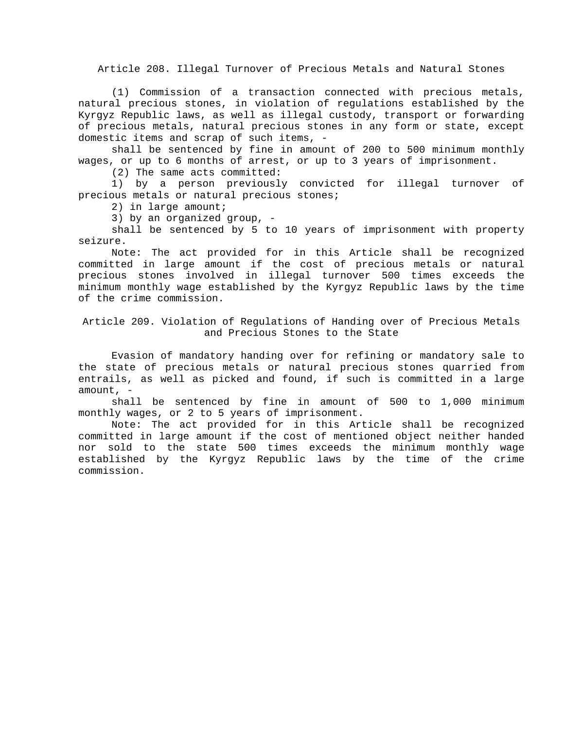Article 208. Illegal Turnover of Precious Metals and Natural Stones

(1) Commission of a transaction connected with precious metals, natural precious stones, in violation of regulations established by the Kyrgyz Republic laws, as well as illegal custody, transport or forwarding of precious metals, natural precious stones in any form or state, except domestic items and scrap of such items, -

shall be sentenced by fine in amount of 200 to 500 minimum monthly wages, or up to 6 months of arrest, or up to 3 years of imprisonment.

(2) The same acts committed:

1) by a person previously convicted for illegal turnover of precious metals or natural precious stones;

2) in large amount;

3) by an organized group, -

shall be sentenced by 5 to 10 years of imprisonment with property seizure.

Note: The act provided for in this Article shall be recognized committed in large amount if the cost of precious metals or natural precious stones involved in illegal turnover 500 times exceeds the minimum monthly wage established by the Kyrgyz Republic laws by the time of the crime commission.

Article 209. Violation of Regulations of Handing over of Precious Metals and Precious Stones to the State

Evasion of mandatory handing over for refining or mandatory sale to the state of precious metals or natural precious stones quarried from entrails, as well as picked and found, if such is committed in a large amount, -

shall be sentenced by fine in amount of 500 to 1,000 minimum monthly wages, or 2 to 5 years of imprisonment.

Note: The act provided for in this Article shall be recognized committed in large amount if the cost of mentioned object neither handed nor sold to the state 500 times exceeds the minimum monthly wage established by the Kyrgyz Republic laws by the time of the crime commission.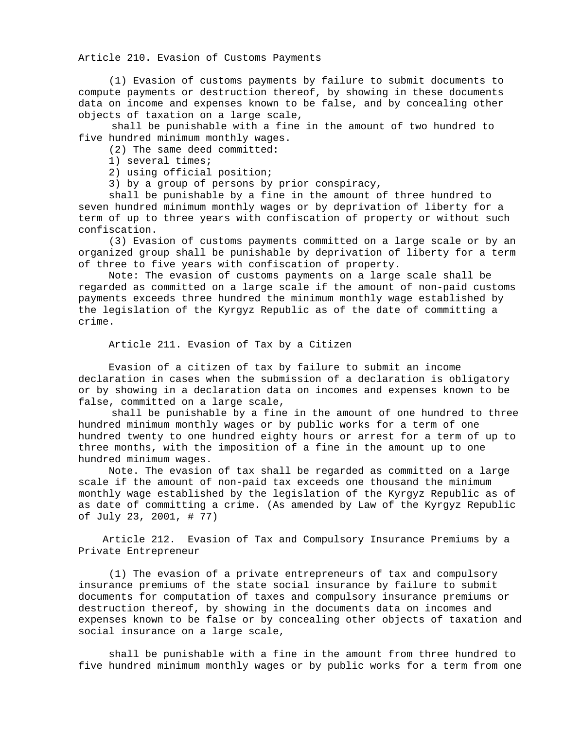Article 210. Evasion of Customs Payments

(1) Evasion of customs payments by failure to submit documents to compute payments or destruction thereof, by showing in these documents data on income and expenses known to be false, and by concealing other objects of taxation on a large scale,

shall be punishable with a fine in the amount of two hundred to five hundred minimum monthly wages.

(2) The same deed committed:

1) several times;

2) using official position;

3) by a group of persons by prior conspiracy,

shall be punishable by a fine in the amount of three hundred to seven hundred minimum monthly wages or by deprivation of liberty for a term of up to three years with confiscation of property or without such confiscation.

(3) Evasion of customs payments committed on a large scale or by an organized group shall be punishable by deprivation of liberty for a term of three to five years with confiscation of property.

Note: The evasion of customs payments on a large scale shall be regarded as committed on a large scale if the amount of non-paid customs payments exceeds three hundred the minimum monthly wage established by the legislation of the Kyrgyz Republic as of the date of committing a crime.

Article 211. Evasion of Tax by a Citizen

Evasion of a citizen of tax by failure to submit an income declaration in cases when the submission of a declaration is obligatory or by showing in a declaration data on incomes and expenses known to be false, committed on a large scale,

shall be punishable by a fine in the amount of one hundred to three hundred minimum monthly wages or by public works for a term of one hundred twenty to one hundred eighty hours or arrest for a term of up to three months, with the imposition of a fine in the amount up to one hundred minimum wages.

Note. The evasion of tax shall be regarded as committed on a large scale if the amount of non-paid tax exceeds one thousand the minimum monthly wage established by the legislation of the Kyrgyz Republic as of as date of committing a crime. (As amended by Law of the Kyrgyz Republic of July 23, 2001, # 77)

Article 212. Evasion of Tax and Compulsory Insurance Premiums by a Private Entrepreneur

(1) The evasion of a private entrepreneurs of tax and compulsory insurance premiums of the state social insurance by failure to submit documents for computation of taxes and compulsory insurance premiums or destruction thereof, by showing in the documents data on incomes and expenses known to be false or by concealing other objects of taxation and social insurance on a large scale,

shall be punishable with a fine in the amount from three hundred to five hundred minimum monthly wages or by public works for a term from one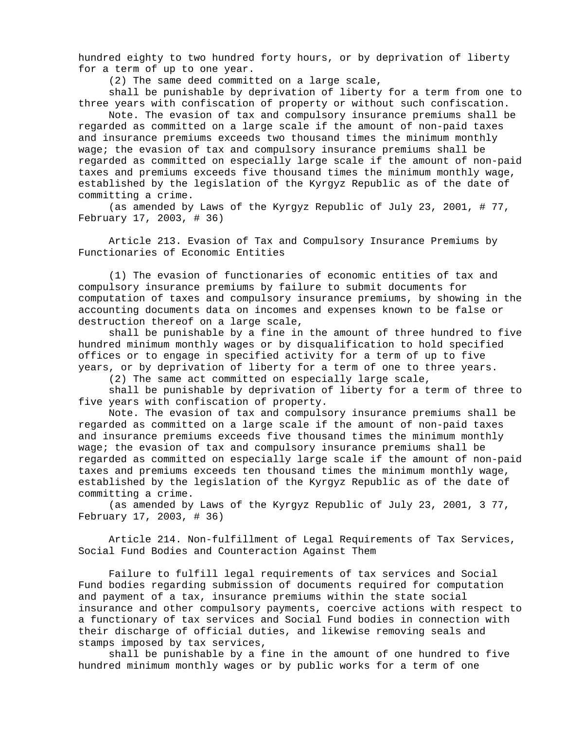hundred eighty to two hundred forty hours, or by deprivation of liberty for a term of up to one year.

(2) The same deed committed on a large scale,

shall be punishable by deprivation of liberty for a term from one to three years with confiscation of property or without such confiscation.

Note. The evasion of tax and compulsory insurance premiums shall be regarded as committed on a large scale if the amount of non-paid taxes and insurance premiums exceeds two thousand times the minimum monthly wage; the evasion of tax and compulsory insurance premiums shall be regarded as committed on especially large scale if the amount of non-paid taxes and premiums exceeds five thousand times the minimum monthly wage, established by the legislation of the Kyrgyz Republic as of the date of committing a crime.

(as amended by Laws of the Kyrgyz Republic of July 23, 2001, # 77, February 17, 2003, # 36)

Article 213. Evasion of Tax and Compulsory Insurance Premiums by Functionaries of Economic Entities

(1) The evasion of functionaries of economic entities of tax and compulsory insurance premiums by failure to submit documents for computation of taxes and compulsory insurance premiums, by showing in the accounting documents data on incomes and expenses known to be false or destruction thereof on a large scale,

shall be punishable by a fine in the amount of three hundred to five hundred minimum monthly wages or by disqualification to hold specified offices or to engage in specified activity for a term of up to five years, or by deprivation of liberty for a term of one to three years.

(2) The same act committed on especially large scale,

shall be punishable by deprivation of liberty for a term of three to five years with confiscation of property.

Note. The evasion of tax and compulsory insurance premiums shall be regarded as committed on a large scale if the amount of non-paid taxes and insurance premiums exceeds five thousand times the minimum monthly wage; the evasion of tax and compulsory insurance premiums shall be regarded as committed on especially large scale if the amount of non-paid taxes and premiums exceeds ten thousand times the minimum monthly wage, established by the legislation of the Kyrgyz Republic as of the date of committing a crime.

(as amended by Laws of the Kyrgyz Republic of July 23, 2001, 3 77, February 17, 2003, # 36)

Article 214. Non-fulfillment of Legal Requirements of Tax Services, Social Fund Bodies and Counteraction Against Them

Failure to fulfill legal requirements of tax services and Social Fund bodies regarding submission of documents required for computation and payment of a tax, insurance premiums within the state social insurance and other compulsory payments, coercive actions with respect to a functionary of tax services and Social Fund bodies in connection with their discharge of official duties, and likewise removing seals and stamps imposed by tax services,

shall be punishable by a fine in the amount of one hundred to five hundred minimum monthly wages or by public works for a term of one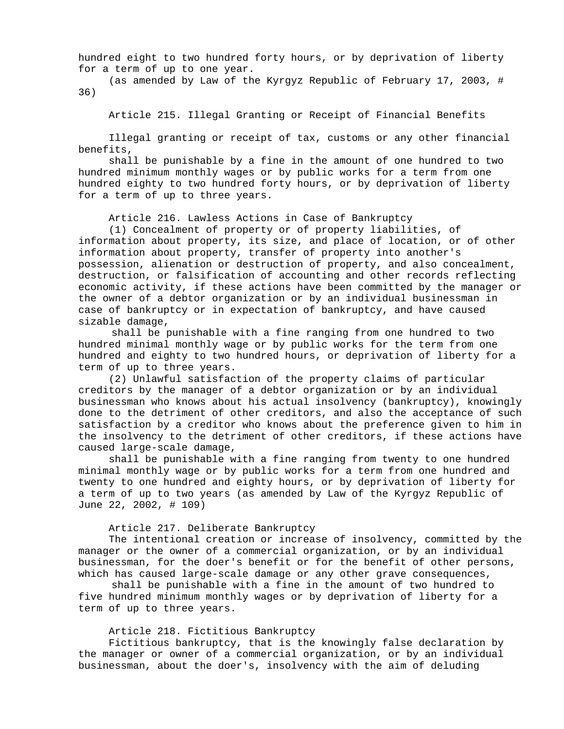hundred eight to two hundred forty hours, or by deprivation of liberty for a term of up to one year.

(as amended by Law of the Kyrgyz Republic of February 17, 2003, # 36)

Article 215. Illegal Granting or Receipt of Financial Benefits

Illegal granting or receipt of tax, customs or any other financial benefits,

shall be punishable by a fine in the amount of one hundred to two hundred minimum monthly wages or by public works for a term from one hundred eighty to two hundred forty hours, or by deprivation of liberty for a term of up to three years.

Article 216. Lawless Actions in Case of Bankruptcy

(1) Concealment of property or of property liabilities, of information about property, its size, and place of location, or of other information about property, transfer of property into another's possession, alienation or destruction of property, and also concealment, destruction, or falsification of accounting and other records reflecting economic activity, if these actions have been committed by the manager or the owner of a debtor organization or by an individual businessman in case of bankruptcy or in expectation of bankruptcy, and have caused sizable damage,

shall be punishable with a fine ranging from one hundred to two hundred minimal monthly wage or by public works for the term from one hundred and eighty to two hundred hours, or deprivation of liberty for a term of up to three years.

(2) Unlawful satisfaction of the property claims of particular creditors by the manager of a debtor organization or by an individual businessman who knows about his actual insolvency (bankruptcy), knowingly done to the detriment of other creditors, and also the acceptance of such satisfaction by a creditor who knows about the preference given to him in the insolvency to the detriment of other creditors, if these actions have caused large-scale damage,

shall be punishable with a fine ranging from twenty to one hundred minimal monthly wage or by public works for a term from one hundred and twenty to one hundred and eighty hours, or by deprivation of liberty for a term of up to two years (as amended by Law of the Kyrgyz Republic of June 22, 2002, # 109)

### Article 217. Deliberate Bankruptcy

The intentional creation or increase of insolvency, committed by the manager or the owner of a commercial organization, or by an individual businessman, for the doer's benefit or for the benefit of other persons, which has caused large-scale damage or any other grave consequences,

shall be punishable with a fine in the amount of two hundred to five hundred minimum monthly wages or by deprivation of liberty for a term of up to three years.

Article 218. Fictitious Bankruptcy

Fictitious bankruptcy, that is the knowingly false declaration by the manager or owner of a commercial organization, or by an individual businessman, about the doer's, insolvency with the aim of deluding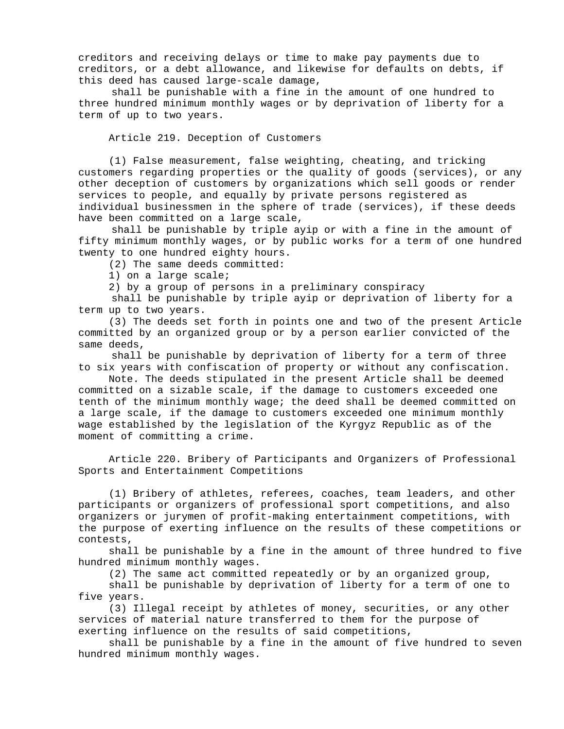creditors and receiving delays or time to make pay payments due to creditors, or a debt allowance, and likewise for defaults on debts, if this deed has caused large-scale damage,

shall be punishable with a fine in the amount of one hundred to three hundred minimum monthly wages or by deprivation of liberty for a term of up to two years.

Article 219. Deception of Customers

(1) False measurement, false weighting, cheating, and tricking customers regarding properties or the quality of goods (services), or any other deception of customers by organizations which sell goods or render services to people, and equally by private persons registered as individual businessmen in the sphere of trade (services), if these deeds have been committed on a large scale,

shall be punishable by triple ayip or with a fine in the amount of fifty minimum monthly wages, or by public works for a term of one hundred twenty to one hundred eighty hours.

(2) The same deeds committed:

1) on a large scale;

2) by a group of persons in a preliminary conspiracy

shall be punishable by triple ayip or deprivation of liberty for a term up to two years.

(3) The deeds set forth in points one and two of the present Article committed by an organized group or by a person earlier convicted of the same deeds,

shall be punishable by deprivation of liberty for a term of three to six years with confiscation of property or without any confiscation.

Note. The deeds stipulated in the present Article shall be deemed committed on a sizable scale, if the damage to customers exceeded one tenth of the minimum monthly wage; the deed shall be deemed committed on a large scale, if the damage to customers exceeded one minimum monthly wage established by the legislation of the Kyrgyz Republic as of the moment of committing a crime.

Article 220. Bribery of Participants and Organizers of Professional Sports and Entertainment Competitions

(1) Bribery of athletes, referees, coaches, team leaders, and other participants or organizers of professional sport competitions, and also organizers or jurymen of profit-making entertainment competitions, with the purpose of exerting influence on the results of these competitions or contests,

shall be punishable by a fine in the amount of three hundred to five hundred minimum monthly wages.

(2) The same act committed repeatedly or by an organized group,

shall be punishable by deprivation of liberty for a term of one to five years.

(3) Illegal receipt by athletes of money, securities, or any other services of material nature transferred to them for the purpose of exerting influence on the results of said competitions,

shall be punishable by a fine in the amount of five hundred to seven hundred minimum monthly wages.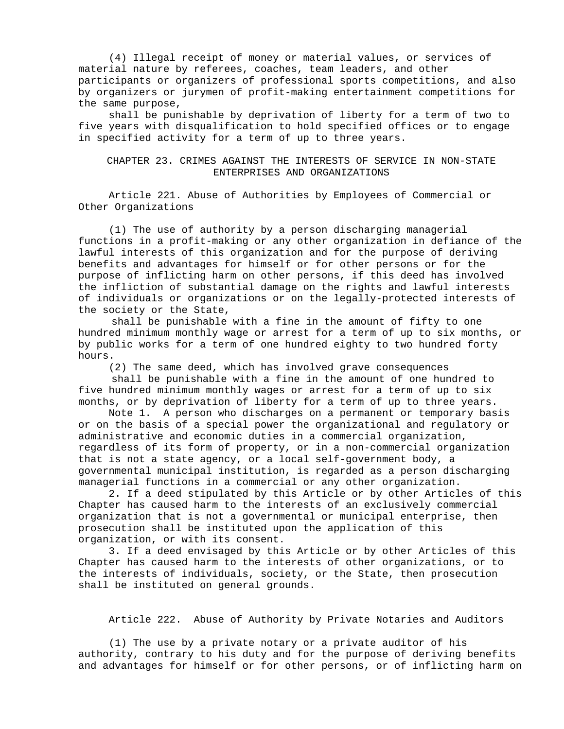(4) Illegal receipt of money or material values, or services of material nature by referees, coaches, team leaders, and other participants or organizers of professional sports competitions, and also by organizers or jurymen of profit-making entertainment competitions for the same purpose,

shall be punishable by deprivation of liberty for a term of two to five years with disqualification to hold specified offices or to engage in specified activity for a term of up to three years.

CHAPTER 23. CRIMES AGAINST THE INTERESTS OF SERVICE IN NON-STATE ENTERPRISES AND ORGANIZATIONS

Article 221. Abuse of Authorities by Employees of Commercial or Other Organizations

(1) The use of authority by a person discharging managerial functions in a profit-making or any other organization in defiance of the lawful interests of this organization and for the purpose of deriving benefits and advantages for himself or for other persons or for the purpose of inflicting harm on other persons, if this deed has involved the infliction of substantial damage on the rights and lawful interests of individuals or organizations or on the legally-protected interests of the society or the State,

shall be punishable with a fine in the amount of fifty to one hundred minimum monthly wage or arrest for a term of up to six months, or by public works for a term of one hundred eighty to two hundred forty hours.

(2) The same deed, which has involved grave consequences

shall be punishable with a fine in the amount of one hundred to five hundred minimum monthly wages or arrest for a term of up to six months, or by deprivation of liberty for a term of up to three years.

Note 1. A person who discharges on a permanent or temporary basis or on the basis of a special power the organizational and regulatory or administrative and economic duties in a commercial organization, regardless of its form of property, or in a non-commercial organization that is not a state agency, or a local self-government body, a governmental municipal institution, is regarded as a person discharging managerial functions in a commercial or any other organization.

2. If a deed stipulated by this Article or by other Articles of this Chapter has caused harm to the interests of an exclusively commercial organization that is not a governmental or municipal enterprise, then prosecution shall be instituted upon the application of this organization, or with its consent.

3. If a deed envisaged by this Article or by other Articles of this Chapter has caused harm to the interests of other organizations, or to the interests of individuals, society, or the State, then prosecution shall be instituted on general grounds.

Article 222. Abuse of Authority by Private Notaries and Auditors

(1) The use by a private notary or a private auditor of his authority, contrary to his duty and for the purpose of deriving benefits and advantages for himself or for other persons, or of inflicting harm on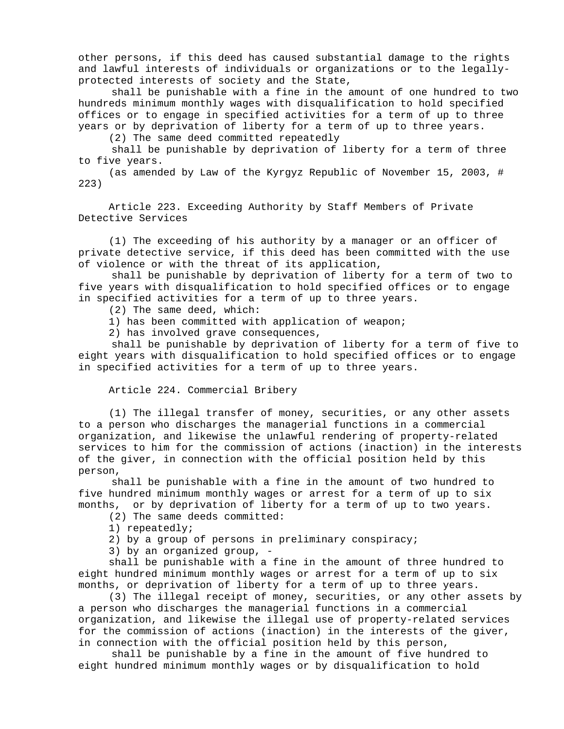other persons, if this deed has caused substantial damage to the rights and lawful interests of individuals or organizations or to the legallyprotected interests of society and the State,

shall be punishable with a fine in the amount of one hundred to two hundreds minimum monthly wages with disqualification to hold specified offices or to engage in specified activities for a term of up to three years or by deprivation of liberty for a term of up to three years.

(2) The same deed committed repeatedly

shall be punishable by deprivation of liberty for a term of three to five years.

(as amended by Law of the Kyrgyz Republic of November 15, 2003, # 223)

Article 223. Exceeding Authority by Staff Members of Private Detective Services

(1) The exceeding of his authority by a manager or an officer of private detective service, if this deed has been committed with the use of violence or with the threat of its application,

shall be punishable by deprivation of liberty for a term of two to five years with disqualification to hold specified offices or to engage in specified activities for a term of up to three years.

(2) The same deed, which:

1) has been committed with application of weapon;

2) has involved grave consequences,

shall be punishable by deprivation of liberty for a term of five to eight years with disqualification to hold specified offices or to engage in specified activities for a term of up to three years.

Article 224. Commercial Bribery

(1) The illegal transfer of money, securities, or any other assets to a person who discharges the managerial functions in a commercial organization, and likewise the unlawful rendering of property-related services to him for the commission of actions (inaction) in the interests of the giver, in connection with the official position held by this person,

shall be punishable with a fine in the amount of two hundred to five hundred minimum monthly wages or arrest for a term of up to six months, or by deprivation of liberty for a term of up to two years.

- (2) The same deeds committed:
- 1) repeatedly;
- 2) by a group of persons in preliminary conspiracy;
- 3) by an organized group, -

shall be punishable with a fine in the amount of three hundred to eight hundred minimum monthly wages or arrest for a term of up to six months, or deprivation of liberty for a term of up to three years.

(3) The illegal receipt of money, securities, or any other assets by a person who discharges the managerial functions in a commercial organization, and likewise the illegal use of property-related services for the commission of actions (inaction) in the interests of the giver, in connection with the official position held by this person,

shall be punishable by a fine in the amount of five hundred to eight hundred minimum monthly wages or by disqualification to hold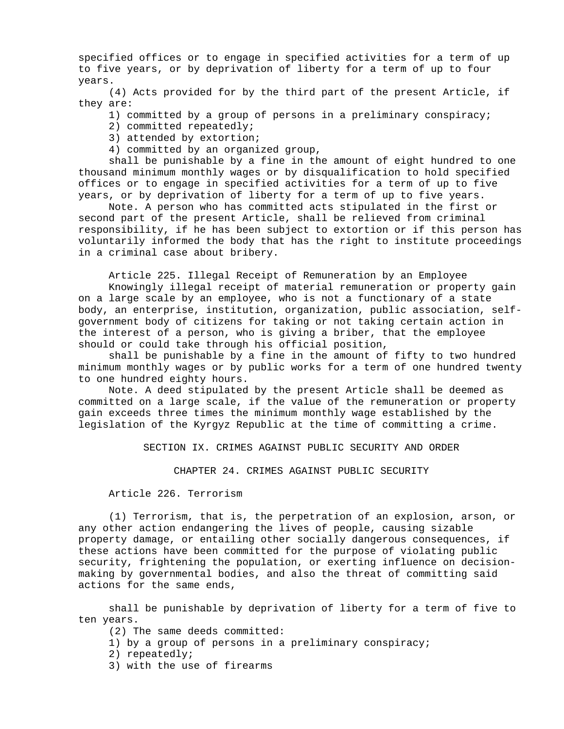specified offices or to engage in specified activities for a term of up to five years, or by deprivation of liberty for a term of up to four years.

(4) Acts provided for by the third part of the present Article, if they are:

1) committed by a group of persons in a preliminary conspiracy;

2) committed repeatedly;

3) attended by extortion;

4) committed by an organized group,

shall be punishable by a fine in the amount of eight hundred to one thousand minimum monthly wages or by disqualification to hold specified offices or to engage in specified activities for a term of up to five years, or by deprivation of liberty for a term of up to five years.

Note. A person who has committed acts stipulated in the first or second part of the present Article, shall be relieved from criminal responsibility, if he has been subject to extortion or if this person has voluntarily informed the body that has the right to institute proceedings in a criminal case about bribery.

Article 225. Illegal Receipt of Remuneration by an Employee

Knowingly illegal receipt of material remuneration or property gain on a large scale by an employee, who is not a functionary of a state body, an enterprise, institution, organization, public association, selfgovernment body of citizens for taking or not taking certain action in the interest of a person, who is giving a briber, that the employee should or could take through his official position,

shall be punishable by a fine in the amount of fifty to two hundred minimum monthly wages or by public works for a term of one hundred twenty to one hundred eighty hours.

Note. A deed stipulated by the present Article shall be deemed as committed on a large scale, if the value of the remuneration or property gain exceeds three times the minimum monthly wage established by the legislation of the Kyrgyz Republic at the time of committing a crime.

SECTION IX. CRIMES AGAINST PUBLIC SECURITY AND ORDER

CHAPTER 24. CRIMES AGAINST PUBLIC SECURITY

Article 226. Terrorism

(1) Terrorism, that is, the perpetration of an explosion, arson, or any other action endangering the lives of people, causing sizable property damage, or entailing other socially dangerous consequences, if these actions have been committed for the purpose of violating public security, frightening the population, or exerting influence on decisionmaking by governmental bodies, and also the threat of committing said actions for the same ends,

shall be punishable by deprivation of liberty for a term of five to ten years.

(2) The same deeds committed:

- 1) by a group of persons in a preliminary conspiracy;
- 2) repeatedly;
- 3) with the use of firearms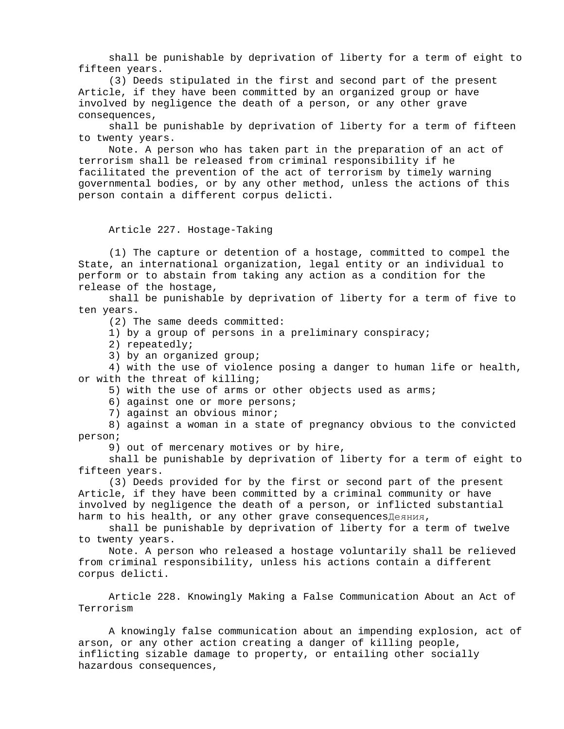shall be punishable by deprivation of liberty for a term of eight to fifteen years.

(3) Deeds stipulated in the first and second part of the present Article, if they have been committed by an organized group or have involved by negligence the death of a person, or any other grave consequences,

shall be punishable by deprivation of liberty for a term of fifteen to twenty years.

Note. A person who has taken part in the preparation of an act of terrorism shall be released from criminal responsibility if he facilitated the prevention of the act of terrorism by timely warning governmental bodies, or by any other method, unless the actions of this person contain a different corpus delicti.

Article 227. Hostage-Taking

(1) The capture or detention of a hostage, committed to compel the State, an international organization, legal entity or an individual to perform or to abstain from taking any action as a condition for the release of the hostage,

shall be punishable by deprivation of liberty for a term of five to ten years.

(2) The same deeds committed:

1) by a group of persons in a preliminary conspiracy;

2) repeatedly;

3) by an organized group;

4) with the use of violence posing a danger to human life or health, or with the threat of killing;

5) with the use of arms or other objects used as arms;

6) against one or more persons;

7) against an obvious minor;

8) against a woman in a state of pregnancy obvious to the convicted person;

9) out of mercenary motives or by hire,

shall be punishable by deprivation of liberty for a term of eight to fifteen years.

(3) Deeds provided for by the first or second part of the present Article, if they have been committed by a criminal community or have involved by negligence the death of a person, or inflicted substantial harm to his health, or any other grave consequencesДеяния,

shall be punishable by deprivation of liberty for a term of twelve to twenty years.

Note. A person who released a hostage voluntarily shall be relieved from criminal responsibility, unless his actions contain a different corpus delicti.

Article 228. Knowingly Making a False Communication About an Act of Terrorism

A knowingly false communication about an impending explosion, act of arson, or any other action creating a danger of killing people, inflicting sizable damage to property, or entailing other socially hazardous consequences,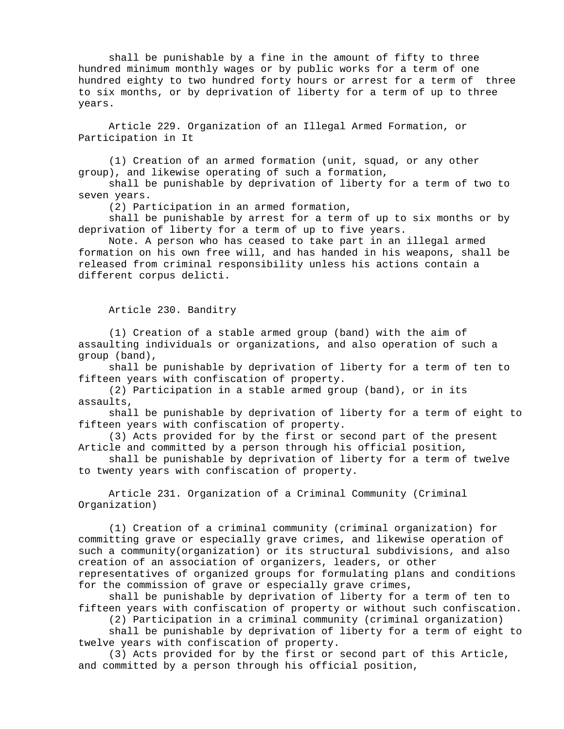shall be punishable by a fine in the amount of fifty to three hundred minimum monthly wages or by public works for a term of one hundred eighty to two hundred forty hours or arrest for a term of three to six months, or by deprivation of liberty for a term of up to three years.

Article 229. Organization of an Illegal Armed Formation, or Participation in It

(1) Creation of an armed formation (unit, squad, or any other group), and likewise operating of such a formation,

shall be punishable by deprivation of liberty for a term of two to seven years.

(2) Participation in an armed formation,

shall be punishable by arrest for a term of up to six months or by deprivation of liberty for a term of up to five years.

Note. A person who has ceased to take part in an illegal armed formation on his own free will, and has handed in his weapons, shall be released from criminal responsibility unless his actions contain a different corpus delicti.

Article 230. Banditry

(1) Creation of a stable armed group (band) with the aim of assaulting individuals or organizations, and also operation of such a group (band),

shall be punishable by deprivation of liberty for a term of ten to fifteen years with confiscation of property.

(2) Participation in a stable armed group (band), or in its assaults,

shall be punishable by deprivation of liberty for a term of eight to fifteen years with confiscation of property.

(3) Acts provided for by the first or second part of the present Article and committed by a person through his official position,

shall be punishable by deprivation of liberty for a term of twelve to twenty years with confiscation of property.

Article 231. Organization of a Criminal Community (Criminal Organization)

(1) Creation of a criminal community (criminal organization) for committing grave or especially grave crimes, and likewise operation of such a community(organization) or its structural subdivisions, and also creation of an association of organizers, leaders, or other representatives of organized groups for formulating plans and conditions for the commission of grave or especially grave crimes,

shall be punishable by deprivation of liberty for a term of ten to fifteen years with confiscation of property or without such confiscation.

(2) Participation in a criminal community (criminal organization) shall be punishable by deprivation of liberty for a term of eight to twelve years with confiscation of property.

(3) Acts provided for by the first or second part of this Article, and committed by a person through his official position,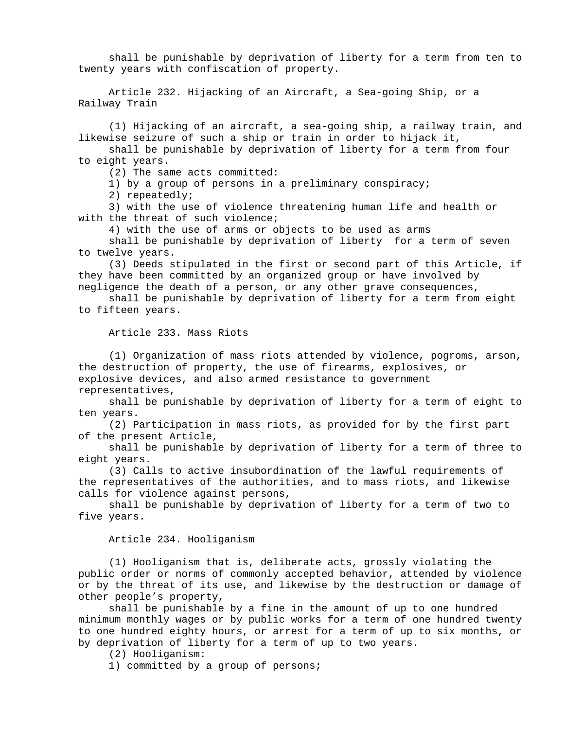shall be punishable by deprivation of liberty for a term from ten to twenty years with confiscation of property.

Article 232. Hijacking of an Aircraft, a Sea-going Ship, or a Railway Train

(1) Hijacking of an aircraft, a sea-going ship, a railway train, and likewise seizure of such a ship or train in order to hijack it,

shall be punishable by deprivation of liberty for a term from four to eight years.

(2) The same acts committed:

1) by a group of persons in a preliminary conspiracy;

2) repeatedly;

3) with the use of violence threatening human life and health or with the threat of such violence;

4) with the use of arms or objects to be used as arms

shall be punishable by deprivation of liberty for a term of seven to twelve years.

(3) Deeds stipulated in the first or second part of this Article, if they have been committed by an organized group or have involved by negligence the death of a person, or any other grave consequences,

shall be punishable by deprivation of liberty for a term from eight

to fifteen years.

Article 233. Mass Riots

(1) Organization of mass riots attended by violence, pogroms, arson, the destruction of property, the use of firearms, explosives, or explosive devices, and also armed resistance to government representatives,

shall be punishable by deprivation of liberty for a term of eight to ten years.

(2) Participation in mass riots, as provided for by the first part of the present Article,

shall be punishable by deprivation of liberty for a term of three to eight years.

(3) Calls to active insubordination of the lawful requirements of the representatives of the authorities, and to mass riots, and likewise calls for violence against persons,

shall be punishable by deprivation of liberty for a term of two to five years.

Article 234. Hooliganism

(1) Hooliganism that is, deliberate acts, grossly violating the public order or norms of commonly accepted behavior, attended by violence or by the threat of its use, and likewise by the destruction or damage of other people's property,

shall be punishable by a fine in the amount of up to one hundred minimum monthly wages or by public works for a term of one hundred twenty to one hundred eighty hours, or arrest for a term of up to six months, or by deprivation of liberty for a term of up to two years.

(2) Hooliganism:

1) committed by a group of persons;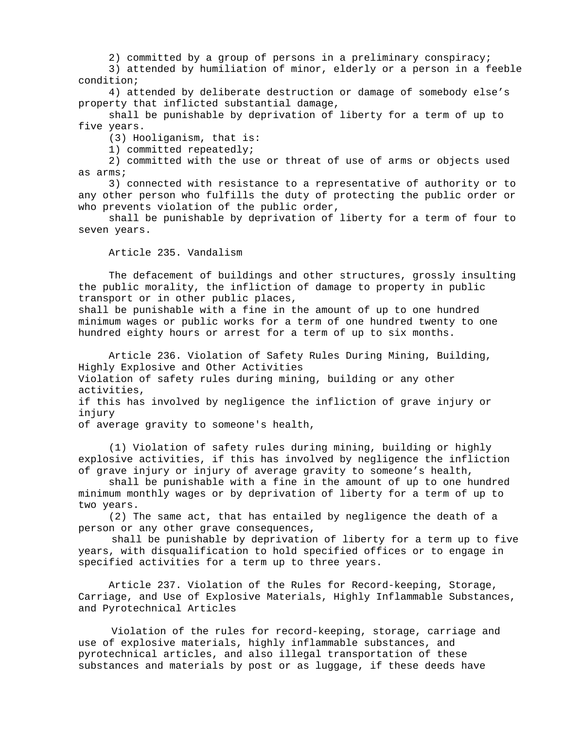2) committed by a group of persons in a preliminary conspiracy;

3) attended by humiliation of minor, elderly or a person in a feeble condition;

4) attended by deliberate destruction or damage of somebody else's property that inflicted substantial damage,

shall be punishable by deprivation of liberty for a term of up to five years.

(3) Hooliganism, that is:

1) committed repeatedly;

2) committed with the use or threat of use of arms or objects used as arms;

3) connected with resistance to a representative of authority or to any other person who fulfills the duty of protecting the public order or who prevents violation of the public order,

shall be punishable by deprivation of liberty for a term of four to seven years.

Article 235. Vandalism

The defacement of buildings and other structures, grossly insulting the public morality, the infliction of damage to property in public transport or in other public places,

shall be punishable with a fine in the amount of up to one hundred minimum wages or public works for a term of one hundred twenty to one hundred eighty hours or arrest for a term of up to six months.

Article 236. Violation of Safety Rules During Mining, Building, Highly Explosive and Other Activities Violation of safety rules during mining, building or any other activities, if this has involved by negligence the infliction of grave injury or injury

of average gravity to someone's health,

(1) Violation of safety rules during mining, building or highly explosive activities, if this has involved by negligence the infliction of grave injury or injury of average gravity to someone's health,

shall be punishable with a fine in the amount of up to one hundred minimum monthly wages or by deprivation of liberty for a term of up to two years.

(2) The same act, that has entailed by negligence the death of a person or any other grave consequences,

shall be punishable by deprivation of liberty for a term up to five years, with disqualification to hold specified offices or to engage in specified activities for a term up to three years.

Article 237. Violation of the Rules for Record-keeping, Storage, Carriage, and Use of Explosive Materials, Highly Inflammable Substances, and Pyrotechnical Articles

Violation of the rules for record-keeping, storage, carriage and use of explosive materials, highly inflammable substances, and pyrotechnical articles, and also illegal transportation of these substances and materials by post or as luggage, if these deeds have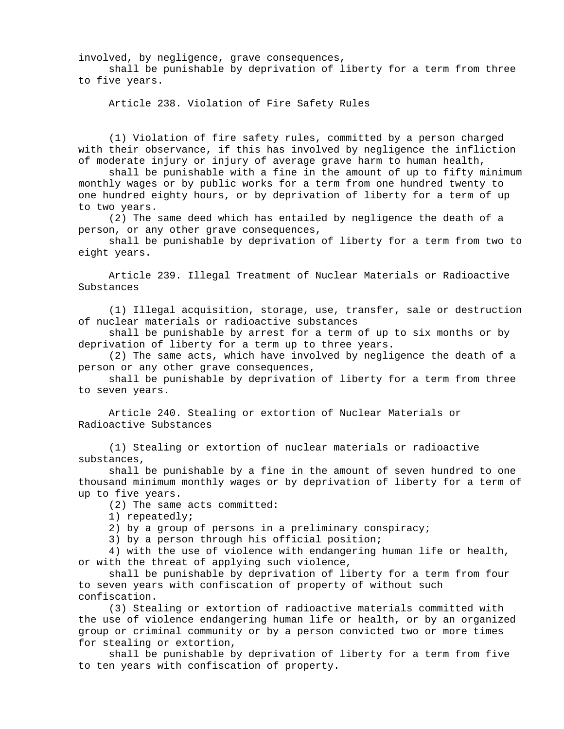involved, by negligence, grave consequences,

shall be punishable by deprivation of liberty for a term from three to five years.

Article 238. Violation of Fire Safety Rules

(1) Violation of fire safety rules, committed by a person charged with their observance, if this has involved by negligence the infliction of moderate injury or injury of average grave harm to human health,

shall be punishable with a fine in the amount of up to fifty minimum monthly wages or by public works for a term from one hundred twenty to one hundred eighty hours, or by deprivation of liberty for a term of up to two years.

(2) The same deed which has entailed by negligence the death of a person, or any other grave consequences,

shall be punishable by deprivation of liberty for a term from two to eight years.

Article 239. Illegal Treatment of Nuclear Materials or Radioactive Substances

(1) Illegal acquisition, storage, use, transfer, sale or destruction of nuclear materials or radioactive substances

shall be punishable by arrest for a term of up to six months or by deprivation of liberty for a term up to three years.

(2) The same acts, which have involved by negligence the death of a person or any other grave consequences,

shall be punishable by deprivation of liberty for a term from three to seven years.

Article 240. Stealing or extortion of Nuclear Materials or Radioactive Substances

(1) Stealing or extortion of nuclear materials or radioactive substances,

shall be punishable by a fine in the amount of seven hundred to one thousand minimum monthly wages or by deprivation of liberty for a term of up to five years.

(2) The same acts committed:

1) repeatedly;

2) by a group of persons in a preliminary conspiracy;

3) by a person through his official position;

4) with the use of violence with endangering human life or health, or with the threat of applying such violence,

shall be punishable by deprivation of liberty for a term from four to seven years with confiscation of property of without such confiscation.

(3) Stealing or extortion of radioactive materials committed with the use of violence endangering human life or health, or by an organized group or criminal community or by a person convicted two or more times for stealing or extortion,

shall be punishable by deprivation of liberty for a term from five to ten years with confiscation of property.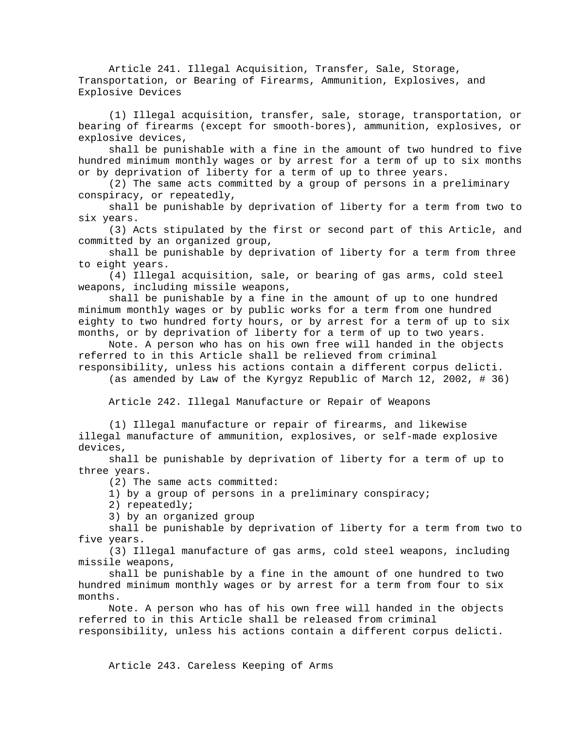Article 241. Illegal Acquisition, Transfer, Sale, Storage, Transportation, or Bearing of Firearms, Ammunition, Explosives, and Explosive Devices

(1) Illegal acquisition, transfer, sale, storage, transportation, or bearing of firearms (except for smooth-bores), ammunition, explosives, or explosive devices,

shall be punishable with a fine in the amount of two hundred to five hundred minimum monthly wages or by arrest for a term of up to six months or by deprivation of liberty for a term of up to three years.

(2) The same acts committed by a group of persons in a preliminary conspiracy, or repeatedly,

shall be punishable by deprivation of liberty for a term from two to six years.

(3) Acts stipulated by the first or second part of this Article, and committed by an organized group,

shall be punishable by deprivation of liberty for a term from three to eight years.

(4) Illegal acquisition, sale, or bearing of gas arms, cold steel weapons, including missile weapons,

shall be punishable by a fine in the amount of up to one hundred minimum monthly wages or by public works for a term from one hundred eighty to two hundred forty hours, or by arrest for a term of up to six months, or by deprivation of liberty for a term of up to two years.

Note. A person who has on his own free will handed in the objects referred to in this Article shall be relieved from criminal responsibility, unless his actions contain a different corpus delicti.

(as amended by Law of the Kyrgyz Republic of March 12, 2002, # 36)

Article 242. Illegal Manufacture or Repair of Weapons

(1) Illegal manufacture or repair of firearms, and likewise illegal manufacture of ammunition, explosives, or self-made explosive devices,

shall be punishable by deprivation of liberty for a term of up to three years.

(2) The same acts committed:

1) by a group of persons in a preliminary conspiracy;

2) repeatedly;

3) by an organized group

shall be punishable by deprivation of liberty for a term from two to five years.

(3) Illegal manufacture of gas arms, cold steel weapons, including missile weapons,

shall be punishable by a fine in the amount of one hundred to two hundred minimum monthly wages or by arrest for a term from four to six months.

Note. A person who has of his own free will handed in the objects referred to in this Article shall be released from criminal responsibility, unless his actions contain a different corpus delicti.

Article 243. Careless Keeping of Arms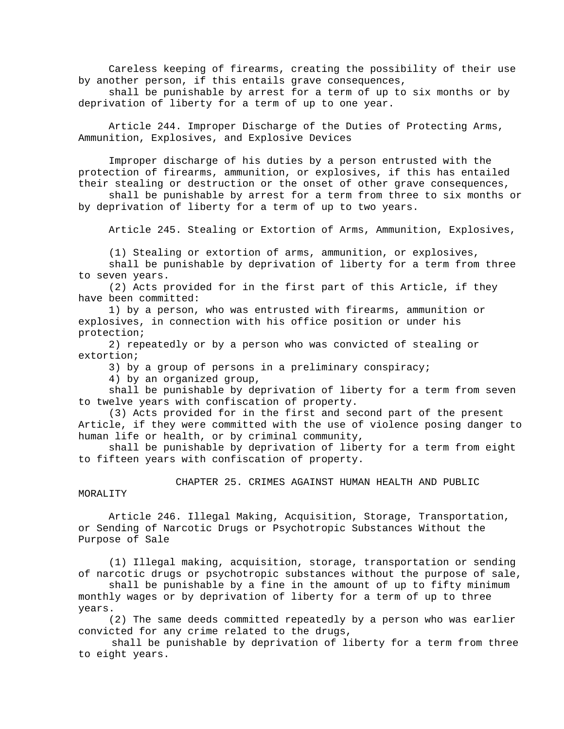Careless keeping of firearms, creating the possibility of their use by another person, if this entails grave consequences,

shall be punishable by arrest for a term of up to six months or by deprivation of liberty for a term of up to one year.

Article 244. Improper Discharge of the Duties of Protecting Arms, Ammunition, Explosives, and Explosive Devices

Improper discharge of his duties by a person entrusted with the protection of firearms, ammunition, or explosives, if this has entailed their stealing or destruction or the onset of other grave consequences,

shall be punishable by arrest for a term from three to six months or by deprivation of liberty for a term of up to two years.

Article 245. Stealing or Extortion of Arms, Ammunition, Explosives,

(1) Stealing or extortion of arms, ammunition, or explosives,

shall be punishable by deprivation of liberty for a term from three to seven years.

(2) Acts provided for in the first part of this Article, if they have been committed:

1) by a person, who was entrusted with firearms, ammunition or explosives, in connection with his office position or under his protection;

2) repeatedly or by a person who was convicted of stealing or extortion;

3) by a group of persons in a preliminary conspiracy;

4) by an organized group,

shall be punishable by deprivation of liberty for a term from seven to twelve years with confiscation of property.

(3) Acts provided for in the first and second part of the present Article, if they were committed with the use of violence posing danger to human life or health, or by criminal community,

shall be punishable by deprivation of liberty for a term from eight to fifteen years with confiscation of property.

CHAPTER 25. CRIMES AGAINST HUMAN HEALTH AND PUBLIC

MORALITY

Article 246. Illegal Making, Acquisition, Storage, Transportation, or Sending of Narcotic Drugs or Psychotropic Substances Without the Purpose of Sale

(1) Illegal making, acquisition, storage, transportation or sending of narcotic drugs or psychotropic substances without the purpose of sale,

shall be punishable by a fine in the amount of up to fifty minimum monthly wages or by deprivation of liberty for a term of up to three years.

(2) The same deeds committed repeatedly by a person who was earlier convicted for any crime related to the drugs,

shall be punishable by deprivation of liberty for a term from three to eight years.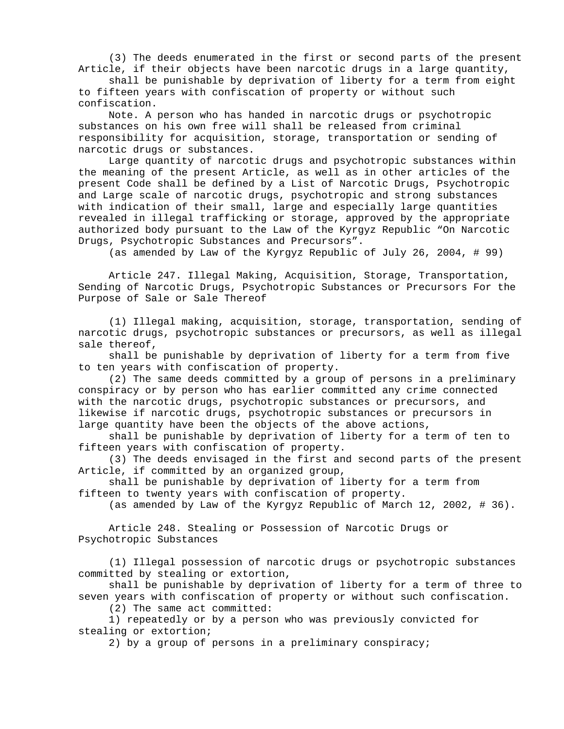(3) The deeds enumerated in the first or second parts of the present Article, if their objects have been narcotic drugs in a large quantity,

shall be punishable by deprivation of liberty for a term from eight to fifteen years with confiscation of property or without such confiscation.

Note. A person who has handed in narcotic drugs or psychotropic substances on his own free will shall be released from criminal responsibility for acquisition, storage, transportation or sending of narcotic drugs or substances.

Large quantity of narcotic drugs and psychotropic substances within the meaning of the present Article, as well as in other articles of the present Code shall be defined by a List of Narcotic Drugs, Psychotropic and Large scale of narcotic drugs, psychotropic and strong substances with indication of their small, large and especially large quantities revealed in illegal trafficking or storage, approved by the appropriate authorized body pursuant to the Law of the Kyrgyz Republic "On Narcotic Drugs, Psychotropic Substances and Precursors".

(as amended by Law of the Kyrgyz Republic of July 26, 2004, # 99)

Article 247. Illegal Making, Acquisition, Storage, Transportation, Sending of Narcotic Drugs, Psychotropic Substances or Precursors For the Purpose of Sale or Sale Thereof

(1) Illegal making, acquisition, storage, transportation, sending of narcotic drugs, psychotropic substances or precursors, as well as illegal sale thereof,

shall be punishable by deprivation of liberty for a term from five to ten years with confiscation of property.

(2) The same deeds committed by a group of persons in a preliminary conspiracy or by person who has earlier committed any crime connected with the narcotic drugs, psychotropic substances or precursors, and likewise if narcotic drugs, psychotropic substances or precursors in large quantity have been the objects of the above actions,

shall be punishable by deprivation of liberty for a term of ten to fifteen years with confiscation of property.

(3) The deeds envisaged in the first and second parts of the present Article, if committed by an organized group,

shall be punishable by deprivation of liberty for a term from fifteen to twenty years with confiscation of property.

(as amended by Law of the Kyrgyz Republic of March 12, 2002, # 36).

Article 248. Stealing or Possession of Narcotic Drugs or Psychotropic Substances

(1) Illegal possession of narcotic drugs or psychotropic substances committed by stealing or extortion,

shall be punishable by deprivation of liberty for a term of three to seven years with confiscation of property or without such confiscation.

(2) The same act committed:

1) repeatedly or by a person who was previously convicted for stealing or extortion;

2) by a group of persons in a preliminary conspiracy;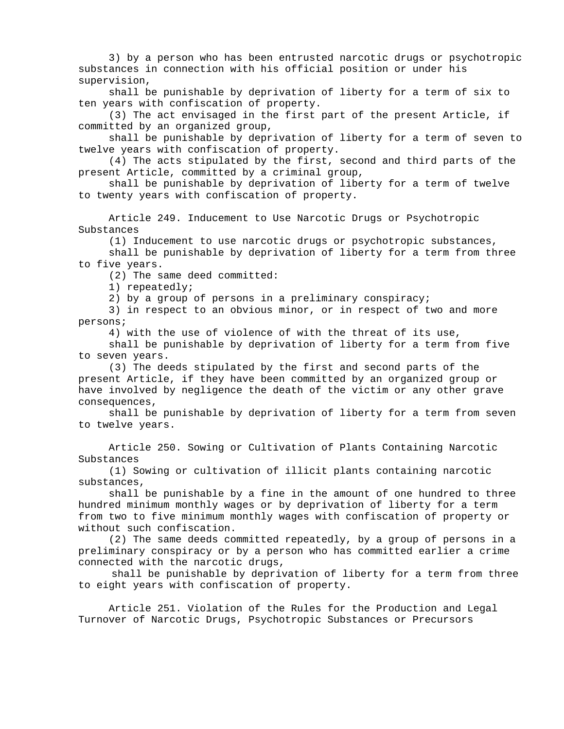3) by a person who has been entrusted narcotic drugs or psychotropic substances in connection with his official position or under his supervision,

shall be punishable by deprivation of liberty for a term of six to ten years with confiscation of property.

(3) The act envisaged in the first part of the present Article, if committed by an organized group,

shall be punishable by deprivation of liberty for a term of seven to twelve years with confiscation of property.

(4) The acts stipulated by the first, second and third parts of the present Article, committed by a criminal group,

shall be punishable by deprivation of liberty for a term of twelve to twenty years with confiscation of property.

Article 249. Inducement to Use Narcotic Drugs or Psychotropic Substances

(1) Inducement to use narcotic drugs or psychotropic substances,

shall be punishable by deprivation of liberty for a term from three to five years.

(2) The same deed committed:

1) repeatedly;

2) by a group of persons in a preliminary conspiracy;

3) in respect to an obvious minor, or in respect of two and more persons;

4) with the use of violence of with the threat of its use,

shall be punishable by deprivation of liberty for a term from five to seven years.

(3) The deeds stipulated by the first and second parts of the present Article, if they have been committed by an organized group or have involved by negligence the death of the victim or any other grave consequences,

shall be punishable by deprivation of liberty for a term from seven to twelve years.

Article 250. Sowing or Cultivation of Plants Containing Narcotic Substances

(1) Sowing or cultivation of illicit plants containing narcotic substances,

shall be punishable by a fine in the amount of one hundred to three hundred minimum monthly wages or by deprivation of liberty for a term from two to five minimum monthly wages with confiscation of property or without such confiscation.

(2) The same deeds committed repeatedly, by a group of persons in a preliminary conspiracy or by a person who has committed earlier a crime connected with the narcotic drugs,

shall be punishable by deprivation of liberty for a term from three to eight years with confiscation of property.

Article 251. Violation of the Rules for the Production and Legal Turnover of Narcotic Drugs, Psychotropic Substances or Precursors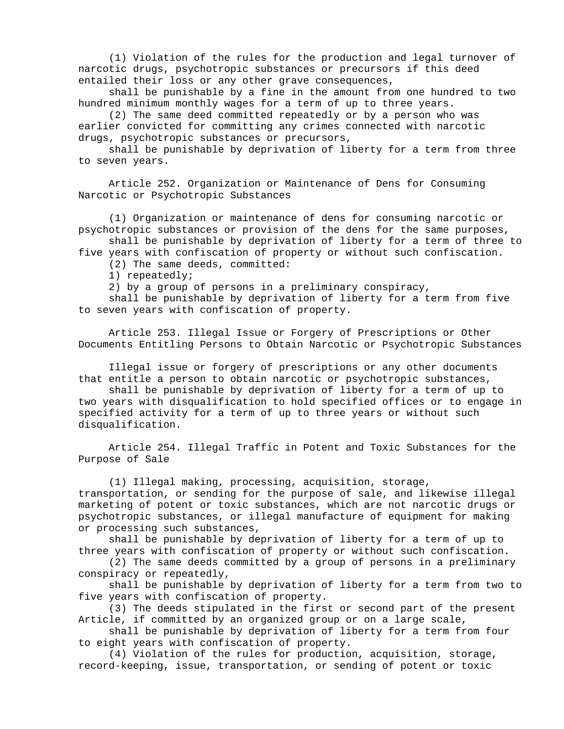(1) Violation of the rules for the production and legal turnover of narcotic drugs, psychotropic substances or precursors if this deed entailed their loss or any other grave consequences,

shall be punishable by a fine in the amount from one hundred to two hundred minimum monthly wages for a term of up to three years.

(2) The same deed committed repeatedly or by a person who was earlier convicted for committing any crimes connected with narcotic drugs, psychotropic substances or precursors,

shall be punishable by deprivation of liberty for a term from three to seven years.

Article 252. Organization or Maintenance of Dens for Consuming Narcotic or Psychotropic Substances

(1) Organization or maintenance of dens for consuming narcotic or psychotropic substances or provision of the dens for the same purposes,

shall be punishable by deprivation of liberty for a term of three to five years with confiscation of property or without such confiscation.

(2) The same deeds, committed:

1) repeatedly;

2) by a group of persons in a preliminary conspiracy,

shall be punishable by deprivation of liberty for a term from five to seven years with confiscation of property.

Article 253. Illegal Issue or Forgery of Prescriptions or Other Documents Entitling Persons to Obtain Narcotic or Psychotropic Substances

Illegal issue or forgery of prescriptions or any other documents that entitle a person to obtain narcotic or psychotropic substances,

shall be punishable by deprivation of liberty for a term of up to two years with disqualification to hold specified offices or to engage in specified activity for a term of up to three years or without such disqualification.

Article 254. Illegal Traffic in Potent and Toxic Substances for the Purpose of Sale

(1) Illegal making, processing, acquisition, storage, transportation, or sending for the purpose of sale, and likewise illegal marketing of potent or toxic substances, which are not narcotic drugs or psychotropic substances, or illegal manufacture of equipment for making or processing such substances,

shall be punishable by deprivation of liberty for a term of up to three years with confiscation of property or without such confiscation.

(2) The same deeds committed by a group of persons in a preliminary conspiracy or repeatedly,

shall be punishable by deprivation of liberty for a term from two to five years with confiscation of property.

(3) The deeds stipulated in the first or second part of the present Article, if committed by an organized group or on a large scale,

shall be punishable by deprivation of liberty for a term from four to eight years with confiscation of property.

(4) Violation of the rules for production, acquisition, storage, record-keeping, issue, transportation, or sending of potent or toxic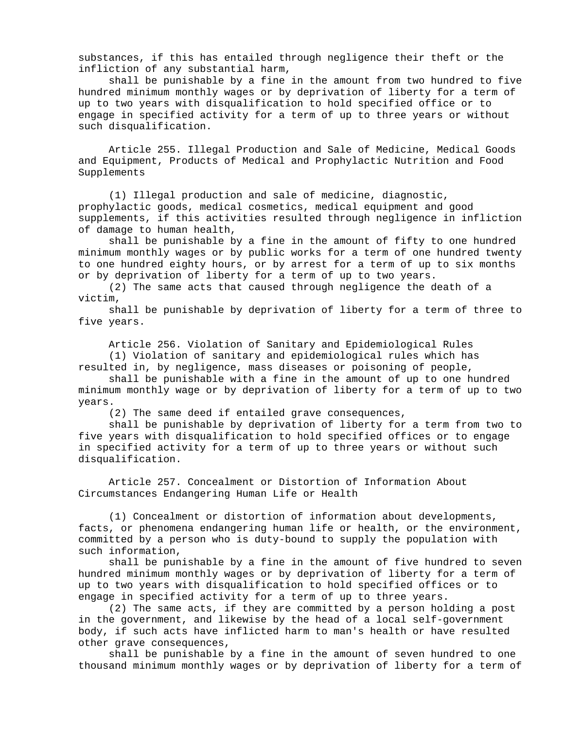substances, if this has entailed through negligence their theft or the infliction of any substantial harm,

shall be punishable by a fine in the amount from two hundred to five hundred minimum monthly wages or by deprivation of liberty for a term of up to two years with disqualification to hold specified office or to engage in specified activity for a term of up to three years or without such disqualification.

Article 255. Illegal Production and Sale of Medicine, Medical Goods and Equipment, Products of Medical and Prophylactic Nutrition and Food Supplements

(1) Illegal production and sale of medicine, diagnostic, prophylactic goods, medical cosmetics, medical equipment and good supplements, if this activities resulted through negligence in infliction of damage to human health,

shall be punishable by a fine in the amount of fifty to one hundred minimum monthly wages or by public works for a term of one hundred twenty to one hundred eighty hours, or by arrest for a term of up to six months or by deprivation of liberty for a term of up to two years.

(2) The same acts that caused through negligence the death of a victim,

shall be punishable by deprivation of liberty for a term of three to five years.

Article 256. Violation of Sanitary and Epidemiological Rules (1) Violation of sanitary and epidemiological rules which has

resulted in, by negligence, mass diseases or poisoning of people,

shall be punishable with a fine in the amount of up to one hundred minimum monthly wage or by deprivation of liberty for a term of up to two years.

(2) The same deed if entailed grave consequences,

shall be punishable by deprivation of liberty for a term from two to five years with disqualification to hold specified offices or to engage in specified activity for a term of up to three years or without such disqualification.

Article 257. Concealment or Distortion of Information About Circumstances Endangering Human Life or Health

(1) Concealment or distortion of information about developments, facts, or phenomena endangering human life or health, or the environment, committed by a person who is duty-bound to supply the population with such information,

shall be punishable by a fine in the amount of five hundred to seven hundred minimum monthly wages or by deprivation of liberty for a term of up to two years with disqualification to hold specified offices or to engage in specified activity for a term of up to three years.

(2) The same acts, if they are committed by a person holding a post in the government, and likewise by the head of a local self-government body, if such acts have inflicted harm to man's health or have resulted other grave consequences,

shall be punishable by a fine in the amount of seven hundred to one thousand minimum monthly wages or by deprivation of liberty for a term of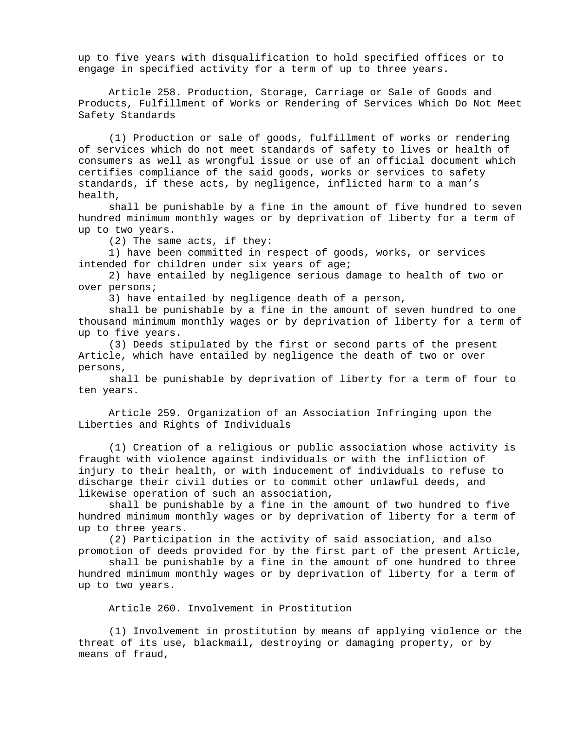up to five years with disqualification to hold specified offices or to engage in specified activity for a term of up to three years.

Article 258. Production, Storage, Carriage or Sale of Goods and Products, Fulfillment of Works or Rendering of Services Which Do Not Meet Safety Standards

(1) Production or sale of goods, fulfillment of works or rendering of services which do not meet standards of safety to lives or health of consumers as well as wrongful issue or use of an official document which certifies compliance of the said goods, works or services to safety standards, if these acts, by negligence, inflicted harm to a man's health,

shall be punishable by a fine in the amount of five hundred to seven hundred minimum monthly wages or by deprivation of liberty for a term of up to two years.

(2) The same acts, if they:

1) have been committed in respect of goods, works, or services intended for children under six years of age;

2) have entailed by negligence serious damage to health of two or over persons;

3) have entailed by negligence death of a person,

shall be punishable by a fine in the amount of seven hundred to one thousand minimum monthly wages or by deprivation of liberty for a term of up to five years.

(3) Deeds stipulated by the first or second parts of the present Article, which have entailed by negligence the death of two or over persons,

shall be punishable by deprivation of liberty for a term of four to ten years.

Article 259. Organization of an Association Infringing upon the Liberties and Rights of Individuals

(1) Creation of a religious or public association whose activity is fraught with violence against individuals or with the infliction of injury to their health, or with inducement of individuals to refuse to discharge their civil duties or to commit other unlawful deeds, and likewise operation of such an association,

shall be punishable by a fine in the amount of two hundred to five hundred minimum monthly wages or by deprivation of liberty for a term of up to three years.

(2) Participation in the activity of said association, and also promotion of deeds provided for by the first part of the present Article,

shall be punishable by a fine in the amount of one hundred to three hundred minimum monthly wages or by deprivation of liberty for a term of up to two years.

Article 260. Involvement in Prostitution

(1) Involvement in prostitution by means of applying violence or the threat of its use, blackmail, destroying or damaging property, or by means of fraud,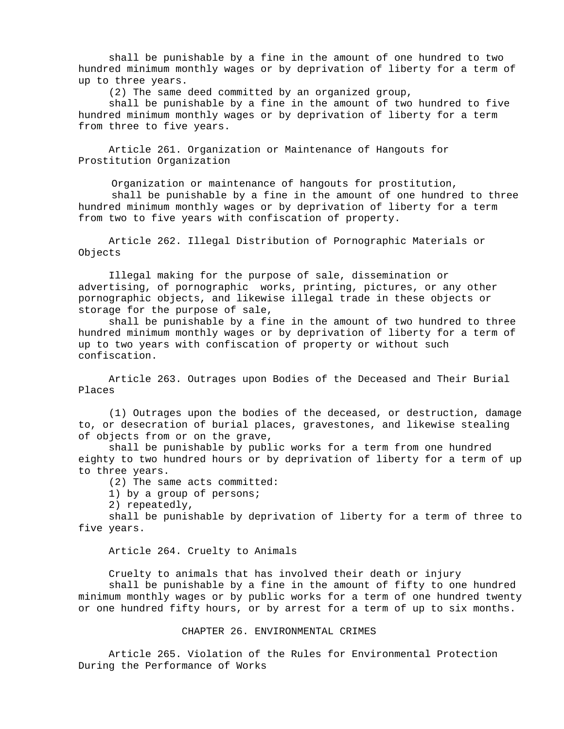shall be punishable by a fine in the amount of one hundred to two hundred minimum monthly wages or by deprivation of liberty for a term of up to three years.

(2) The same deed committed by an organized group,

shall be punishable by a fine in the amount of two hundred to five hundred minimum monthly wages or by deprivation of liberty for a term from three to five years.

Article 261. Organization or Maintenance of Hangouts for Prostitution Organization

Organization or maintenance of hangouts for prostitution,

shall be punishable by a fine in the amount of one hundred to three hundred minimum monthly wages or by deprivation of liberty for a term from two to five years with confiscation of property.

Article 262. Illegal Distribution of Pornographic Materials or Objects

Illegal making for the purpose of sale, dissemination or advertising, of pornographic works, printing, pictures, or any other pornographic objects, and likewise illegal trade in these objects or storage for the purpose of sale,

shall be punishable by a fine in the amount of two hundred to three hundred minimum monthly wages or by deprivation of liberty for a term of up to two years with confiscation of property or without such confiscation.

Article 263. Outrages upon Bodies of the Deceased and Their Burial Places

(1) Outrages upon the bodies of the deceased, or destruction, damage to, or desecration of burial places, gravestones, and likewise stealing of objects from or on the grave,

shall be punishable by public works for a term from one hundred eighty to two hundred hours or by deprivation of liberty for a term of up to three years.

(2) The same acts committed:

1) by a group of persons;

2) repeatedly,

shall be punishable by deprivation of liberty for a term of three to five years.

Article 264. Cruelty to Animals

Cruelty to animals that has involved their death or injury shall be punishable by a fine in the amount of fifty to one hundred minimum monthly wages or by public works for a term of one hundred twenty or one hundred fifty hours, or by arrest for a term of up to six months.

## CHAPTER 26. ENVIRONMENTAL CRIMES

Article 265. Violation of the Rules for Environmental Protection During the Performance of Works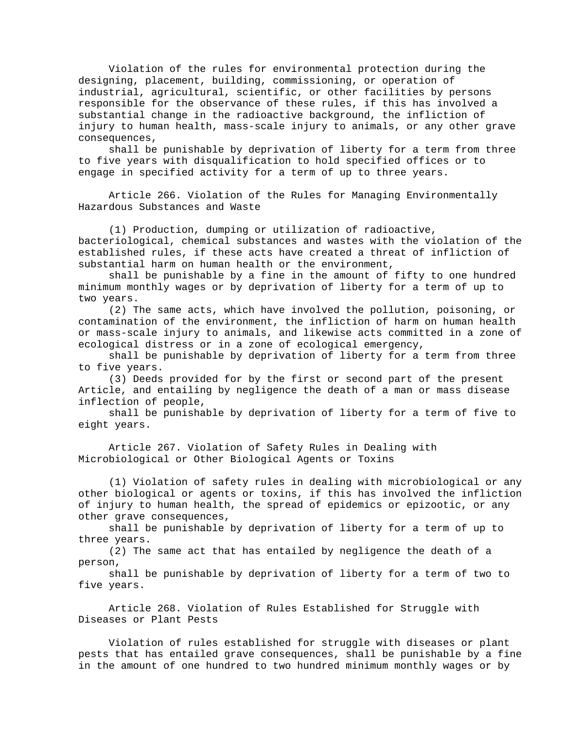Violation of the rules for environmental protection during the designing, placement, building, commissioning, or operation of industrial, agricultural, scientific, or other facilities by persons responsible for the observance of these rules, if this has involved a substantial change in the radioactive background, the infliction of injury to human health, mass-scale injury to animals, or any other grave consequences,

shall be punishable by deprivation of liberty for a term from three to five years with disqualification to hold specified offices or to engage in specified activity for a term of up to three years.

Article 266. Violation of the Rules for Managing Environmentally Hazardous Substances and Waste

(1) Production, dumping or utilization of radioactive, bacteriological, chemical substances and wastes with the violation of the established rules, if these acts have created a threat of infliction of substantial harm on human health or the environment,

shall be punishable by a fine in the amount of fifty to one hundred minimum monthly wages or by deprivation of liberty for a term of up to two years.

(2) The same acts, which have involved the pollution, poisoning, or contamination of the environment, the infliction of harm on human health or mass-scale injury to animals, and likewise acts committed in a zone of ecological distress or in a zone of ecological emergency,

shall be punishable by deprivation of liberty for a term from three to five years.

(3) Deeds provided for by the first or second part of the present Article, and entailing by negligence the death of a man or mass disease inflection of people,

shall be punishable by deprivation of liberty for a term of five to eight years.

Article 267. Violation of Safety Rules in Dealing with Microbiological or Other Biological Agents or Toxins

(1) Violation of safety rules in dealing with microbiological or any other biological or agents or toxins, if this has involved the infliction of injury to human health, the spread of epidemics or epizootic, or any other grave consequences,

shall be punishable by deprivation of liberty for a term of up to three years.

(2) The same act that has entailed by negligence the death of a person,

shall be punishable by deprivation of liberty for a term of two to five years.

Article 268. Violation of Rules Established for Struggle with Diseases or Plant Pests

Violation of rules established for struggle with diseases or plant pests that has entailed grave consequences, shall be punishable by a fine in the amount of one hundred to two hundred minimum monthly wages or by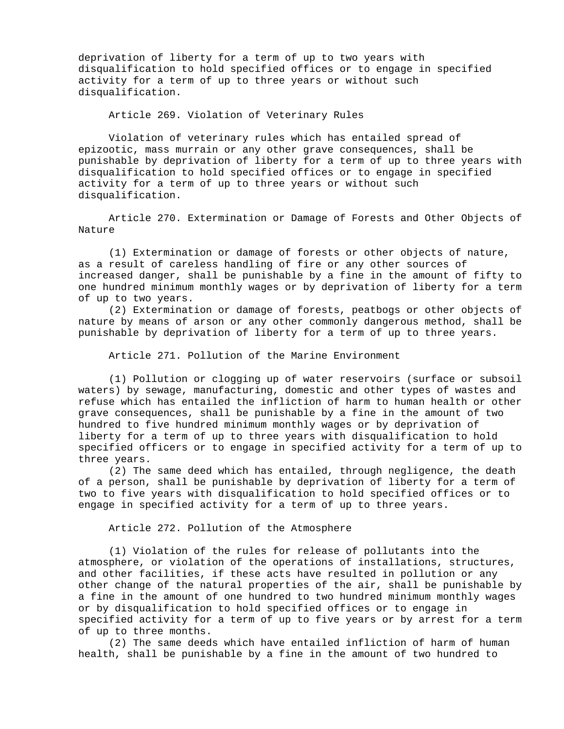deprivation of liberty for a term of up to two years with disqualification to hold specified offices or to engage in specified activity for a term of up to three years or without such disqualification.

Article 269. Violation of Veterinary Rules

Violation of veterinary rules which has entailed spread of epizootic, mass murrain or any other grave consequences, shall be punishable by deprivation of liberty for a term of up to three years with disqualification to hold specified offices or to engage in specified activity for a term of up to three years or without such disqualification.

Article 270. Extermination or Damage of Forests and Other Objects of Nature

(1) Extermination or damage of forests or other objects of nature, as a result of careless handling of fire or any other sources of increased danger, shall be punishable by a fine in the amount of fifty to one hundred minimum monthly wages or by deprivation of liberty for a term of up to two years.

(2) Extermination or damage of forests, peatbogs or other objects of nature by means of arson or any other commonly dangerous method, shall be punishable by deprivation of liberty for a term of up to three years.

Article 271. Pollution of the Marine Environment

(1) Pollution or clogging up of water reservoirs (surface or subsoil waters) by sewage, manufacturing, domestic and other types of wastes and refuse which has entailed the infliction of harm to human health or other grave consequences, shall be punishable by a fine in the amount of two hundred to five hundred minimum monthly wages or by deprivation of liberty for a term of up to three years with disqualification to hold specified officers or to engage in specified activity for a term of up to three years.

(2) The same deed which has entailed, through negligence, the death of a person, shall be punishable by deprivation of liberty for a term of two to five years with disqualification to hold specified offices or to engage in specified activity for a term of up to three years.

Article 272. Pollution of the Atmosphere

(1) Violation of the rules for release of pollutants into the atmosphere, or violation of the operations of installations, structures, and other facilities, if these acts have resulted in pollution or any other change of the natural properties of the air, shall be punishable by a fine in the amount of one hundred to two hundred minimum monthly wages or by disqualification to hold specified offices or to engage in specified activity for a term of up to five years or by arrest for a term of up to three months.

(2) The same deeds which have entailed infliction of harm of human health, shall be punishable by a fine in the amount of two hundred to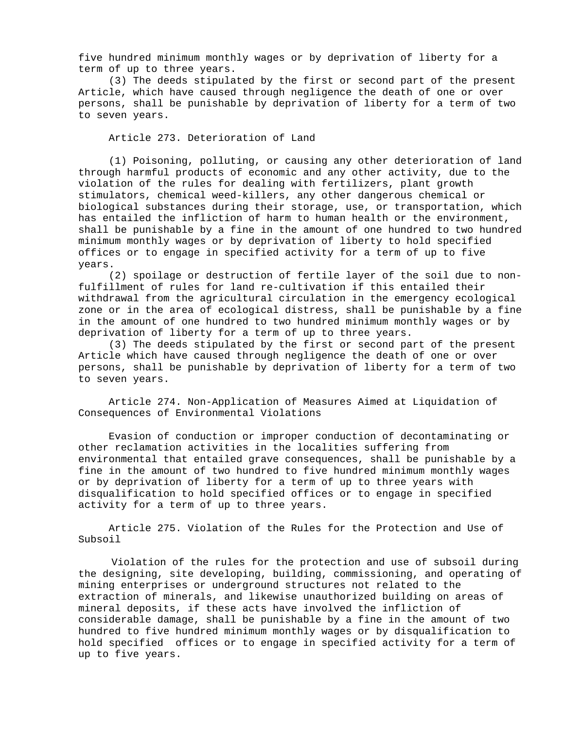five hundred minimum monthly wages or by deprivation of liberty for a term of up to three years.

(3) The deeds stipulated by the first or second part of the present Article, which have caused through negligence the death of one or over persons, shall be punishable by deprivation of liberty for a term of two to seven years.

Article 273. Deterioration of Land

(1) Poisoning, polluting, or causing any other deterioration of land through harmful products of economic and any other activity, due to the violation of the rules for dealing with fertilizers, plant growth stimulators, chemical weed-killers, any other dangerous chemical or biological substances during their storage, use, or transportation, which has entailed the infliction of harm to human health or the environment, shall be punishable by a fine in the amount of one hundred to two hundred minimum monthly wages or by deprivation of liberty to hold specified offices or to engage in specified activity for a term of up to five years.

(2) spoilage or destruction of fertile layer of the soil due to nonfulfillment of rules for land re-cultivation if this entailed their withdrawal from the agricultural circulation in the emergency ecological zone or in the area of ecological distress, shall be punishable by a fine in the amount of one hundred to two hundred minimum monthly wages or by deprivation of liberty for a term of up to three years.

(3) The deeds stipulated by the first or second part of the present Article which have caused through negligence the death of one or over persons, shall be punishable by deprivation of liberty for a term of two to seven years.

Article 274. Non-Application of Measures Aimed at Liquidation of Consequences of Environmental Violations

Evasion of conduction or improper conduction of decontaminating or other reclamation activities in the localities suffering from environmental that entailed grave consequences, shall be punishable by a fine in the amount of two hundred to five hundred minimum monthly wages or by deprivation of liberty for a term of up to three years with disqualification to hold specified offices or to engage in specified activity for a term of up to three years.

Article 275. Violation of the Rules for the Protection and Use of Subsoil

Violation of the rules for the protection and use of subsoil during the designing, site developing, building, commissioning, and operating of mining enterprises or underground structures not related to the extraction of minerals, and likewise unauthorized building on areas of mineral deposits, if these acts have involved the infliction of considerable damage, shall be punishable by a fine in the amount of two hundred to five hundred minimum monthly wages or by disqualification to hold specified offices or to engage in specified activity for a term of up to five years.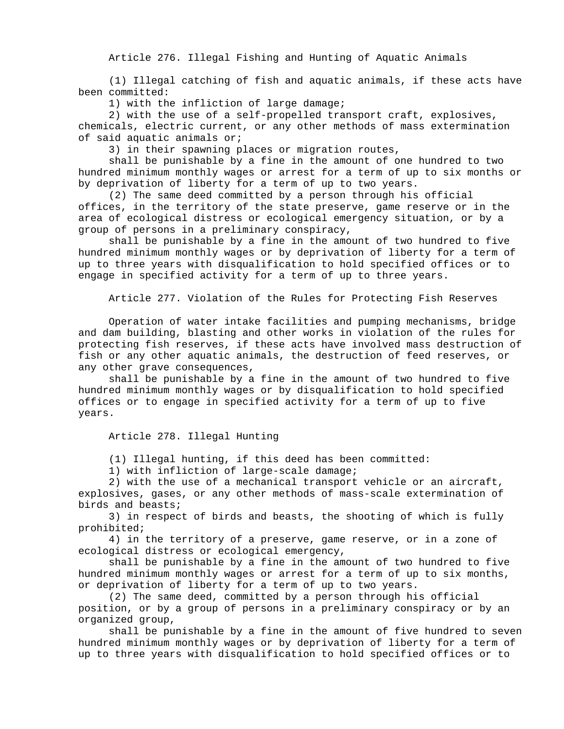Article 276. Illegal Fishing and Hunting of Aquatic Animals

(1) Illegal catching of fish and aquatic animals, if these acts have been committed:

1) with the infliction of large damage;

2) with the use of a self-propelled transport craft, explosives, chemicals, electric current, or any other methods of mass extermination of said aquatic animals or;

3) in their spawning places or migration routes,

shall be punishable by a fine in the amount of one hundred to two hundred minimum monthly wages or arrest for a term of up to six months or by deprivation of liberty for a term of up to two years.

(2) The same deed committed by a person through his official offices, in the territory of the state preserve, game reserve or in the area of ecological distress or ecological emergency situation, or by a group of persons in a preliminary conspiracy,

shall be punishable by a fine in the amount of two hundred to five hundred minimum monthly wages or by deprivation of liberty for a term of up to three years with disqualification to hold specified offices or to engage in specified activity for a term of up to three years.

Article 277. Violation of the Rules for Protecting Fish Reserves

Operation of water intake facilities and pumping mechanisms, bridge and dam building, blasting and other works in violation of the rules for protecting fish reserves, if these acts have involved mass destruction of fish or any other aquatic animals, the destruction of feed reserves, or any other grave consequences,

shall be punishable by a fine in the amount of two hundred to five hundred minimum monthly wages or by disqualification to hold specified offices or to engage in specified activity for a term of up to five years.

Article 278. Illegal Hunting

(1) Illegal hunting, if this deed has been committed:

1) with infliction of large-scale damage;

2) with the use of a mechanical transport vehicle or an aircraft, explosives, gases, or any other methods of mass-scale extermination of birds and beasts;

3) in respect of birds and beasts, the shooting of which is fully prohibited;

4) in the territory of a preserve, game reserve, or in a zone of ecological distress or ecological emergency,

shall be punishable by a fine in the amount of two hundred to five hundred minimum monthly wages or arrest for a term of up to six months, or deprivation of liberty for a term of up to two years.

(2) The same deed, committed by a person through his official position, or by a group of persons in a preliminary conspiracy or by an organized group,

shall be punishable by a fine in the amount of five hundred to seven hundred minimum monthly wages or by deprivation of liberty for a term of up to three years with disqualification to hold specified offices or to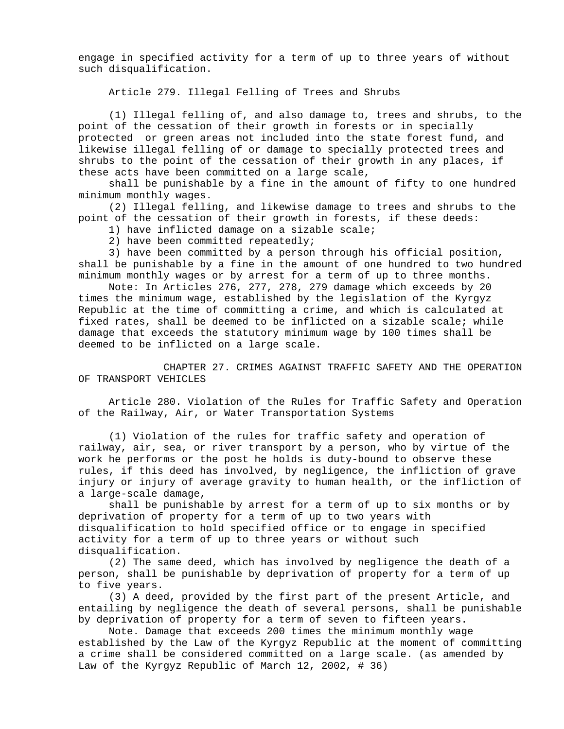engage in specified activity for a term of up to three years of without such disqualification.

Article 279. Illegal Felling of Trees and Shrubs

(1) Illegal felling of, and also damage to, trees and shrubs, to the point of the cessation of their growth in forests or in specially protected or green areas not included into the state forest fund, and likewise illegal felling of or damage to specially protected trees and shrubs to the point of the cessation of their growth in any places, if these acts have been committed on a large scale,

shall be punishable by a fine in the amount of fifty to one hundred minimum monthly wages.

(2) Illegal felling, and likewise damage to trees and shrubs to the point of the cessation of their growth in forests, if these deeds:

1) have inflicted damage on a sizable scale;

2) have been committed repeatedly;

3) have been committed by a person through his official position, shall be punishable by a fine in the amount of one hundred to two hundred minimum monthly wages or by arrest for a term of up to three months.

Note: In Articles 276, 277, 278, 279 damage which exceeds by 20 times the minimum wage, established by the legislation of the Kyrgyz Republic at the time of committing a crime, and which is calculated at fixed rates, shall be deemed to be inflicted on a sizable scale; while damage that exceeds the statutory minimum wage by 100 times shall be deemed to be inflicted on a large scale.

CHAPTER 27. CRIMES AGAINST TRAFFIC SAFETY AND THE OPERATION OF TRANSPORT VEHICLES

Article 280. Violation of the Rules for Traffic Safety and Operation of the Railway, Air, or Water Transportation Systems

(1) Violation of the rules for traffic safety and operation of railway, air, sea, or river transport by a person, who by virtue of the work he performs or the post he holds is duty-bound to observe these rules, if this deed has involved, by negligence, the infliction of grave injury or injury of average gravity to human health, or the infliction of a large-scale damage,

shall be punishable by arrest for a term of up to six months or by deprivation of property for a term of up to two years with disqualification to hold specified office or to engage in specified activity for a term of up to three years or without such disqualification.

(2) The same deed, which has involved by negligence the death of a person, shall be punishable by deprivation of property for a term of up to five years.

(3) A deed, provided by the first part of the present Article, and entailing by negligence the death of several persons, shall be punishable by deprivation of property for a term of seven to fifteen years.

Note. Damage that exceeds 200 times the minimum monthly wage established by the Law of the Kyrgyz Republic at the moment of committing a crime shall be considered committed on a large scale. (as amended by Law of the Kyrgyz Republic of March 12, 2002, # 36)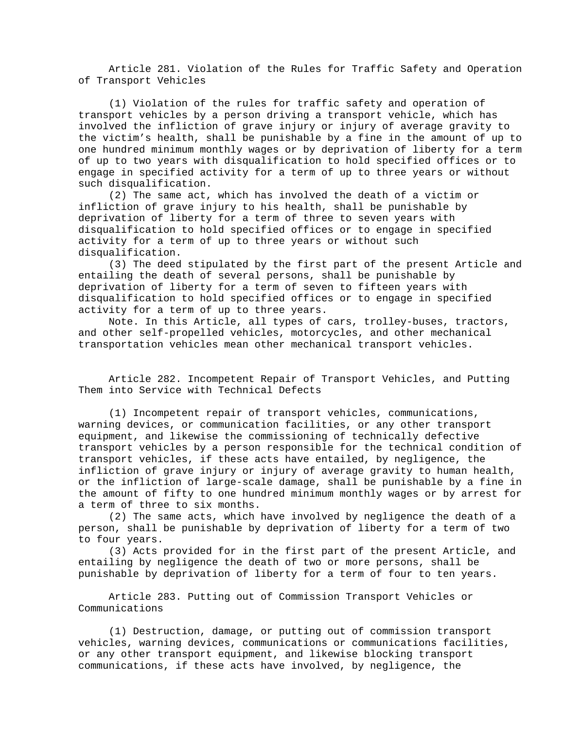Article 281. Violation of the Rules for Traffic Safety and Operation of Transport Vehicles

(1) Violation of the rules for traffic safety and operation of transport vehicles by a person driving a transport vehicle, which has involved the infliction of grave injury or injury of average gravity to the victim's health, shall be punishable by a fine in the amount of up to one hundred minimum monthly wages or by deprivation of liberty for a term of up to two years with disqualification to hold specified offices or to engage in specified activity for a term of up to three years or without such disqualification.

(2) The same act, which has involved the death of a victim or infliction of grave injury to his health, shall be punishable by deprivation of liberty for a term of three to seven years with disqualification to hold specified offices or to engage in specified activity for a term of up to three years or without such disqualification.

(3) The deed stipulated by the first part of the present Article and entailing the death of several persons, shall be punishable by deprivation of liberty for a term of seven to fifteen years with disqualification to hold specified offices or to engage in specified activity for a term of up to three years.

Note. In this Article, all types of cars, trolley-buses, tractors, and other self-propelled vehicles, motorcycles, and other mechanical transportation vehicles mean other mechanical transport vehicles.

Article 282. Incompetent Repair of Transport Vehicles, and Putting Them into Service with Technical Defects

(1) Incompetent repair of transport vehicles, communications, warning devices, or communication facilities, or any other transport equipment, and likewise the commissioning of technically defective transport vehicles by a person responsible for the technical condition of transport vehicles, if these acts have entailed, by negligence, the infliction of grave injury or injury of average gravity to human health, or the infliction of large-scale damage, shall be punishable by a fine in the amount of fifty to one hundred minimum monthly wages or by arrest for a term of three to six months.

(2) The same acts, which have involved by negligence the death of a person, shall be punishable by deprivation of liberty for a term of two to four years.

(3) Acts provided for in the first part of the present Article, and entailing by negligence the death of two or more persons, shall be punishable by deprivation of liberty for a term of four to ten years.

Article 283. Putting out of Commission Transport Vehicles or Communications

(1) Destruction, damage, or putting out of commission transport vehicles, warning devices, communications or communications facilities, or any other transport equipment, and likewise blocking transport communications, if these acts have involved, by negligence, the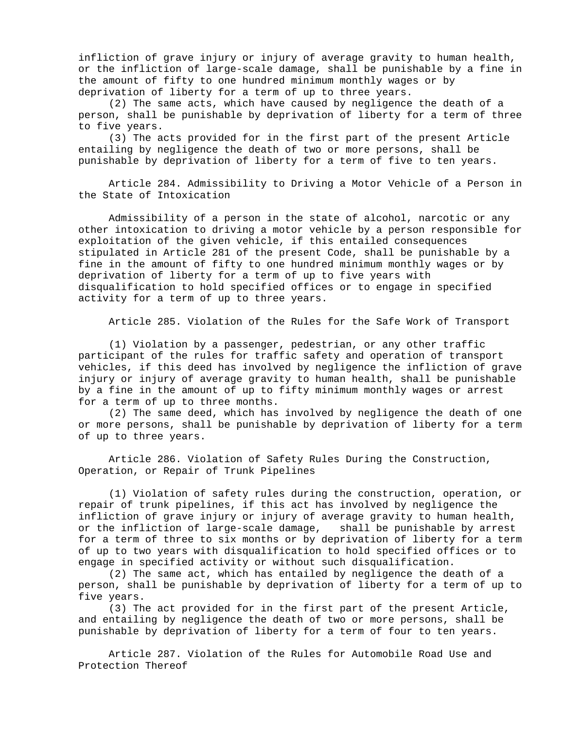infliction of grave injury or injury of average gravity to human health, or the infliction of large-scale damage, shall be punishable by a fine in the amount of fifty to one hundred minimum monthly wages or by deprivation of liberty for a term of up to three years.

(2) The same acts, which have caused by negligence the death of a person, shall be punishable by deprivation of liberty for a term of three to five years.

(3) The acts provided for in the first part of the present Article entailing by negligence the death of two or more persons, shall be punishable by deprivation of liberty for a term of five to ten years.

Article 284. Admissibility to Driving a Motor Vehicle of a Person in the State of Intoxication

Admissibility of a person in the state of alcohol, narcotic or any other intoxication to driving a motor vehicle by a person responsible for exploitation of the given vehicle, if this entailed consequences stipulated in Article 281 of the present Code, shall be punishable by a fine in the amount of fifty to one hundred minimum monthly wages or by deprivation of liberty for a term of up to five years with disqualification to hold specified offices or to engage in specified activity for a term of up to three years.

Article 285. Violation of the Rules for the Safe Work of Transport

(1) Violation by a passenger, pedestrian, or any other traffic participant of the rules for traffic safety and operation of transport vehicles, if this deed has involved by negligence the infliction of grave injury or injury of average gravity to human health, shall be punishable by a fine in the amount of up to fifty minimum monthly wages or arrest for a term of up to three months.

(2) The same deed, which has involved by negligence the death of one or more persons, shall be punishable by deprivation of liberty for a term of up to three years.

Article 286. Violation of Safety Rules During the Construction, Operation, or Repair of Trunk Pipelines

(1) Violation of safety rules during the construction, operation, or repair of trunk pipelines, if this act has involved by negligence the infliction of grave injury or injury of average gravity to human health, or the infliction of large-scale damage, shall be punishable by arrest for a term of three to six months or by deprivation of liberty for a term of up to two years with disqualification to hold specified offices or to engage in specified activity or without such disqualification.

(2) The same act, which has entailed by negligence the death of a person, shall be punishable by deprivation of liberty for a term of up to five years.

(3) The act provided for in the first part of the present Article, and entailing by negligence the death of two or more persons, shall be punishable by deprivation of liberty for a term of four to ten years.

Article 287. Violation of the Rules for Automobile Road Use and Protection Thereof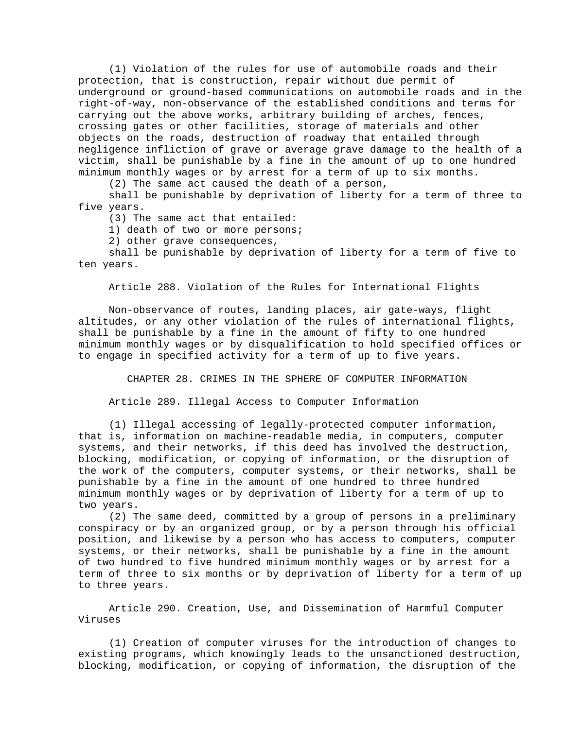(1) Violation of the rules for use of automobile roads and their protection, that is construction, repair without due permit of underground or ground-based communications on automobile roads and in the right-of-way, non-observance of the established conditions and terms for carrying out the above works, arbitrary building of arches, fences, crossing gates or other facilities, storage of materials and other objects on the roads, destruction of roadway that entailed through negligence infliction of grave or average grave damage to the health of a victim, shall be punishable by a fine in the amount of up to one hundred minimum monthly wages or by arrest for a term of up to six months.

(2) The same act caused the death of a person,

shall be punishable by deprivation of liberty for a term of three to five years.

(3) The same act that entailed:

1) death of two or more persons;

2) other grave consequences,

shall be punishable by deprivation of liberty for a term of five to ten years.

Article 288. Violation of the Rules for International Flights

Non-observance of routes, landing places, air gate-ways, flight altitudes, or any other violation of the rules of international flights, shall be punishable by a fine in the amount of fifty to one hundred minimum monthly wages or by disqualification to hold specified offices or to engage in specified activity for a term of up to five years.

CHAPTER 28. CRIMES IN THE SPHERE OF COMPUTER INFORMATION

Article 289. Illegal Access to Computer Information

(1) Illegal accessing of legally-protected computer information, that is, information on machine-readable media, in computers, computer systems, and their networks, if this deed has involved the destruction, blocking, modification, or copying of information, or the disruption of the work of the computers, computer systems, or their networks, shall be punishable by a fine in the amount of one hundred to three hundred minimum monthly wages or by deprivation of liberty for a term of up to two years.

(2) The same deed, committed by a group of persons in a preliminary conspiracy or by an organized group, or by a person through his official position, and likewise by a person who has access to computers, computer systems, or their networks, shall be punishable by a fine in the amount of two hundred to five hundred minimum monthly wages or by arrest for a term of three to six months or by deprivation of liberty for a term of up to three years.

Article 290. Creation, Use, and Dissemination of Harmful Computer Viruses

(1) Creation of computer viruses for the introduction of changes to existing programs, which knowingly leads to the unsanctioned destruction, blocking, modification, or copying of information, the disruption of the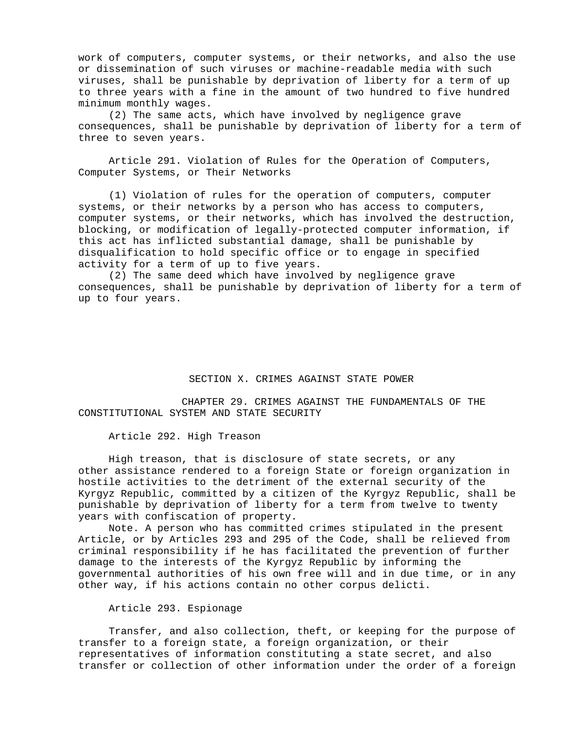work of computers, computer systems, or their networks, and also the use or dissemination of such viruses or machine-readable media with such viruses, shall be punishable by deprivation of liberty for a term of up to three years with a fine in the amount of two hundred to five hundred minimum monthly wages.

(2) The same acts, which have involved by negligence grave consequences, shall be punishable by deprivation of liberty for a term of three to seven years.

Article 291. Violation of Rules for the Operation of Computers, Computer Systems, or Their Networks

(1) Violation of rules for the operation of computers, computer systems, or their networks by a person who has access to computers, computer systems, or their networks, which has involved the destruction, blocking, or modification of legally-protected computer information, if this act has inflicted substantial damage, shall be punishable by disqualification to hold specific office or to engage in specified activity for a term of up to five years.

(2) The same deed which have involved by negligence grave consequences, shall be punishable by deprivation of liberty for a term of up to four years.

## SECTION X. CRIMES AGAINST STATE POWER

CHAPTER 29. CRIMES AGAINST THE FUNDAMENTALS OF THE CONSTITUTIONAL SYSTEM AND STATE SECURITY

Article 292. High Treason

High treason, that is disclosure of state secrets, or any other assistance rendered to a foreign State or foreign organization in hostile activities to the detriment of the external security of the Kyrgyz Republic, committed by a citizen of the Kyrgyz Republic, shall be punishable by deprivation of liberty for a term from twelve to twenty years with confiscation of property.

Note. A person who has committed crimes stipulated in the present Article, or by Articles 293 and 295 of the Code, shall be relieved from criminal responsibility if he has facilitated the prevention of further damage to the interests of the Kyrgyz Republic by informing the governmental authorities of his own free will and in due time, or in any other way, if his actions contain no other corpus delicti.

Article 293. Espionage

Transfer, and also collection, theft, or keeping for the purpose of transfer to a foreign state, a foreign organization, or their representatives of information constituting a state secret, and also transfer or collection of other information under the order of a foreign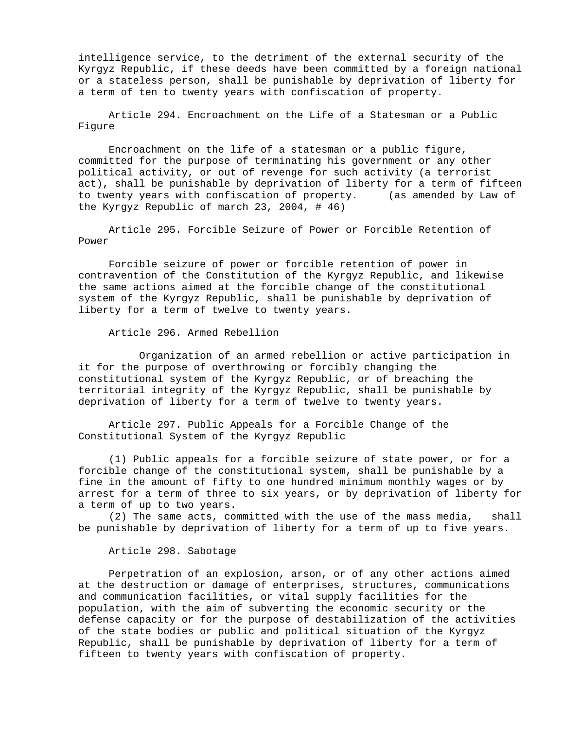intelligence service, to the detriment of the external security of the Kyrgyz Republic, if these deeds have been committed by a foreign national or a stateless person, shall be punishable by deprivation of liberty for a term of ten to twenty years with confiscation of property.

Article 294. Encroachment on the Life of a Statesman or a Public Figure

(as amended by Law of Encroachment on the life of a statesman or a public figure, committed for the purpose of terminating his government or any other political activity, or out of revenge for such activity (a terrorist act), shall be punishable by deprivation of liberty for a term of fifteen to twenty years with confiscation of property. the Kyrgyz Republic of march 23, 2004, # 46)

Article 295. Forcible Seizure of Power or Forcible Retention of Power

Forcible seizure of power or forcible retention of power in contravention of the Constitution of the Kyrgyz Republic, and likewise the same actions aimed at the forcible change of the constitutional system of the Kyrgyz Republic, shall be punishable by deprivation of liberty for a term of twelve to twenty years.

Article 296. Armed Rebellion

Organization of an armed rebellion or active participation in it for the purpose of overthrowing or forcibly changing the constitutional system of the Kyrgyz Republic, or of breaching the territorial integrity of the Kyrgyz Republic, shall be punishable by deprivation of liberty for a term of twelve to twenty years.

Article 297. Public Appeals for a Forcible Change of the Constitutional System of the Kyrgyz Republic

(1) Public appeals for a forcible seizure of state power, or for a forcible change of the constitutional system, shall be punishable by a fine in the amount of fifty to one hundred minimum monthly wages or by arrest for a term of three to six years, or by deprivation of liberty for a term of up to two years.

(2) The same acts, committed with the use of the mass media, shall be punishable by deprivation of liberty for a term of up to five years.

## Article 298. Sabotage

Perpetration of an explosion, arson, or of any other actions aimed at the destruction or damage of enterprises, structures, communications and communication facilities, or vital supply facilities for the population, with the aim of subverting the economic security or the defense capacity or for the purpose of destabilization of the activities of the state bodies or public and political situation of the Kyrgyz Republic, shall be punishable by deprivation of liberty for a term of fifteen to twenty years with confiscation of property.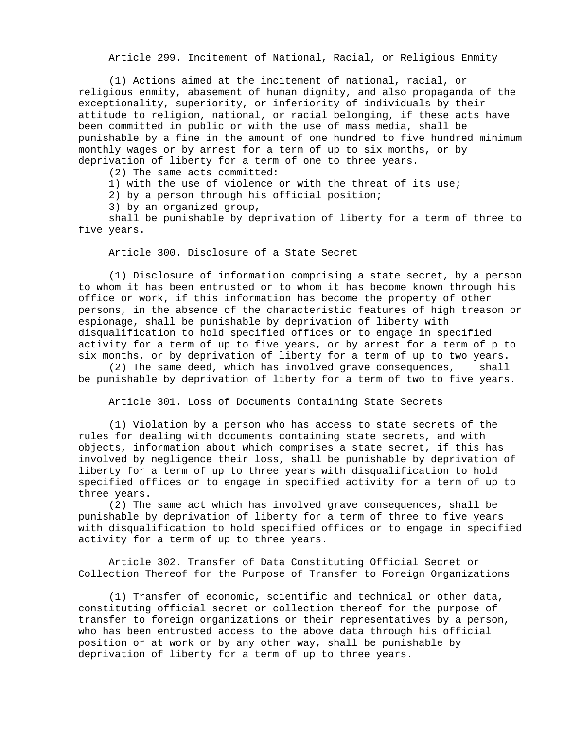Article 299. Incitement of National, Racial, or Religious Enmity

(1) Actions aimed at the incitement of national, racial, or religious enmity, abasement of human dignity, and also propaganda of the exceptionality, superiority, or inferiority of individuals by their attitude to religion, national, or racial belonging, if these acts have been committed in public or with the use of mass media, shall be punishable by a fine in the amount of one hundred to five hundred minimum monthly wages or by arrest for a term of up to six months, or by deprivation of liberty for a term of one to three years.

(2) The same acts committed:

1) with the use of violence or with the threat of its use;

2) by a person through his official position;

3) by an organized group,

shall be punishable by deprivation of liberty for a term of three to five years.

Article 300. Disclosure of a State Secret

(1) Disclosure of information comprising a state secret, by a person to whom it has been entrusted or to whom it has become known through his office or work, if this information has become the property of other persons, in the absence of the characteristic features of high treason or espionage, shall be punishable by deprivation of liberty with disqualification to hold specified offices or to engage in specified activity for a term of up to five years, or by arrest for a term of p to six months, or by deprivation of liberty for a term of up to two years.

(2) The same deed, which has involved grave consequences, shall be punishable by deprivation of liberty for a term of two to five years.

Article 301. Loss of Documents Containing State Secrets

(1) Violation by a person who has access to state secrets of the rules for dealing with documents containing state secrets, and with objects, information about which comprises a state secret, if this has involved by negligence their loss, shall be punishable by deprivation of liberty for a term of up to three years with disqualification to hold specified offices or to engage in specified activity for a term of up to three years.

(2) The same act which has involved grave consequences, shall be punishable by deprivation of liberty for a term of three to five years with disqualification to hold specified offices or to engage in specified activity for a term of up to three years.

Article 302. Transfer of Data Constituting Official Secret or Collection Thereof for the Purpose of Transfer to Foreign Organizations

(1) Transfer of economic, scientific and technical or other data, constituting official secret or collection thereof for the purpose of transfer to foreign organizations or their representatives by a person, who has been entrusted access to the above data through his official position or at work or by any other way, shall be punishable by deprivation of liberty for a term of up to three years.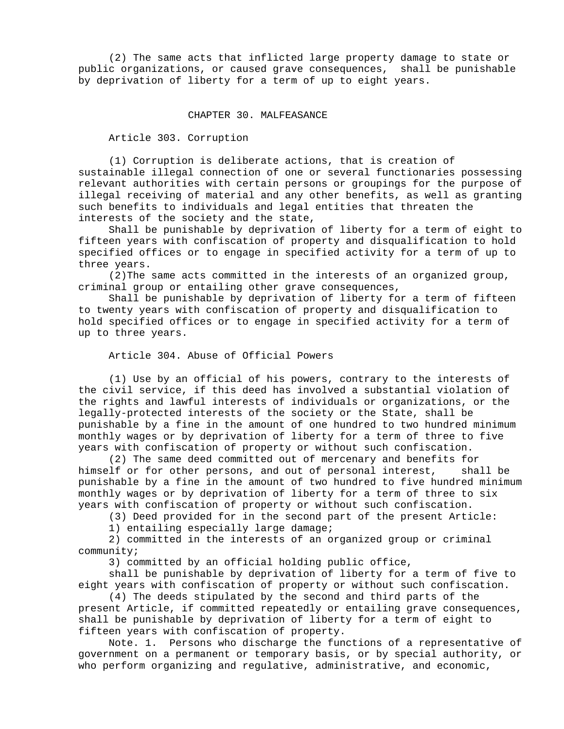(2) The same acts that inflicted large property damage to state or public organizations, or caused grave consequences, shall be punishable by deprivation of liberty for a term of up to eight years.

## CHAPTER 30. MALFEASANCE

Article 303. Corruption

(1) Corruption is deliberate actions, that is creation of sustainable illegal connection of one or several functionaries possessing relevant authorities with certain persons or groupings for the purpose of illegal receiving of material and any other benefits, as well as granting such benefits to individuals and legal entities that threaten the interests of the society and the state,

Shall be punishable by deprivation of liberty for a term of eight to fifteen years with confiscation of property and disqualification to hold specified offices or to engage in specified activity for a term of up to three years.

(2)The same acts committed in the interests of an organized group, criminal group or entailing other grave consequences,

Shall be punishable by deprivation of liberty for a term of fifteen to twenty years with confiscation of property and disqualification to hold specified offices or to engage in specified activity for a term of up to three years.

Article 304. Abuse of Official Powers

(1) Use by an official of his powers, contrary to the interests of the civil service, if this deed has involved a substantial violation of the rights and lawful interests of individuals or organizations, or the legally-protected interests of the society or the State, shall be punishable by a fine in the amount of one hundred to two hundred minimum monthly wages or by deprivation of liberty for a term of three to five years with confiscation of property or without such confiscation.

(2) The same deed committed out of mercenary and benefits for himself or for other persons, and out of personal interest, shall be punishable by a fine in the amount of two hundred to five hundred minimum monthly wages or by deprivation of liberty for a term of three to six years with confiscation of property or without such confiscation.

(3) Deed provided for in the second part of the present Article:

1) entailing especially large damage;

2) committed in the interests of an organized group or criminal community;

3) committed by an official holding public office,

shall be punishable by deprivation of liberty for a term of five to eight years with confiscation of property or without such confiscation.

(4) The deeds stipulated by the second and third parts of the present Article, if committed repeatedly or entailing grave consequences, shall be punishable by deprivation of liberty for a term of eight to fifteen years with confiscation of property.

Note. 1. Persons who discharge the functions of a representative of government on a permanent or temporary basis, or by special authority, or who perform organizing and regulative, administrative, and economic,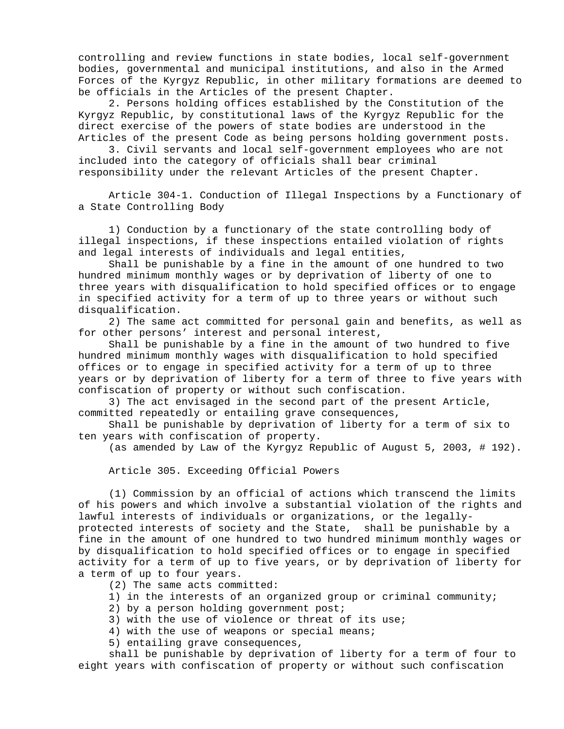controlling and review functions in state bodies, local self-government bodies, governmental and municipal institutions, and also in the Armed Forces of the Kyrgyz Republic, in other military formations are deemed to be officials in the Articles of the present Chapter.

2. Persons holding offices established by the Constitution of the Kyrgyz Republic, by constitutional laws of the Kyrgyz Republic for the direct exercise of the powers of state bodies are understood in the Articles of the present Code as being persons holding government posts.

3. Civil servants and local self-government employees who are not included into the category of officials shall bear criminal responsibility under the relevant Articles of the present Chapter.

Article 304-1. Conduction of Illegal Inspections by a Functionary of a State Controlling Body

1) Conduction by a functionary of the state controlling body of illegal inspections, if these inspections entailed violation of rights and legal interests of individuals and legal entities,

Shall be punishable by a fine in the amount of one hundred to two hundred minimum monthly wages or by deprivation of liberty of one to three years with disqualification to hold specified offices or to engage in specified activity for a term of up to three years or without such disqualification.

2) The same act committed for personal gain and benefits, as well as for other persons' interest and personal interest,

Shall be punishable by a fine in the amount of two hundred to five hundred minimum monthly wages with disqualification to hold specified offices or to engage in specified activity for a term of up to three years or by deprivation of liberty for a term of three to five years with confiscation of property or without such confiscation.

3) The act envisaged in the second part of the present Article, committed repeatedly or entailing grave consequences,

Shall be punishable by deprivation of liberty for a term of six to ten years with confiscation of property.

(as amended by Law of the Kyrgyz Republic of August 5, 2003, # 192).

Article 305. Exceeding Official Powers

(1) Commission by an official of actions which transcend the limits of his powers and which involve a substantial violation of the rights and lawful interests of individuals or organizations, or the legallyprotected interests of society and the State, shall be punishable by a fine in the amount of one hundred to two hundred minimum monthly wages or by disqualification to hold specified offices or to engage in specified activity for a term of up to five years, or by deprivation of liberty for a term of up to four years.

- (2) The same acts committed:
- 1) in the interests of an organized group or criminal community;
- 2) by a person holding government post;
- 3) with the use of violence or threat of its use;
- 4) with the use of weapons or special means;
- 5) entailing grave consequences,

shall be punishable by deprivation of liberty for a term of four to eight years with confiscation of property or without such confiscation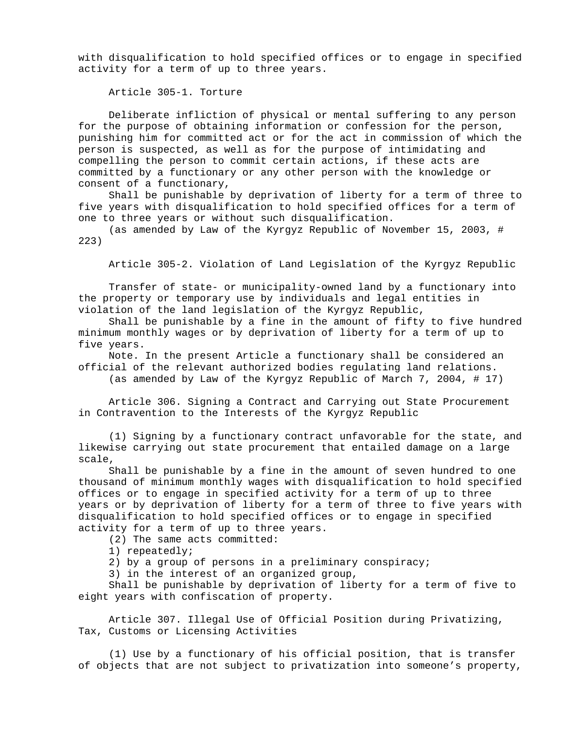with disqualification to hold specified offices or to engage in specified activity for a term of up to three years.

Article 305-1. Torture

Deliberate infliction of physical or mental suffering to any person for the purpose of obtaining information or confession for the person, punishing him for committed act or for the act in commission of which the person is suspected, as well as for the purpose of intimidating and compelling the person to commit certain actions, if these acts are committed by a functionary or any other person with the knowledge or consent of a functionary,

Shall be punishable by deprivation of liberty for a term of three to five years with disqualification to hold specified offices for a term of one to three years or without such disqualification.

(as amended by Law of the Kyrgyz Republic of November 15, 2003, # 223)

Article 305-2. Violation of Land Legislation of the Kyrgyz Republic

Transfer of state- or municipality-owned land by a functionary into the property or temporary use by individuals and legal entities in violation of the land legislation of the Kyrgyz Republic,

Shall be punishable by a fine in the amount of fifty to five hundred minimum monthly wages or by deprivation of liberty for a term of up to five years.

Note. In the present Article a functionary shall be considered an official of the relevant authorized bodies regulating land relations. (as amended by Law of the Kyrgyz Republic of March 7, 2004, # 17)

Article 306. Signing a Contract and Carrying out State Procurement in Contravention to the Interests of the Kyrgyz Republic

(1) Signing by a functionary contract unfavorable for the state, and likewise carrying out state procurement that entailed damage on a large scale,

Shall be punishable by a fine in the amount of seven hundred to one thousand of minimum monthly wages with disqualification to hold specified offices or to engage in specified activity for a term of up to three years or by deprivation of liberty for a term of three to five years with disqualification to hold specified offices or to engage in specified activity for a term of up to three years.

(2) The same acts committed:

1) repeatedly;

2) by a group of persons in a preliminary conspiracy;

3) in the interest of an organized group,

Shall be punishable by deprivation of liberty for a term of five to eight years with confiscation of property.

Article 307. Illegal Use of Official Position during Privatizing, Tax, Customs or Licensing Activities

(1) Use by a functionary of his official position, that is transfer of objects that are not subject to privatization into someone's property,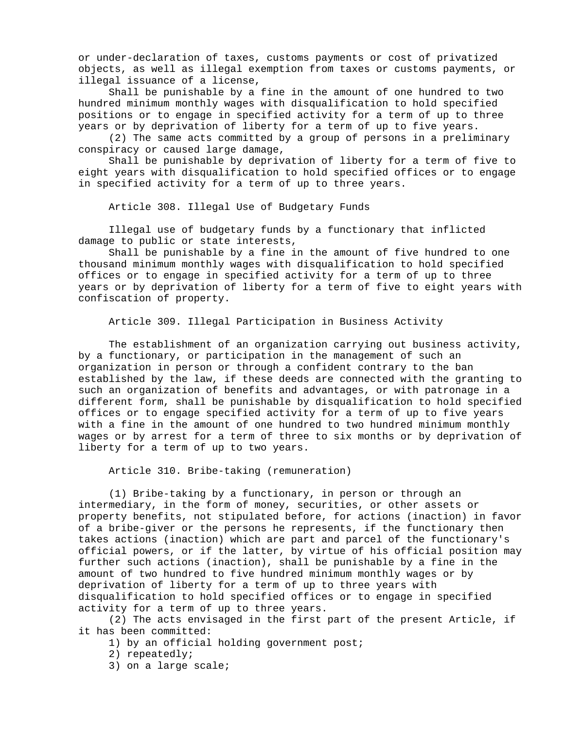or under-declaration of taxes, customs payments or cost of privatized objects, as well as illegal exemption from taxes or customs payments, or illegal issuance of a license,

Shall be punishable by a fine in the amount of one hundred to two hundred minimum monthly wages with disqualification to hold specified positions or to engage in specified activity for a term of up to three years or by deprivation of liberty for a term of up to five years.

(2) The same acts committed by a group of persons in a preliminary conspiracy or caused large damage,

Shall be punishable by deprivation of liberty for a term of five to eight years with disqualification to hold specified offices or to engage in specified activity for a term of up to three years.

Article 308. Illegal Use of Budgetary Funds

Illegal use of budgetary funds by a functionary that inflicted damage to public or state interests,

Shall be punishable by a fine in the amount of five hundred to one thousand minimum monthly wages with disqualification to hold specified offices or to engage in specified activity for a term of up to three years or by deprivation of liberty for a term of five to eight years with confiscation of property.

Article 309. Illegal Participation in Business Activity

The establishment of an organization carrying out business activity, by a functionary, or participation in the management of such an organization in person or through a confident contrary to the ban established by the law, if these deeds are connected with the granting to such an organization of benefits and advantages, or with patronage in a different form, shall be punishable by disqualification to hold specified offices or to engage specified activity for a term of up to five years with a fine in the amount of one hundred to two hundred minimum monthly wages or by arrest for a term of three to six months or by deprivation of liberty for a term of up to two years.

Article 310. Bribe-taking (remuneration)

(1) Bribe-taking by a functionary, in person or through an intermediary, in the form of money, securities, or other assets or property benefits, not stipulated before, for actions (inaction) in favor of a bribe-giver or the persons he represents, if the functionary then takes actions (inaction) which are part and parcel of the functionary's official powers, or if the latter, by virtue of his official position may further such actions (inaction), shall be punishable by a fine in the amount of two hundred to five hundred minimum monthly wages or by deprivation of liberty for a term of up to three years with disqualification to hold specified offices or to engage in specified activity for a term of up to three years.

(2) The acts envisaged in the first part of the present Article, if it has been committed:

- 1) by an official holding government post;
- 2) repeatedly;
- 3) on a large scale;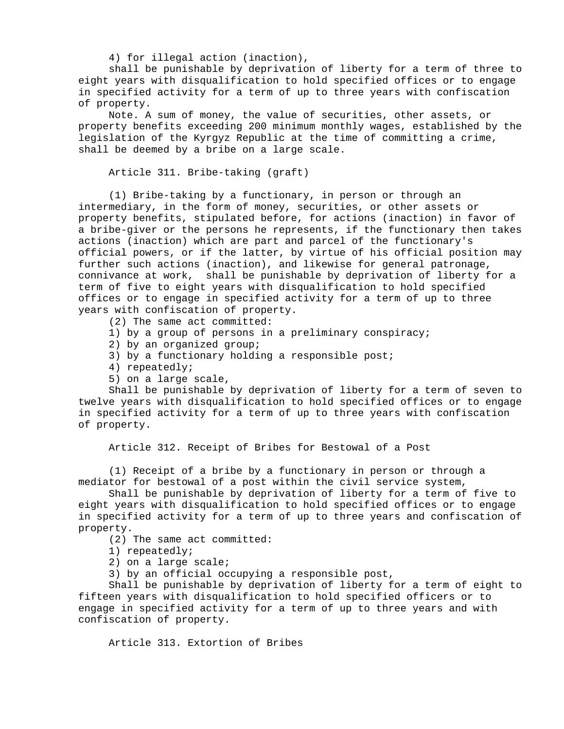4) for illegal action (inaction),

shall be punishable by deprivation of liberty for a term of three to eight years with disqualification to hold specified offices or to engage in specified activity for a term of up to three years with confiscation of property.

Note. A sum of money, the value of securities, other assets, or property benefits exceeding 200 minimum monthly wages, established by the legislation of the Kyrgyz Republic at the time of committing a crime, shall be deemed by a bribe on a large scale.

Article 311. Bribe-taking (graft)

(1) Bribe-taking by a functionary, in person or through an intermediary, in the form of money, securities, or other assets or property benefits, stipulated before, for actions (inaction) in favor of a bribe-giver or the persons he represents, if the functionary then takes actions (inaction) which are part and parcel of the functionary's official powers, or if the latter, by virtue of his official position may further such actions (inaction), and likewise for general patronage, connivance at work, shall be punishable by deprivation of liberty for a term of five to eight years with disqualification to hold specified offices or to engage in specified activity for a term of up to three years with confiscation of property.

- (2) The same act committed:
- 1) by a group of persons in a preliminary conspiracy;
- 2) by an organized group;
- 3) by a functionary holding a responsible post;
- 4) repeatedly;
- 5) on a large scale,

Shall be punishable by deprivation of liberty for a term of seven to twelve years with disqualification to hold specified offices or to engage in specified activity for a term of up to three years with confiscation of property.

Article 312. Receipt of Bribes for Bestowal of a Post

(1) Receipt of a bribe by a functionary in person or through a mediator for bestowal of a post within the civil service system,

Shall be punishable by deprivation of liberty for a term of five to eight years with disqualification to hold specified offices or to engage in specified activity for a term of up to three years and confiscation of property.

- (2) The same act committed:
- 1) repeatedly;
- 2) on a large scale;
- 3) by an official occupying a responsible post,

Shall be punishable by deprivation of liberty for a term of eight to fifteen years with disqualification to hold specified officers or to engage in specified activity for a term of up to three years and with confiscation of property.

Article 313. Extortion of Bribes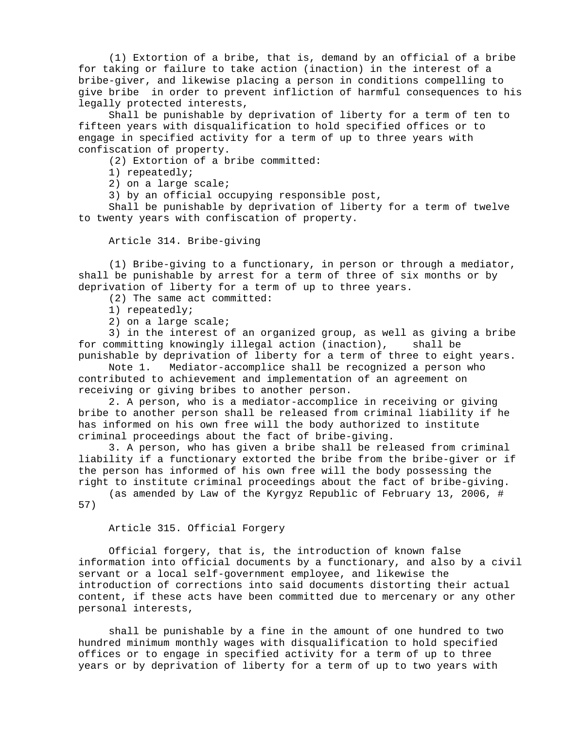(1) Extortion of a bribe, that is, demand by an official of a bribe for taking or failure to take action (inaction) in the interest of a bribe-giver, and likewise placing a person in conditions compelling to give bribe in order to prevent infliction of harmful consequences to his legally protected interests,

Shall be punishable by deprivation of liberty for a term of ten to fifteen years with disqualification to hold specified offices or to engage in specified activity for a term of up to three years with confiscation of property.

(2) Extortion of a bribe committed:

1) repeatedly;

2) on a large scale;

3) by an official occupying responsible post,

Shall be punishable by deprivation of liberty for a term of twelve to twenty years with confiscation of property.

Article 314. Bribe-giving

(1) Bribe-giving to a functionary, in person or through a mediator, shall be punishable by arrest for a term of three of six months or by deprivation of liberty for a term of up to three years.

(2) The same act committed:

1) repeatedly;

2) on a large scale;

3) in the interest of an organized group, as well as giving a bribe for committing knowingly illegal action (inaction), shall be punishable by deprivation of liberty for a term of three to eight years.

Note 1. Mediator-accomplice shall be recognized a person who contributed to achievement and implementation of an agreement on receiving or giving bribes to another person.

2. A person, who is a mediator-accomplice in receiving or giving bribe to another person shall be released from criminal liability if he has informed on his own free will the body authorized to institute criminal proceedings about the fact of bribe-giving.

3. A person, who has given a bribe shall be released from criminal liability if a functionary extorted the bribe from the bribe-giver or if the person has informed of his own free will the body possessing the right to institute criminal proceedings about the fact of bribe-giving.

(as amended by Law of the Kyrgyz Republic of February 13, 2006, # 57)

Article 315. Official Forgery

Official forgery, that is, the introduction of known false information into official documents by a functionary, and also by a civil servant or a local self-government employee, and likewise the introduction of corrections into said documents distorting their actual content, if these acts have been committed due to mercenary or any other personal interests,

shall be punishable by a fine in the amount of one hundred to two hundred minimum monthly wages with disqualification to hold specified offices or to engage in specified activity for a term of up to three years or by deprivation of liberty for a term of up to two years with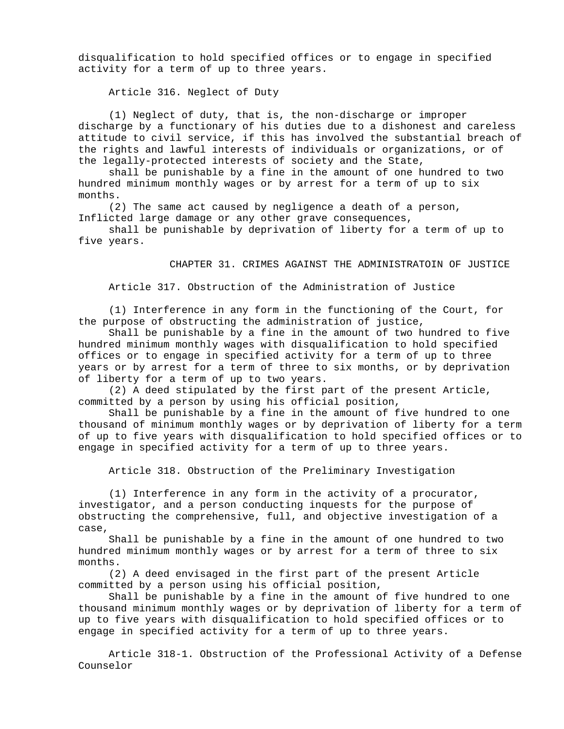disqualification to hold specified offices or to engage in specified activity for a term of up to three years.

Article 316. Neglect of Duty

(1) Neglect of duty, that is, the non-discharge or improper discharge by a functionary of his duties due to a dishonest and careless attitude to civil service, if this has involved the substantial breach of the rights and lawful interests of individuals or organizations, or of the legally-protected interests of society and the State,

shall be punishable by a fine in the amount of one hundred to two hundred minimum monthly wages or by arrest for a term of up to six months.

(2) The same act caused by negligence a death of a person, Inflicted large damage or any other grave consequences,

shall be punishable by deprivation of liberty for a term of up to five years.

CHAPTER 31. CRIMES AGAINST THE ADMINISTRATOIN OF JUSTICE

Article 317. Obstruction of the Administration of Justice

(1) Interference in any form in the functioning of the Court, for the purpose of obstructing the administration of justice,

Shall be punishable by a fine in the amount of two hundred to five hundred minimum monthly wages with disqualification to hold specified offices or to engage in specified activity for a term of up to three years or by arrest for a term of three to six months, or by deprivation of liberty for a term of up to two years.

(2) A deed stipulated by the first part of the present Article, committed by a person by using his official position,

Shall be punishable by a fine in the amount of five hundred to one thousand of minimum monthly wages or by deprivation of liberty for a term of up to five years with disqualification to hold specified offices or to engage in specified activity for a term of up to three years.

Article 318. Obstruction of the Preliminary Investigation

(1) Interference in any form in the activity of a procurator, investigator, and a person conducting inquests for the purpose of obstructing the comprehensive, full, and objective investigation of a case,

Shall be punishable by a fine in the amount of one hundred to two hundred minimum monthly wages or by arrest for a term of three to six months.

(2) A deed envisaged in the first part of the present Article committed by a person using his official position,

Shall be punishable by a fine in the amount of five hundred to one thousand minimum monthly wages or by deprivation of liberty for a term of up to five years with disqualification to hold specified offices or to engage in specified activity for a term of up to three years.

Article 318-1. Obstruction of the Professional Activity of a Defense Counselor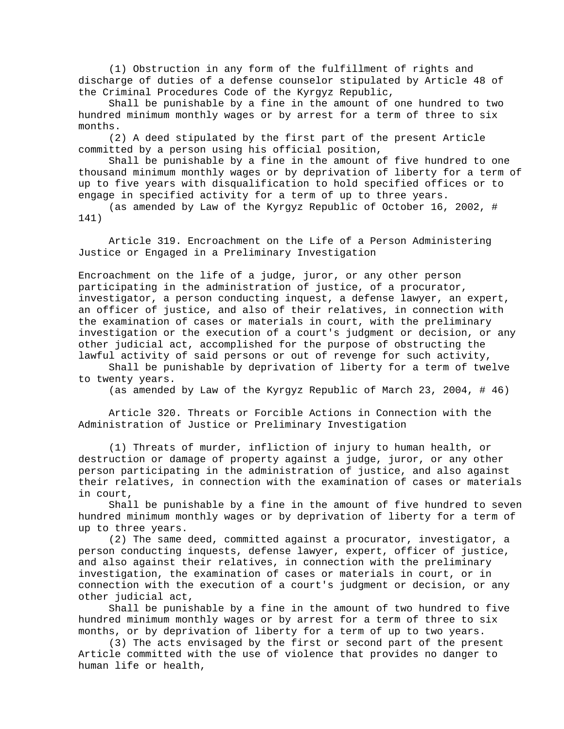(1) Obstruction in any form of the fulfillment of rights and discharge of duties of a defense counselor stipulated by Article 48 of the Criminal Procedures Code of the Kyrgyz Republic,

Shall be punishable by a fine in the amount of one hundred to two hundred minimum monthly wages or by arrest for a term of three to six months.

(2) A deed stipulated by the first part of the present Article committed by a person using his official position,

Shall be punishable by a fine in the amount of five hundred to one thousand minimum monthly wages or by deprivation of liberty for a term of up to five years with disqualification to hold specified offices or to engage in specified activity for a term of up to three years.

(as amended by Law of the Kyrgyz Republic of October 16, 2002, # 141)

Article 319. Encroachment on the Life of a Person Administering Justice or Engaged in a Preliminary Investigation

Encroachment on the life of a judge, juror, or any other person participating in the administration of justice, of a procurator, investigator, a person conducting inquest, a defense lawyer, an expert, an officer of justice, and also of their relatives, in connection with the examination of cases or materials in court, with the preliminary investigation or the execution of a court's judgment or decision, or any other judicial act, accomplished for the purpose of obstructing the lawful activity of said persons or out of revenge for such activity,

Shall be punishable by deprivation of liberty for a term of twelve to twenty years.

(as amended by Law of the Kyrgyz Republic of March 23, 2004, # 46)

Article 320. Threats or Forcible Actions in Connection with the Administration of Justice or Preliminary Investigation

(1) Threats of murder, infliction of injury to human health, or destruction or damage of property against a judge, juror, or any other person participating in the administration of justice, and also against their relatives, in connection with the examination of cases or materials in court,

Shall be punishable by a fine in the amount of five hundred to seven hundred minimum monthly wages or by deprivation of liberty for a term of up to three years.

(2) The same deed, committed against a procurator, investigator, a person conducting inquests, defense lawyer, expert, officer of justice, and also against their relatives, in connection with the preliminary investigation, the examination of cases or materials in court, or in connection with the execution of a court's judgment or decision, or any other judicial act,

Shall be punishable by a fine in the amount of two hundred to five hundred minimum monthly wages or by arrest for a term of three to six months, or by deprivation of liberty for a term of up to two years.

(3) The acts envisaged by the first or second part of the present Article committed with the use of violence that provides no danger to human life or health,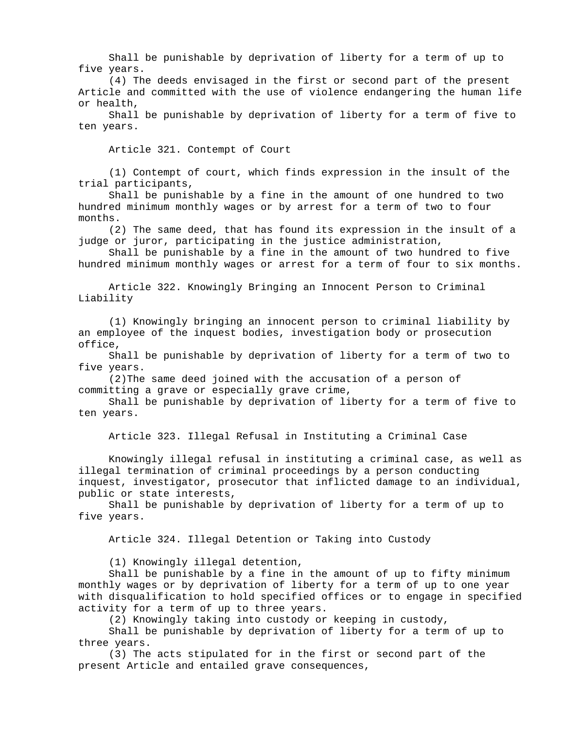Shall be punishable by deprivation of liberty for a term of up to five years.

(4) The deeds envisaged in the first or second part of the present Article and committed with the use of violence endangering the human life or health,

Shall be punishable by deprivation of liberty for a term of five to ten years.

Article 321. Contempt of Court

(1) Contempt of court, which finds expression in the insult of the trial participants,

Shall be punishable by a fine in the amount of one hundred to two hundred minimum monthly wages or by arrest for a term of two to four months.

(2) The same deed, that has found its expression in the insult of a judge or juror, participating in the justice administration,

Shall be punishable by a fine in the amount of two hundred to five hundred minimum monthly wages or arrest for a term of four to six months.

Article 322. Knowingly Bringing an Innocent Person to Criminal Liability

(1) Knowingly bringing an innocent person to criminal liability by an employee of the inquest bodies, investigation body or prosecution office,

Shall be punishable by deprivation of liberty for a term of two to five years.

(2)The same deed joined with the accusation of a person of committing a grave or especially grave crime,

Shall be punishable by deprivation of liberty for a term of five to ten years.

Article 323. Illegal Refusal in Instituting a Criminal Case

Knowingly illegal refusal in instituting a criminal case, as well as illegal termination of criminal proceedings by a person conducting inquest, investigator, prosecutor that inflicted damage to an individual, public or state interests,

Shall be punishable by deprivation of liberty for a term of up to five years.

Article 324. Illegal Detention or Taking into Custody

(1) Knowingly illegal detention,

Shall be punishable by a fine in the amount of up to fifty minimum monthly wages or by deprivation of liberty for a term of up to one year with disqualification to hold specified offices or to engage in specified activity for a term of up to three years.

(2) Knowingly taking into custody or keeping in custody,

Shall be punishable by deprivation of liberty for a term of up to three years.

(3) The acts stipulated for in the first or second part of the present Article and entailed grave consequences,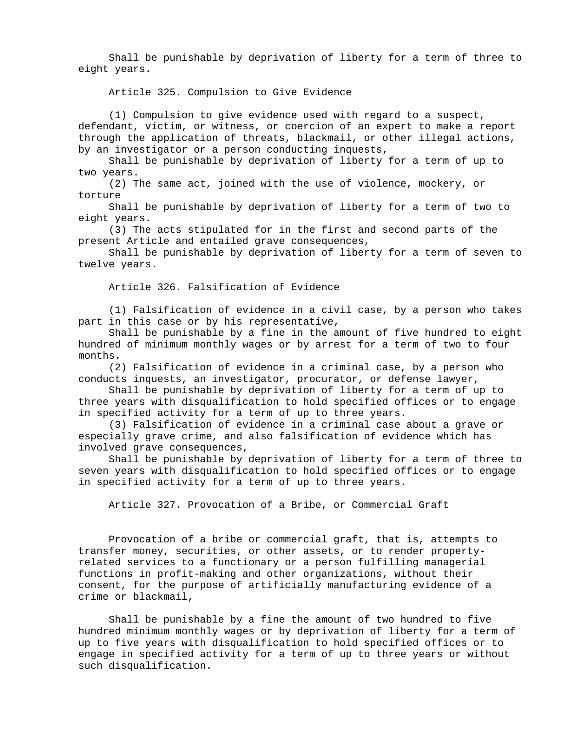Shall be punishable by deprivation of liberty for a term of three to eight years.

Article 325. Compulsion to Give Evidence

(1) Compulsion to give evidence used with regard to a suspect, defendant, victim, or witness, or coercion of an expert to make a report through the application of threats, blackmail, or other illegal actions, by an investigator or a person conducting inquests,

Shall be punishable by deprivation of liberty for a term of up to two years.

(2) The same act, joined with the use of violence, mockery, or torture

Shall be punishable by deprivation of liberty for a term of two to eight years.

(3) The acts stipulated for in the first and second parts of the present Article and entailed grave consequences,

Shall be punishable by deprivation of liberty for a term of seven to twelve years.

Article 326. Falsification of Evidence

(1) Falsification of evidence in a civil case, by a person who takes part in this case or by his representative,

Shall be punishable by a fine in the amount of five hundred to eight hundred of minimum monthly wages or by arrest for a term of two to four months.

(2) Falsification of evidence in a criminal case, by a person who conducts inquests, an investigator, procurator, or defense lawyer,

Shall be punishable by deprivation of liberty for a term of up to three years with disqualification to hold specified offices or to engage in specified activity for a term of up to three years.

(3) Falsification of evidence in a criminal case about a grave or especially grave crime, and also falsification of evidence which has involved grave consequences,

Shall be punishable by deprivation of liberty for a term of three to seven years with disqualification to hold specified offices or to engage in specified activity for a term of up to three years.

Article 327. Provocation of a Bribe, or Commercial Graft

Provocation of a bribe or commercial graft, that is, attempts to transfer money, securities, or other assets, or to render propertyrelated services to a functionary or a person fulfilling managerial functions in profit-making and other organizations, without their consent, for the purpose of artificially manufacturing evidence of a crime or blackmail,

Shall be punishable by a fine the amount of two hundred to five hundred minimum monthly wages or by deprivation of liberty for a term of up to five years with disqualification to hold specified offices or to engage in specified activity for a term of up to three years or without such disqualification.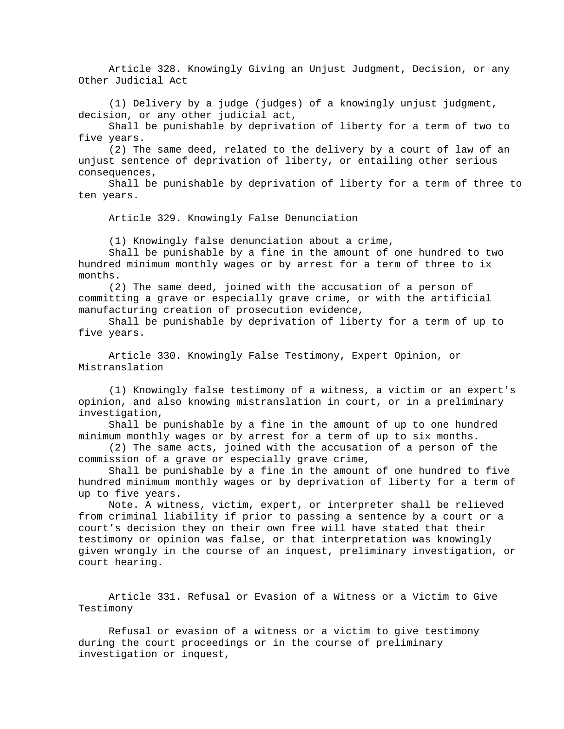Article 328. Knowingly Giving an Unjust Judgment, Decision, or any Other Judicial Act

(1) Delivery by a judge (judges) of a knowingly unjust judgment, decision, or any other judicial act,

Shall be punishable by deprivation of liberty for a term of two to five years.

(2) The same deed, related to the delivery by a court of law of an unjust sentence of deprivation of liberty, or entailing other serious consequences,

Shall be punishable by deprivation of liberty for a term of three to ten years.

Article 329. Knowingly False Denunciation

(1) Knowingly false denunciation about a crime,

Shall be punishable by a fine in the amount of one hundred to two hundred minimum monthly wages or by arrest for a term of three to ix months.

(2) The same deed, joined with the accusation of a person of committing a grave or especially grave crime, or with the artificial manufacturing creation of prosecution evidence,

Shall be punishable by deprivation of liberty for a term of up to five years.

Article 330. Knowingly False Testimony, Expert Opinion, or Mistranslation

(1) Knowingly false testimony of a witness, a victim or an expert's opinion, and also knowing mistranslation in court, or in a preliminary investigation,

Shall be punishable by a fine in the amount of up to one hundred minimum monthly wages or by arrest for a term of up to six months.

(2) The same acts, joined with the accusation of a person of the commission of a grave or especially grave crime,

Shall be punishable by a fine in the amount of one hundred to five hundred minimum monthly wages or by deprivation of liberty for a term of up to five years.

Note. A witness, victim, expert, or interpreter shall be relieved from criminal liability if prior to passing a sentence by a court or a court's decision they on their own free will have stated that their testimony or opinion was false, or that interpretation was knowingly given wrongly in the course of an inquest, preliminary investigation, or court hearing.

Article 331. Refusal or Evasion of a Witness or a Victim to Give Testimony

Refusal or evasion of a witness or a victim to give testimony during the court proceedings or in the course of preliminary investigation or inquest,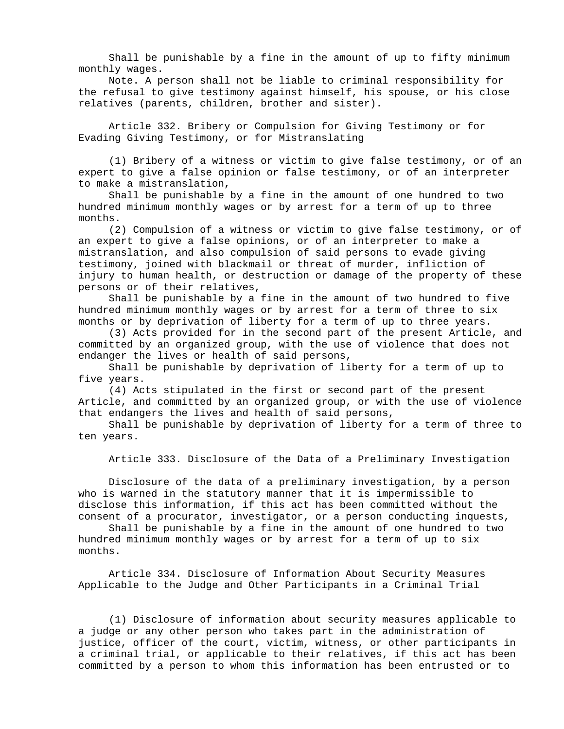Shall be punishable by a fine in the amount of up to fifty minimum monthly wages.

Note. A person shall not be liable to criminal responsibility for the refusal to give testimony against himself, his spouse, or his close relatives (parents, children, brother and sister).

Article 332. Bribery or Compulsion for Giving Testimony or for Evading Giving Testimony, or for Mistranslating

(1) Bribery of a witness or victim to give false testimony, or of an expert to give a false opinion or false testimony, or of an interpreter to make a mistranslation,

Shall be punishable by a fine in the amount of one hundred to two hundred minimum monthly wages or by arrest for a term of up to three months.

(2) Compulsion of a witness or victim to give false testimony, or of an expert to give a false opinions, or of an interpreter to make a mistranslation, and also compulsion of said persons to evade giving testimony, joined with blackmail or threat of murder, infliction of injury to human health, or destruction or damage of the property of these persons or of their relatives,

Shall be punishable by a fine in the amount of two hundred to five hundred minimum monthly wages or by arrest for a term of three to six months or by deprivation of liberty for a term of up to three years.

(3) Acts provided for in the second part of the present Article, and committed by an organized group, with the use of violence that does not endanger the lives or health of said persons,

Shall be punishable by deprivation of liberty for a term of up to five years.

(4) Acts stipulated in the first or second part of the present Article, and committed by an organized group, or with the use of violence that endangers the lives and health of said persons,

Shall be punishable by deprivation of liberty for a term of three to ten years.

Article 333. Disclosure of the Data of a Preliminary Investigation

Disclosure of the data of a preliminary investigation, by a person who is warned in the statutory manner that it is impermissible to disclose this information, if this act has been committed without the consent of a procurator, investigator, or a person conducting inquests,

Shall be punishable by a fine in the amount of one hundred to two hundred minimum monthly wages or by arrest for a term of up to six months.

Article 334. Disclosure of Information About Security Measures Applicable to the Judge and Other Participants in a Criminal Trial

(1) Disclosure of information about security measures applicable to a judge or any other person who takes part in the administration of justice, officer of the court, victim, witness, or other participants in a criminal trial, or applicable to their relatives, if this act has been committed by a person to whom this information has been entrusted or to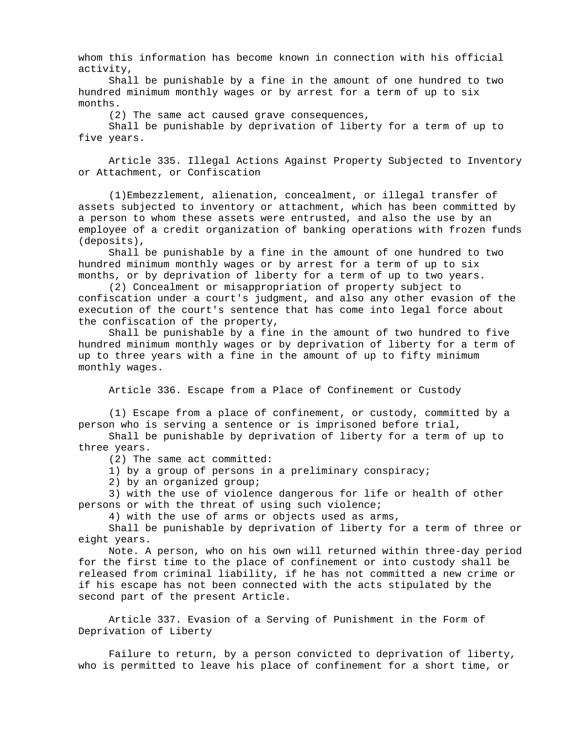whom this information has become known in connection with his official activity,

Shall be punishable by a fine in the amount of one hundred to two hundred minimum monthly wages or by arrest for a term of up to six months.

(2) The same act caused grave consequences,

Shall be punishable by deprivation of liberty for a term of up to five years.

Article 335. Illegal Actions Against Property Subjected to Inventory or Attachment, or Confiscation

(1)Embezzlement, alienation, concealment, or illegal transfer of assets subjected to inventory or attachment, which has been committed by a person to whom these assets were entrusted, and also the use by an employee of a credit organization of banking operations with frozen funds (deposits),

Shall be punishable by a fine in the amount of one hundred to two hundred minimum monthly wages or by arrest for a term of up to six months, or by deprivation of liberty for a term of up to two years.

(2) Concealment or misappropriation of property subject to confiscation under a court's judgment, and also any other evasion of the execution of the court's sentence that has come into legal force about the confiscation of the property,

Shall be punishable by a fine in the amount of two hundred to five hundred minimum monthly wages or by deprivation of liberty for a term of up to three years with a fine in the amount of up to fifty minimum monthly wages.

Article 336. Escape from a Place of Confinement or Custody

(1) Escape from a place of confinement, or custody, committed by a person who is serving a sentence or is imprisoned before trial,

Shall be punishable by deprivation of liberty for a term of up to three years.

(2) The same act committed:

1) by a group of persons in a preliminary conspiracy;

2) by an organized group;

3) with the use of violence dangerous for life or health of other persons or with the threat of using such violence;

4) with the use of arms or objects used as arms,

Shall be punishable by deprivation of liberty for a term of three or eight years.

Note. A person, who on his own will returned within three-day period for the first time to the place of confinement or into custody shall be released from criminal liability, if he has not committed a new crime or if his escape has not been connected with the acts stipulated by the second part of the present Article.

Article 337. Evasion of a Serving of Punishment in the Form of Deprivation of Liberty

Failure to return, by a person convicted to deprivation of liberty, who is permitted to leave his place of confinement for a short time, or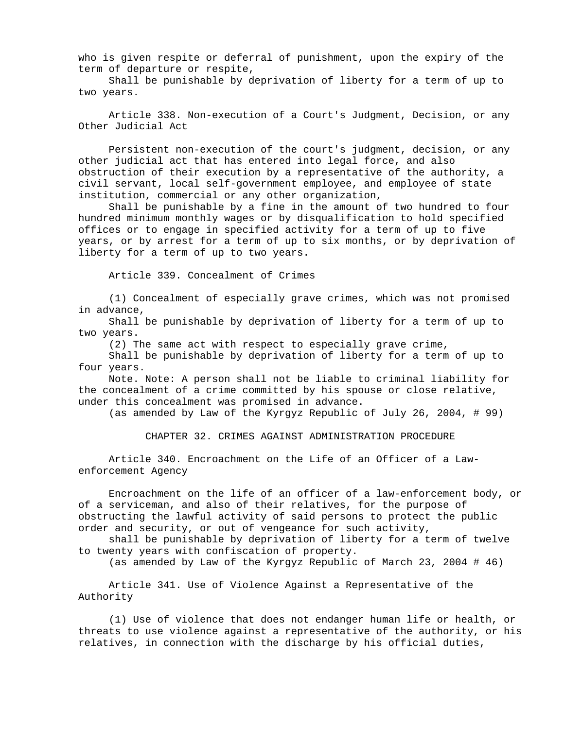who is given respite or deferral of punishment, upon the expiry of the term of departure or respite,

Shall be punishable by deprivation of liberty for a term of up to two years.

Article 338. Non-execution of a Court's Judgment, Decision, or any Other Judicial Act

Persistent non-execution of the court's judgment, decision, or any other judicial act that has entered into legal force, and also obstruction of their execution by a representative of the authority, a civil servant, local self-government employee, and employee of state institution, commercial or any other organization,

Shall be punishable by a fine in the amount of two hundred to four hundred minimum monthly wages or by disqualification to hold specified offices or to engage in specified activity for a term of up to five years, or by arrest for a term of up to six months, or by deprivation of liberty for a term of up to two years.

Article 339. Concealment of Crimes

(1) Concealment of especially grave crimes, which was not promised in advance,

Shall be punishable by deprivation of liberty for a term of up to two years.

(2) The same act with respect to especially grave crime,

Shall be punishable by deprivation of liberty for a term of up to four years.

Note. Note: A person shall not be liable to criminal liability for the concealment of a crime committed by his spouse or close relative, under this concealment was promised in advance.

(as amended by Law of the Kyrgyz Republic of July 26, 2004, # 99)

CHAPTER 32. CRIMES AGAINST ADMINISTRATION PROCEDURE

Article 340. Encroachment on the Life of an Officer of a Lawenforcement Agency

Encroachment on the life of an officer of a law-enforcement body, or of a serviceman, and also of their relatives, for the purpose of obstructing the lawful activity of said persons to protect the public order and security, or out of vengeance for such activity,

shall be punishable by deprivation of liberty for a term of twelve to twenty years with confiscation of property.

(as amended by Law of the Kyrgyz Republic of March 23, 2004 # 46)

Article 341. Use of Violence Against a Representative of the Authority

(1) Use of violence that does not endanger human life or health, or threats to use violence against a representative of the authority, or his relatives, in connection with the discharge by his official duties,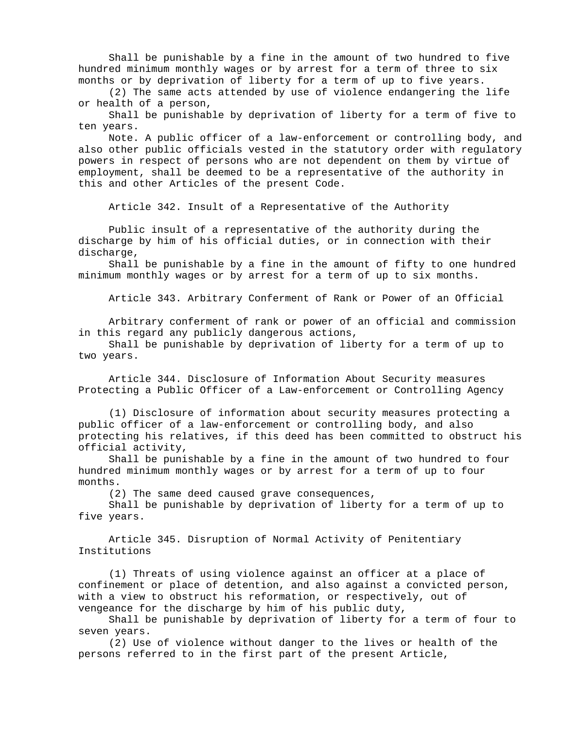Shall be punishable by a fine in the amount of two hundred to five hundred minimum monthly wages or by arrest for a term of three to six months or by deprivation of liberty for a term of up to five years.

(2) The same acts attended by use of violence endangering the life or health of a person,

Shall be punishable by deprivation of liberty for a term of five to ten years.

Note. A public officer of a law-enforcement or controlling body, and also other public officials vested in the statutory order with regulatory powers in respect of persons who are not dependent on them by virtue of employment, shall be deemed to be a representative of the authority in this and other Articles of the present Code.

Article 342. Insult of a Representative of the Authority

Public insult of a representative of the authority during the discharge by him of his official duties, or in connection with their discharge,

Shall be punishable by a fine in the amount of fifty to one hundred minimum monthly wages or by arrest for a term of up to six months.

Article 343. Arbitrary Conferment of Rank or Power of an Official

Arbitrary conferment of rank or power of an official and commission in this regard any publicly dangerous actions,

Shall be punishable by deprivation of liberty for a term of up to two years.

Article 344. Disclosure of Information About Security measures Protecting a Public Officer of a Law-enforcement or Controlling Agency

(1) Disclosure of information about security measures protecting a public officer of a law-enforcement or controlling body, and also protecting his relatives, if this deed has been committed to obstruct his official activity,

Shall be punishable by a fine in the amount of two hundred to four hundred minimum monthly wages or by arrest for a term of up to four months.

(2) The same deed caused grave consequences,

Shall be punishable by deprivation of liberty for a term of up to five years.

Article 345. Disruption of Normal Activity of Penitentiary Institutions

(1) Threats of using violence against an officer at a place of confinement or place of detention, and also against a convicted person, with a view to obstruct his reformation, or respectively, out of vengeance for the discharge by him of his public duty,

Shall be punishable by deprivation of liberty for a term of four to seven years.

(2) Use of violence without danger to the lives or health of the persons referred to in the first part of the present Article,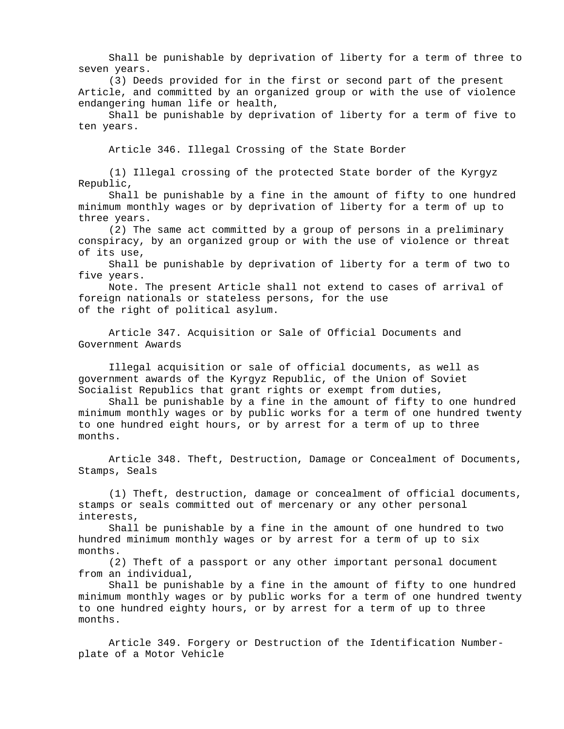Shall be punishable by deprivation of liberty for a term of three to seven years.

(3) Deeds provided for in the first or second part of the present Article, and committed by an organized group or with the use of violence endangering human life or health,

Shall be punishable by deprivation of liberty for a term of five to ten years.

Article 346. Illegal Crossing of the State Border

(1) Illegal crossing of the protected State border of the Kyrgyz Republic,

Shall be punishable by a fine in the amount of fifty to one hundred minimum monthly wages or by deprivation of liberty for a term of up to three years.

(2) The same act committed by a group of persons in a preliminary conspiracy, by an organized group or with the use of violence or threat of its use,

Shall be punishable by deprivation of liberty for a term of two to five years.

Note. The present Article shall not extend to cases of arrival of foreign nationals or stateless persons, for the use of the right of political asylum.

Article 347. Acquisition or Sale of Official Documents and Government Awards

Illegal acquisition or sale of official documents, as well as government awards of the Kyrgyz Republic, of the Union of Soviet Socialist Republics that grant rights or exempt from duties,

Shall be punishable by a fine in the amount of fifty to one hundred minimum monthly wages or by public works for a term of one hundred twenty to one hundred eight hours, or by arrest for a term of up to three months.

Article 348. Theft, Destruction, Damage or Concealment of Documents, Stamps, Seals

(1) Theft, destruction, damage or concealment of official documents, stamps or seals committed out of mercenary or any other personal interests,

Shall be punishable by a fine in the amount of one hundred to two hundred minimum monthly wages or by arrest for a term of up to six months.

(2) Theft of a passport or any other important personal document from an individual,

Shall be punishable by a fine in the amount of fifty to one hundred minimum monthly wages or by public works for a term of one hundred twenty to one hundred eighty hours, or by arrest for a term of up to three months.

Article 349. Forgery or Destruction of the Identification Numberplate of a Motor Vehicle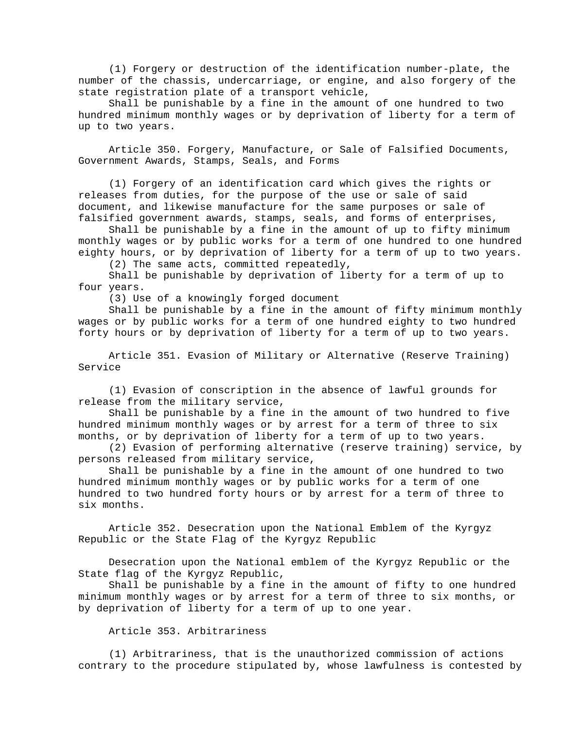(1) Forgery or destruction of the identification number-plate, the number of the chassis, undercarriage, or engine, and also forgery of the state registration plate of a transport vehicle,

Shall be punishable by a fine in the amount of one hundred to two hundred minimum monthly wages or by deprivation of liberty for a term of up to two years.

Article 350. Forgery, Manufacture, or Sale of Falsified Documents, Government Awards, Stamps, Seals, and Forms

(1) Forgery of an identification card which gives the rights or releases from duties, for the purpose of the use or sale of said document, and likewise manufacture for the same purposes or sale of falsified government awards, stamps, seals, and forms of enterprises,

Shall be punishable by a fine in the amount of up to fifty minimum monthly wages or by public works for a term of one hundred to one hundred eighty hours, or by deprivation of liberty for a term of up to two years.

(2) The same acts, committed repeatedly,

Shall be punishable by deprivation of liberty for a term of up to four years.

(3) Use of a knowingly forged document

Shall be punishable by a fine in the amount of fifty minimum monthly wages or by public works for a term of one hundred eighty to two hundred forty hours or by deprivation of liberty for a term of up to two years.

Article 351. Evasion of Military or Alternative (Reserve Training) Service

(1) Evasion of conscription in the absence of lawful grounds for release from the military service,

Shall be punishable by a fine in the amount of two hundred to five hundred minimum monthly wages or by arrest for a term of three to six months, or by deprivation of liberty for a term of up to two years.

(2) Evasion of performing alternative (reserve training) service, by persons released from military service,

Shall be punishable by a fine in the amount of one hundred to two hundred minimum monthly wages or by public works for a term of one hundred to two hundred forty hours or by arrest for a term of three to six months.

Article 352. Desecration upon the National Emblem of the Kyrgyz Republic or the State Flag of the Kyrgyz Republic

Desecration upon the National emblem of the Kyrgyz Republic or the State flag of the Kyrgyz Republic,

Shall be punishable by a fine in the amount of fifty to one hundred minimum monthly wages or by arrest for a term of three to six months, or by deprivation of liberty for a term of up to one year.

Article 353. Arbitrariness

(1) Arbitrariness, that is the unauthorized commission of actions contrary to the procedure stipulated by, whose lawfulness is contested by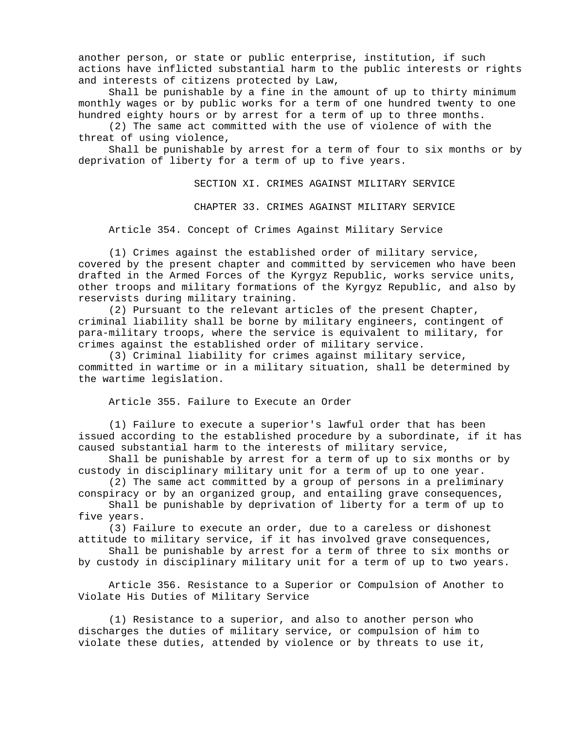another person, or state or public enterprise, institution, if such actions have inflicted substantial harm to the public interests or rights and interests of citizens protected by Law,

Shall be punishable by a fine in the amount of up to thirty minimum monthly wages or by public works for a term of one hundred twenty to one hundred eighty hours or by arrest for a term of up to three months.

(2) The same act committed with the use of violence of with the threat of using violence,

Shall be punishable by arrest for a term of four to six months or by deprivation of liberty for a term of up to five years.

SECTION XI. CRIMES AGAINST MILITARY SERVICE

CHAPTER 33. CRIMES AGAINST MILITARY SERVICE

Article 354. Concept of Crimes Against Military Service

(1) Crimes against the established order of military service, covered by the present chapter and committed by servicemen who have been drafted in the Armed Forces of the Kyrgyz Republic, works service units, other troops and military formations of the Kyrgyz Republic, and also by reservists during military training.

(2) Pursuant to the relevant articles of the present Chapter, criminal liability shall be borne by military engineers, contingent of para-military troops, where the service is equivalent to military, for crimes against the established order of military service.

(3) Criminal liability for crimes against military service, committed in wartime or in a military situation, shall be determined by the wartime legislation.

Article 355. Failure to Execute an Order

(1) Failure to execute a superior's lawful order that has been issued according to the established procedure by a subordinate, if it has caused substantial harm to the interests of military service,

Shall be punishable by arrest for a term of up to six months or by custody in disciplinary military unit for a term of up to one year.

(2) The same act committed by a group of persons in a preliminary conspiracy or by an organized group, and entailing grave consequences,

Shall be punishable by deprivation of liberty for a term of up to five years.

(3) Failure to execute an order, due to a careless or dishonest attitude to military service, if it has involved grave consequences,

Shall be punishable by arrest for a term of three to six months or by custody in disciplinary military unit for a term of up to two years.

Article 356. Resistance to a Superior or Compulsion of Another to Violate His Duties of Military Service

(1) Resistance to a superior, and also to another person who discharges the duties of military service, or compulsion of him to violate these duties, attended by violence or by threats to use it,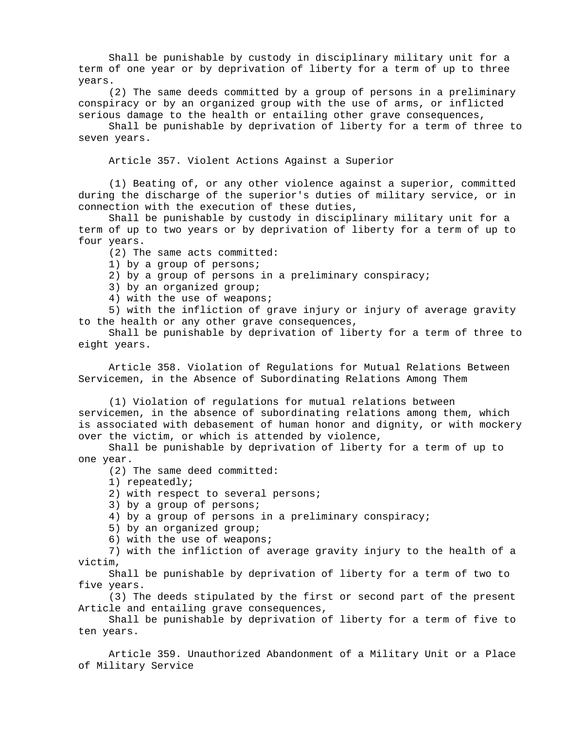Shall be punishable by custody in disciplinary military unit for a term of one year or by deprivation of liberty for a term of up to three years.

(2) The same deeds committed by a group of persons in a preliminary conspiracy or by an organized group with the use of arms, or inflicted serious damage to the health or entailing other grave consequences,

Shall be punishable by deprivation of liberty for a term of three to seven years.

Article 357. Violent Actions Against a Superior

(1) Beating of, or any other violence against a superior, committed during the discharge of the superior's duties of military service, or in connection with the execution of these duties,

Shall be punishable by custody in disciplinary military unit for a term of up to two years or by deprivation of liberty for a term of up to four years.

(2) The same acts committed:

1) by a group of persons;

2) by a group of persons in a preliminary conspiracy;

3) by an organized group;

4) with the use of weapons;

5) with the infliction of grave injury or injury of average gravity to the health or any other grave consequences,

Shall be punishable by deprivation of liberty for a term of three to eight years.

Article 358. Violation of Regulations for Mutual Relations Between Servicemen, in the Absence of Subordinating Relations Among Them

(1) Violation of regulations for mutual relations between servicemen, in the absence of subordinating relations among them, which is associated with debasement of human honor and dignity, or with mockery over the victim, or which is attended by violence,

Shall be punishable by deprivation of liberty for a term of up to one year.

(2) The same deed committed:

1) repeatedly;

2) with respect to several persons;

3) by a group of persons;

4) by a group of persons in a preliminary conspiracy;

5) by an organized group;

6) with the use of weapons;

7) with the infliction of average gravity injury to the health of a victim,

Shall be punishable by deprivation of liberty for a term of two to five years.

(3) The deeds stipulated by the first or second part of the present Article and entailing grave consequences,

Shall be punishable by deprivation of liberty for a term of five to ten years.

Article 359. Unauthorized Abandonment of a Military Unit or a Place of Military Service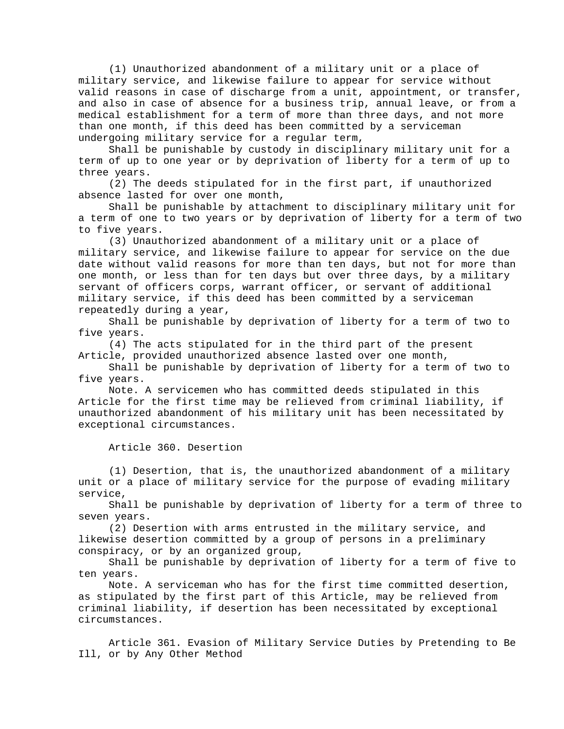(1) Unauthorized abandonment of a military unit or a place of military service, and likewise failure to appear for service without valid reasons in case of discharge from a unit, appointment, or transfer, and also in case of absence for a business trip, annual leave, or from a medical establishment for a term of more than three days, and not more than one month, if this deed has been committed by a serviceman undergoing military service for a regular term,

Shall be punishable by custody in disciplinary military unit for a term of up to one year or by deprivation of liberty for a term of up to three years.

(2) The deeds stipulated for in the first part, if unauthorized absence lasted for over one month,

Shall be punishable by attachment to disciplinary military unit for a term of one to two years or by deprivation of liberty for a term of two to five years.

(3) Unauthorized abandonment of a military unit or a place of military service, and likewise failure to appear for service on the due date without valid reasons for more than ten days, but not for more than one month, or less than for ten days but over three days, by a military servant of officers corps, warrant officer, or servant of additional military service, if this deed has been committed by a serviceman repeatedly during a year,

Shall be punishable by deprivation of liberty for a term of two to five years.

(4) The acts stipulated for in the third part of the present Article, provided unauthorized absence lasted over one month,

Shall be punishable by deprivation of liberty for a term of two to five years.

Note. A servicemen who has committed deeds stipulated in this Article for the first time may be relieved from criminal liability, if unauthorized abandonment of his military unit has been necessitated by exceptional circumstances.

Article 360. Desertion

(1) Desertion, that is, the unauthorized abandonment of a military unit or a place of military service for the purpose of evading military service,

Shall be punishable by deprivation of liberty for a term of three to seven years.

(2) Desertion with arms entrusted in the military service, and likewise desertion committed by a group of persons in a preliminary conspiracy, or by an organized group,

Shall be punishable by deprivation of liberty for a term of five to ten years.

Note. A serviceman who has for the first time committed desertion, as stipulated by the first part of this Article, may be relieved from criminal liability, if desertion has been necessitated by exceptional circumstances.

Article 361. Evasion of Military Service Duties by Pretending to Be Ill, or by Any Other Method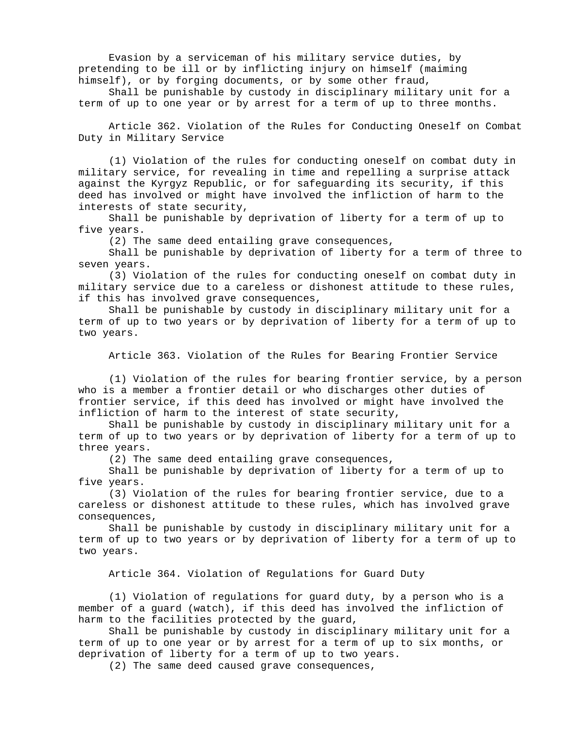Evasion by a serviceman of his military service duties, by pretending to be ill or by inflicting injury on himself (maiming himself), or by forging documents, or by some other fraud,

Shall be punishable by custody in disciplinary military unit for a term of up to one year or by arrest for a term of up to three months.

Article 362. Violation of the Rules for Conducting Oneself on Combat Duty in Military Service

(1) Violation of the rules for conducting oneself on combat duty in military service, for revealing in time and repelling a surprise attack against the Kyrgyz Republic, or for safeguarding its security, if this deed has involved or might have involved the infliction of harm to the interests of state security,

Shall be punishable by deprivation of liberty for a term of up to five years.

(2) The same deed entailing grave consequences,

Shall be punishable by deprivation of liberty for a term of three to seven years.

(3) Violation of the rules for conducting oneself on combat duty in military service due to a careless or dishonest attitude to these rules, if this has involved grave consequences,

Shall be punishable by custody in disciplinary military unit for a term of up to two years or by deprivation of liberty for a term of up to two years.

Article 363. Violation of the Rules for Bearing Frontier Service

(1) Violation of the rules for bearing frontier service, by a person who is a member a frontier detail or who discharges other duties of frontier service, if this deed has involved or might have involved the infliction of harm to the interest of state security,

Shall be punishable by custody in disciplinary military unit for a term of up to two years or by deprivation of liberty for a term of up to three years.

(2) The same deed entailing grave consequences,

Shall be punishable by deprivation of liberty for a term of up to five years.

(3) Violation of the rules for bearing frontier service, due to a careless or dishonest attitude to these rules, which has involved grave consequences,

Shall be punishable by custody in disciplinary military unit for a term of up to two years or by deprivation of liberty for a term of up to two years.

Article 364. Violation of Regulations for Guard Duty

(1) Violation of regulations for guard duty, by a person who is a member of a guard (watch), if this deed has involved the infliction of harm to the facilities protected by the guard,

Shall be punishable by custody in disciplinary military unit for a term of up to one year or by arrest for a term of up to six months, or deprivation of liberty for a term of up to two years.

(2) The same deed caused grave consequences,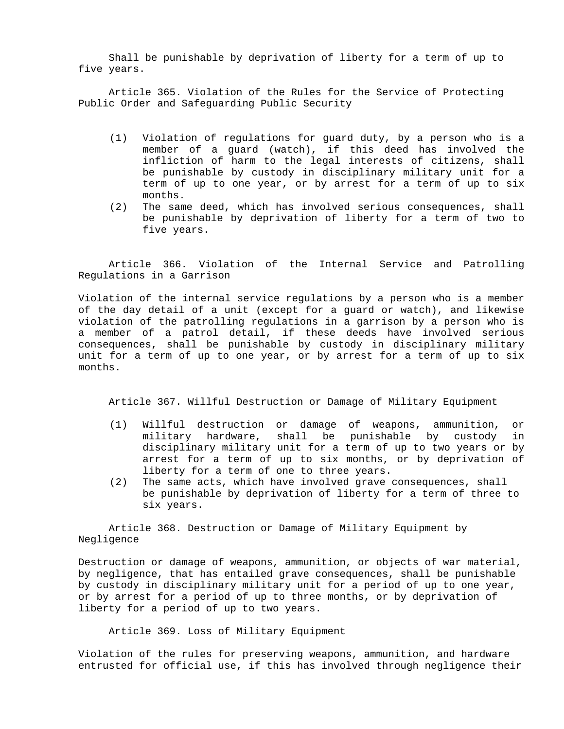Shall be punishable by deprivation of liberty for a term of up to five years.

Article 365. Violation of the Rules for the Service of Protecting Public Order and Safeguarding Public Security

- $(1)$ Violation of regulations for guard duty, by a person who is a member of a guard (watch), if this deed has involved the infliction of harm to the legal interests of citizens, shall be punishable by custody in disciplinary military unit for a term of up to one year, or by arrest for a term of up to six months.
- $(2)$ The same deed, which has involved serious consequences, shall be punishable by deprivation of liberty for a term of two to five years.

Article 366. Violation of the Internal Service and Patrolling Regulations in a Garrison

Violation of the internal service regulations by a person who is a member of the day detail of a unit (except for a guard or watch), and likewise violation of the patrolling regulations in a garrison by a person who is a member of a patrol detail, if these deeds have involved serious consequences, shall be punishable by custody in disciplinary military unit for a term of up to one year, or by arrest for a term of up to six months.

Article 367. Willful Destruction or Damage of Military Equipment

- $(1)$ Willful destruction or damage of weapons, ammunition, or military hardware, shall be punishable by custody in disciplinary military unit for a term of up to two years or by arrest for a term of up to six months, or by deprivation of liberty for a term of one to three years.
- $(2)$ The same acts, which have involved grave consequences, shall be punishable by deprivation of liberty for a term of three to six years.

Article 368. Destruction or Damage of Military Equipment by Negligence

Destruction or damage of weapons, ammunition, or objects of war material, by negligence, that has entailed grave consequences, shall be punishable by custody in disciplinary military unit for a period of up to one year, or by arrest for a period of up to three months, or by deprivation of liberty for a period of up to two years.

Article 369. Loss of Military Equipment

Violation of the rules for preserving weapons, ammunition, and hardware entrusted for official use, if this has involved through negligence their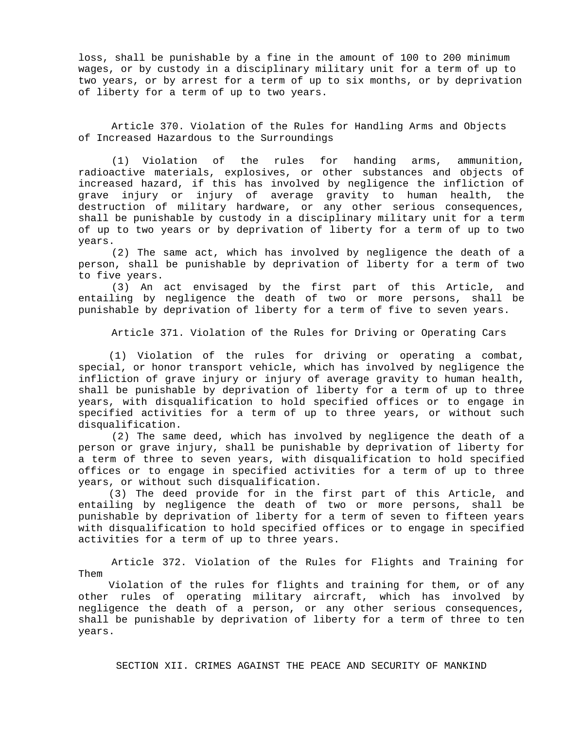loss, shall be punishable by a fine in the amount of 100 to 200 minimum wages, or by custody in a disciplinary military unit for a term of up to two years, or by arrest for a term of up to six months, or by deprivation of liberty for a term of up to two years.

Article 370. Violation of the Rules for Handling Arms and Objects of Increased Hazardous to the Surroundings

(1) Violation of the rules for handing arms, ammunition, radioactive materials, explosives, or other substances and objects of increased hazard, if this has involved by negligence the infliction of grave injury or injury of average gravity to human health, the destruction of military hardware, or any other serious consequences, shall be punishable by custody in a disciplinary military unit for a term of up to two years or by deprivation of liberty for a term of up to two years.

(2) The same act, which has involved by negligence the death of a person, shall be punishable by deprivation of liberty for a term of two to five years.

(3) An act envisaged by the first part of this Article, and entailing by negligence the death of two or more persons, shall be punishable by deprivation of liberty for a term of five to seven years.

Article 371. Violation of the Rules for Driving or Operating Cars

(1) Violation of the rules for driving or operating a combat, special, or honor transport vehicle, which has involved by negligence the infliction of grave injury or injury of average gravity to human health, shall be punishable by deprivation of liberty for a term of up to three years, with disqualification to hold specified offices or to engage in specified activities for a term of up to three years, or without such disqualification.

(2) The same deed, which has involved by negligence the death of a person or grave injury, shall be punishable by deprivation of liberty for a term of three to seven years, with disqualification to hold specified offices or to engage in specified activities for a term of up to three years, or without such disqualification.

(3) The deed provide for in the first part of this Article, and entailing by negligence the death of two or more persons, shall be punishable by deprivation of liberty for a term of seven to fifteen years with disqualification to hold specified offices or to engage in specified activities for a term of up to three years.

Article 372. Violation of the Rules for Flights and Training for Them

Violation of the rules for flights and training for them, or of any other rules of operating military aircraft, which has involved by negligence the death of a person, or any other serious consequences, shall be punishable by deprivation of liberty for a term of three to ten years.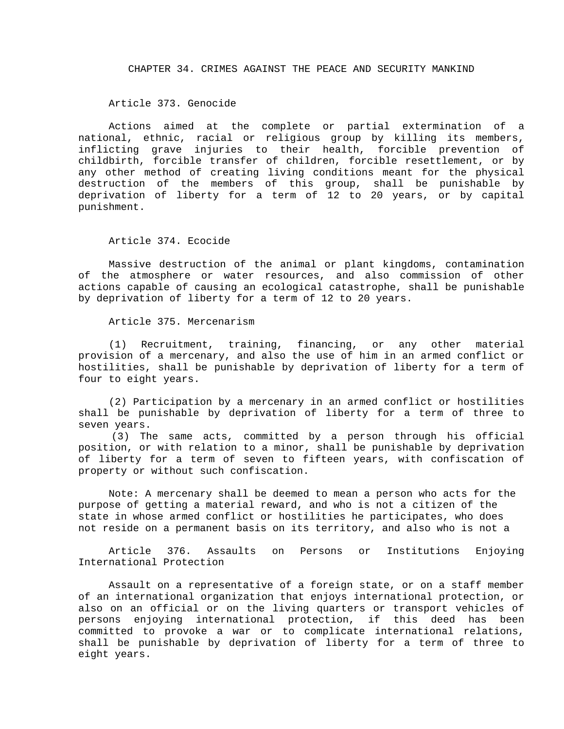CHAPTER 34. CRIMES AGAINST THE PEACE AND SECURITY MANKIND

Article 373. Genocide

Actions aimed at the complete or partial extermination of a national, ethnic, racial or religious group by killing its members, inflicting grave injuries to their health, forcible prevention of childbirth, forcible transfer of children, forcible resettlement, or by any other method of creating living conditions meant for the physical destruction of the members of this group, shall be punishable by deprivation of liberty for a term of 12 to 20 years, or by capital punishment.

Article 374. Ecocide

Massive destruction of the animal or plant kingdoms, contamination of the atmosphere or water resources, and also commission of other actions capable of causing an ecological catastrophe, shall be punishable by deprivation of liberty for a term of 12 to 20 years.

Article 375. Mercenarism

(1) Recruitment, training, financing, or any other material provision of a mercenary, and also the use of him in an armed conflict or hostilities, shall be punishable by deprivation of liberty for a term of four to eight years.

(2) Participation by a mercenary in an armed conflict or hostilities shall be punishable by deprivation of liberty for a term of three to seven years.

(3) The same acts, committed by a person through his official position, or with relation to a minor, shall be punishable by deprivation of liberty for a term of seven to fifteen years, with confiscation of property or without such confiscation.

Note: A mercenary shall be deemed to mean a person who acts for the purpose of getting a material reward, and who is not a citizen of the state in whose armed conflict or hostilities he participates, who does not reside on a permanent basis on its territory, and also who is not a

Article 376. Assaults on Persons or Institutions Enjoying International Protection

Assault on a representative of a foreign state, or on a staff member of an international organization that enjoys international protection, or also on an official or on the living quarters or transport vehicles of persons enjoying international protection, if this deed has been committed to provoke a war or to complicate international relations, shall be punishable by deprivation of liberty for a term of three to eight years.